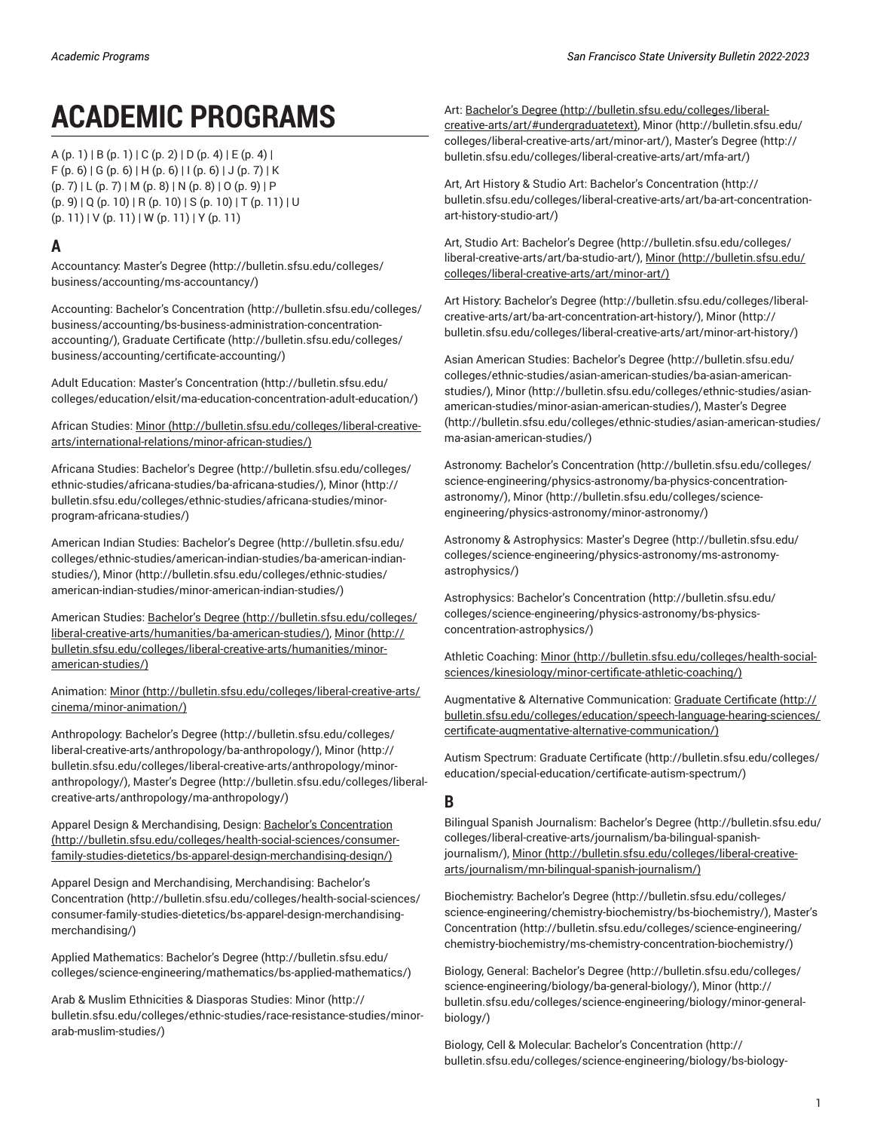# **ACADEMIC PROGRAMS**

 $A (p. 1) | B (p. 1) | C (p. 2) | D (p. 4) | E (p. 4) |$  $A (p. 1) | B (p. 1) | C (p. 2) | D (p. 4) | E (p. 4) |$  $A (p. 1) | B (p. 1) | C (p. 2) | D (p. 4) | E (p. 4) |$  $A (p. 1) | B (p. 1) | C (p. 2) | D (p. 4) | E (p. 4) |$  $A (p. 1) | B (p. 1) | C (p. 2) | D (p. 4) | E (p. 4) |$  $A (p. 1) | B (p. 1) | C (p. 2) | D (p. 4) | E (p. 4) |$  $A (p. 1) | B (p. 1) | C (p. 2) | D (p. 4) | E (p. 4) |$  $A (p. 1) | B (p. 1) | C (p. 2) | D (p. 4) | E (p. 4) |$  $A (p. 1) | B (p. 1) | C (p. 2) | D (p. 4) | E (p. 4) |$  $A (p. 1) | B (p. 1) | C (p. 2) | D (p. 4) | E (p. 4) |$  $A (p. 1) | B (p. 1) | C (p. 2) | D (p. 4) | E (p. 4) |$  $A (p. 1) | B (p. 1) | C (p. 2) | D (p. 4) | E (p. 4) |$  $A (p. 1) | B (p. 1) | C (p. 2) | D (p. 4) | E (p. 4) |$  $A (p. 1) | B (p. 1) | C (p. 2) | D (p. 4) | E (p. 4) |$  $A (p. 1) | B (p. 1) | C (p. 2) | D (p. 4) | E (p. 4) |$  $A (p. 1) | B (p. 1) | C (p. 2) | D (p. 4) | E (p. 4) |$  $F (p. 6) | G (p. 6) | H (p. 6) | I (p. 6) | J (p. 7) | K$  $F (p. 6) | G (p. 6) | H (p. 6) | I (p. 6) | J (p. 7) | K$  $F (p. 6) | G (p. 6) | H (p. 6) | I (p. 6) | J (p. 7) | K$  $F (p. 6) | G (p. 6) | H (p. 6) | I (p. 6) | J (p. 7) | K$  $F (p. 6) | G (p. 6) | H (p. 6) | I (p. 6) | J (p. 7) | K$  $F (p. 6) | G (p. 6) | H (p. 6) | I (p. 6) | J (p. 7) | K$  $F (p. 6) | G (p. 6) | H (p. 6) | I (p. 6) | J (p. 7) | K$  $F (p. 6) | G (p. 6) | H (p. 6) | I (p. 6) | J (p. 7) | K$  $F (p. 6) | G (p. 6) | H (p. 6) | I (p. 6) | J (p. 7) | K$  $F (p. 6) | G (p. 6) | H (p. 6) | I (p. 6) | J (p. 7) | K$  $F (p. 6) | G (p. 6) | H (p. 6) | I (p. 6) | J (p. 7) | K$  $F (p. 6) | G (p. 6) | H (p. 6) | I (p. 6) | J (p. 7) | K$  $F (p. 6) | G (p. 6) | H (p. 6) | I (p. 6) | J (p. 7) | K$  $F (p. 6) | G (p. 6) | H (p. 6) | I (p. 6) | J (p. 7) | K$  $F (p. 6) | G (p. 6) | H (p. 6) | I (p. 6) | J (p. 7) | K$ ([p. 7\)](#page-6-1) | [L \(p. 7\)](#page-6-2) | [M](#page-7-0) ([p. 8\)](#page-7-0) | [N](#page-7-1) ([p. 8](#page-7-1)) | [O](#page-8-0) ([p. 9\)](#page-8-0) | [P](#page-8-1)  $(p. 9) | Q (p. 10) | R (p. 10) | S (p. 10) | T (p. 11) | U$  $(p. 9) | Q (p. 10) | R (p. 10) | S (p. 10) | T (p. 11) | U$  $(p. 9) | Q (p. 10) | R (p. 10) | S (p. 10) | T (p. 11) | U$  $(p. 9) | Q (p. 10) | R (p. 10) | S (p. 10) | T (p. 11) | U$  $(p. 9) | Q (p. 10) | R (p. 10) | S (p. 10) | T (p. 11) | U$  $(p. 9) | Q (p. 10) | R (p. 10) | S (p. 10) | T (p. 11) | U$  $(p. 9) | Q (p. 10) | R (p. 10) | S (p. 10) | T (p. 11) | U$  $(p. 9) | Q (p. 10) | R (p. 10) | S (p. 10) | T (p. 11) | U$  $(p. 9) | Q (p. 10) | R (p. 10) | S (p. 10) | T (p. 11) | U$  $(p. 9) | Q (p. 10) | R (p. 10) | S (p. 10) | T (p. 11) | U$  $(p. 9) | Q (p. 10) | R (p. 10) | S (p. 10) | T (p. 11) | U$  $(p. 9) | Q (p. 10) | R (p. 10) | S (p. 10) | T (p. 11) | U$  $(p. 9) | Q (p. 10) | R (p. 10) | S (p. 10) | T (p. 11) | U$  $(p. 9) | Q (p. 10) | R (p. 10) | S (p. 10) | T (p. 11) | U$  $(p. 11) | V (p. 11) | W (p. 11) | Y (p. 11)$  $(p. 11) | V (p. 11) | W (p. 11) | Y (p. 11)$  $(p. 11) | V (p. 11) | W (p. 11) | Y (p. 11)$  $(p. 11) | V (p. 11) | W (p. 11) | Y (p. 11)$  $(p. 11) | V (p. 11) | W (p. 11) | Y (p. 11)$  $(p. 11) | V (p. 11) | W (p. 11) | Y (p. 11)$  $(p. 11) | V (p. 11) | W (p. 11) | Y (p. 11)$  $(p. 11) | V (p. 11) | W (p. 11) | Y (p. 11)$  $(p. 11) | V (p. 11) | W (p. 11) | Y (p. 11)$ 

# <span id="page-0-0"></span>**A**

Accountancy: [Master's](http://bulletin.sfsu.edu/colleges/business/accounting/ms-accountancy/) Degree [\(http://bulletin.sfsu.edu/colleges/](http://bulletin.sfsu.edu/colleges/business/accounting/ms-accountancy/) [business/accounting/ms-accountancy/\)](http://bulletin.sfsu.edu/colleges/business/accounting/ms-accountancy/)

Accounting: Bachelor's [Concentration](http://bulletin.sfsu.edu/colleges/business/accounting/bs-business-administration-concentration-accounting/) ([http://bulletin.sfsu.edu/colleges/](http://bulletin.sfsu.edu/colleges/business/accounting/bs-business-administration-concentration-accounting/) [business/accounting/bs-business-administration-concentration](http://bulletin.sfsu.edu/colleges/business/accounting/bs-business-administration-concentration-accounting/)[accounting/\)](http://bulletin.sfsu.edu/colleges/business/accounting/bs-business-administration-concentration-accounting/), Graduate [Certificate \(http://bulletin.sfsu.edu/colleges/](http://bulletin.sfsu.edu/colleges/business/accounting/certificate-accounting/) [business/accounting/certificate-accounting/](http://bulletin.sfsu.edu/colleges/business/accounting/certificate-accounting/))

Adult Education: Master's [Concentration](http://bulletin.sfsu.edu/colleges/education/elsit/ma-education-concentration-adult-education/) ([http://bulletin.sfsu.edu/](http://bulletin.sfsu.edu/colleges/education/elsit/ma-education-concentration-adult-education/) [colleges/education/elsit/ma-education-concentration-adult-education/](http://bulletin.sfsu.edu/colleges/education/elsit/ma-education-concentration-adult-education/))

African Studies: [Minor](http://bulletin.sfsu.edu/colleges/liberal-creative-arts/international-relations/minor-african-studies/) ([http://bulletin.sfsu.edu/colleges/liberal-creative](http://bulletin.sfsu.edu/colleges/liberal-creative-arts/international-relations/minor-african-studies/)[arts/international-relations/minor-african-studies/\)](http://bulletin.sfsu.edu/colleges/liberal-creative-arts/international-relations/minor-african-studies/)

Africana Studies: [Bachelor's](http://bulletin.sfsu.edu/colleges/ethnic-studies/africana-studies/ba-africana-studies/) Degree ([http://bulletin.sfsu.edu/colleges/](http://bulletin.sfsu.edu/colleges/ethnic-studies/africana-studies/ba-africana-studies/) [ethnic-studies/africana-studies/ba-africana-studies/](http://bulletin.sfsu.edu/colleges/ethnic-studies/africana-studies/ba-africana-studies/)), [Minor](http://bulletin.sfsu.edu/colleges/ethnic-studies/africana-studies/minor-program-africana-studies/) ([http://](http://bulletin.sfsu.edu/colleges/ethnic-studies/africana-studies/minor-program-africana-studies/) [bulletin.sfsu.edu/colleges/ethnic-studies/africana-studies/minor](http://bulletin.sfsu.edu/colleges/ethnic-studies/africana-studies/minor-program-africana-studies/)[program-africana-studies/](http://bulletin.sfsu.edu/colleges/ethnic-studies/africana-studies/minor-program-africana-studies/))

American Indian Studies: [Bachelor's](http://bulletin.sfsu.edu/colleges/ethnic-studies/american-indian-studies/ba-american-indian-studies/) Degree ([http://bulletin.sfsu.edu/](http://bulletin.sfsu.edu/colleges/ethnic-studies/american-indian-studies/ba-american-indian-studies/) [colleges/ethnic-studies/american-indian-studies/ba-american-indian](http://bulletin.sfsu.edu/colleges/ethnic-studies/american-indian-studies/ba-american-indian-studies/)[studies/\)](http://bulletin.sfsu.edu/colleges/ethnic-studies/american-indian-studies/ba-american-indian-studies/), [Minor \(http://bulletin.sfsu.edu/colleges/ethnic-studies/](http://bulletin.sfsu.edu/colleges/ethnic-studies/american-indian-studies/minor-american-indian-studies/) [american-indian-studies/minor-american-indian-studies/](http://bulletin.sfsu.edu/colleges/ethnic-studies/american-indian-studies/minor-american-indian-studies/))

American Studies: [Bachelor's](http://bulletin.sfsu.edu/colleges/liberal-creative-arts/humanities/ba-american-studies/) Degree ([http://bulletin.sfsu.edu/colleges/](http://bulletin.sfsu.edu/colleges/liberal-creative-arts/humanities/ba-american-studies/) [liberal-creative-arts/humanities/ba-american-studies/](http://bulletin.sfsu.edu/colleges/liberal-creative-arts/humanities/ba-american-studies/)), [Minor](http://bulletin.sfsu.edu/colleges/liberal-creative-arts/humanities/minor-american-studies/) [\(http://](http://bulletin.sfsu.edu/colleges/liberal-creative-arts/humanities/minor-american-studies/) [bulletin.sfsu.edu/colleges/liberal-creative-arts/humanities/minor](http://bulletin.sfsu.edu/colleges/liberal-creative-arts/humanities/minor-american-studies/)[american-studies/](http://bulletin.sfsu.edu/colleges/liberal-creative-arts/humanities/minor-american-studies/))

Animation: [Minor \(http://bulletin.sfsu.edu/colleges/liberal-creative-arts/](http://bulletin.sfsu.edu/colleges/liberal-creative-arts/cinema/minor-animation/) [cinema/minor-animation/](http://bulletin.sfsu.edu/colleges/liberal-creative-arts/cinema/minor-animation/))

Anthropology: [Bachelor's](http://bulletin.sfsu.edu/colleges/liberal-creative-arts/anthropology/ba-anthropology/) Degree ([http://bulletin.sfsu.edu/colleges/](http://bulletin.sfsu.edu/colleges/liberal-creative-arts/anthropology/ba-anthropology/) [liberal-creative-arts/anthropology/ba-anthropology/](http://bulletin.sfsu.edu/colleges/liberal-creative-arts/anthropology/ba-anthropology/)), [Minor](http://bulletin.sfsu.edu/colleges/liberal-creative-arts/anthropology/minor-anthropology/) ([http://](http://bulletin.sfsu.edu/colleges/liberal-creative-arts/anthropology/minor-anthropology/) [bulletin.sfsu.edu/colleges/liberal-creative-arts/anthropology/minor](http://bulletin.sfsu.edu/colleges/liberal-creative-arts/anthropology/minor-anthropology/)[anthropology/\)](http://bulletin.sfsu.edu/colleges/liberal-creative-arts/anthropology/minor-anthropology/), [Master's](http://bulletin.sfsu.edu/colleges/liberal-creative-arts/anthropology/ma-anthropology/) Degree ([http://bulletin.sfsu.edu/colleges/liberal](http://bulletin.sfsu.edu/colleges/liberal-creative-arts/anthropology/ma-anthropology/)[creative-arts/anthropology/ma-anthropology/\)](http://bulletin.sfsu.edu/colleges/liberal-creative-arts/anthropology/ma-anthropology/)

Apparel Design & Merchandising, Design: Bachelor's [Concentration](http://bulletin.sfsu.edu/colleges/health-social-sciences/consumer-family-studies-dietetics/bs-apparel-design-merchandising-design/) ([http://bulletin.sfsu.edu/colleges/health-social-sciences/consumer](http://bulletin.sfsu.edu/colleges/health-social-sciences/consumer-family-studies-dietetics/bs-apparel-design-merchandising-design/)[family-studies-dietetics/bs-apparel-design-merchandising-design/](http://bulletin.sfsu.edu/colleges/health-social-sciences/consumer-family-studies-dietetics/bs-apparel-design-merchandising-design/))

Apparel Design and Merchandising, Merchandising: [Bachelor's](http://bulletin.sfsu.edu/colleges/health-social-sciences/consumer-family-studies-dietetics/bs-apparel-design-merchandising-merchandising/) [Concentration](http://bulletin.sfsu.edu/colleges/health-social-sciences/consumer-family-studies-dietetics/bs-apparel-design-merchandising-merchandising/) ([http://bulletin.sfsu.edu/colleges/health-social-sciences/](http://bulletin.sfsu.edu/colleges/health-social-sciences/consumer-family-studies-dietetics/bs-apparel-design-merchandising-merchandising/) [consumer-family-studies-dietetics/bs-apparel-design-merchandising](http://bulletin.sfsu.edu/colleges/health-social-sciences/consumer-family-studies-dietetics/bs-apparel-design-merchandising-merchandising/)[merchandising/\)](http://bulletin.sfsu.edu/colleges/health-social-sciences/consumer-family-studies-dietetics/bs-apparel-design-merchandising-merchandising/)

Applied Mathematics: [Bachelor's](http://bulletin.sfsu.edu/colleges/science-engineering/mathematics/bs-applied-mathematics/) Degree ([http://bulletin.sfsu.edu/](http://bulletin.sfsu.edu/colleges/science-engineering/mathematics/bs-applied-mathematics/) [colleges/science-engineering/mathematics/bs-applied-mathematics/\)](http://bulletin.sfsu.edu/colleges/science-engineering/mathematics/bs-applied-mathematics/)

Arab & Muslim Ethnicities & Diasporas Studies: [Minor \(http://](http://bulletin.sfsu.edu/colleges/ethnic-studies/race-resistance-studies/minor-arab-muslim-studies/) [bulletin.sfsu.edu/colleges/ethnic-studies/race-resistance-studies/minor](http://bulletin.sfsu.edu/colleges/ethnic-studies/race-resistance-studies/minor-arab-muslim-studies/)[arab-muslim-studies/\)](http://bulletin.sfsu.edu/colleges/ethnic-studies/race-resistance-studies/minor-arab-muslim-studies/)

Art: [Bachelor's](http://bulletin.sfsu.edu/colleges/liberal-creative-arts/art/#undergraduatetext) Degree [\(http://bulletin.sfsu.edu/colleges/liberal](http://bulletin.sfsu.edu/colleges/liberal-creative-arts/art/#undergraduatetext)[creative-arts/art/#undergraduatetext](http://bulletin.sfsu.edu/colleges/liberal-creative-arts/art/#undergraduatetext)), [Minor](http://bulletin.sfsu.edu/colleges/liberal-creative-arts/art/minor-art/) ([http://bulletin.sfsu.edu/](http://bulletin.sfsu.edu/colleges/liberal-creative-arts/art/minor-art/) [colleges/liberal-creative-arts/art/minor-art/](http://bulletin.sfsu.edu/colleges/liberal-creative-arts/art/minor-art/)), [Master's](http://bulletin.sfsu.edu/colleges/liberal-creative-arts/art/mfa-art/) Degree [\(http://](http://bulletin.sfsu.edu/colleges/liberal-creative-arts/art/mfa-art/) [bulletin.sfsu.edu/colleges/liberal-creative-arts/art/mfa-art/\)](http://bulletin.sfsu.edu/colleges/liberal-creative-arts/art/mfa-art/)

Art, Art History & Studio Art: Bachelor's [Concentration \(http://](http://bulletin.sfsu.edu/colleges/liberal-creative-arts/art/ba-art-concentration-art-history-studio-art/) [bulletin.sfsu.edu/colleges/liberal-creative-arts/art/ba-art-concentration](http://bulletin.sfsu.edu/colleges/liberal-creative-arts/art/ba-art-concentration-art-history-studio-art/)[art-history-studio-art/\)](http://bulletin.sfsu.edu/colleges/liberal-creative-arts/art/ba-art-concentration-art-history-studio-art/)

Art, Studio Art: [Bachelor's](http://bulletin.sfsu.edu/colleges/liberal-creative-arts/art/ba-studio-art/) Degree ([http://bulletin.sfsu.edu/colleges/](http://bulletin.sfsu.edu/colleges/liberal-creative-arts/art/ba-studio-art/) [liberal-creative-arts/art/ba-studio-art/](http://bulletin.sfsu.edu/colleges/liberal-creative-arts/art/ba-studio-art/)), [Minor](http://bulletin.sfsu.edu/colleges/liberal-creative-arts/art/minor-art/) ([http://bulletin.sfsu.edu/](http://bulletin.sfsu.edu/colleges/liberal-creative-arts/art/minor-art/) [colleges/liberal-creative-arts/art/minor-art/](http://bulletin.sfsu.edu/colleges/liberal-creative-arts/art/minor-art/))

Art History: [Bachelor's](http://bulletin.sfsu.edu/colleges/liberal-creative-arts/art/ba-art-concentration-art-history/) Degree ([http://bulletin.sfsu.edu/colleges/liberal](http://bulletin.sfsu.edu/colleges/liberal-creative-arts/art/ba-art-concentration-art-history/)[creative-arts/art/ba-art-concentration-art-history/\)](http://bulletin.sfsu.edu/colleges/liberal-creative-arts/art/ba-art-concentration-art-history/), [Minor \(http://](http://bulletin.sfsu.edu/colleges/liberal-creative-arts/art/minor-art-history/) [bulletin.sfsu.edu/colleges/liberal-creative-arts/art/minor-art-history/\)](http://bulletin.sfsu.edu/colleges/liberal-creative-arts/art/minor-art-history/)

Asian American Studies: [Bachelor's](http://bulletin.sfsu.edu/colleges/ethnic-studies/asian-american-studies/ba-asian-american-studies/) Degree [\(http://bulletin.sfsu.edu/](http://bulletin.sfsu.edu/colleges/ethnic-studies/asian-american-studies/ba-asian-american-studies/) [colleges/ethnic-studies/asian-american-studies/ba-asian-american](http://bulletin.sfsu.edu/colleges/ethnic-studies/asian-american-studies/ba-asian-american-studies/)[studies/](http://bulletin.sfsu.edu/colleges/ethnic-studies/asian-american-studies/ba-asian-american-studies/)), [Minor](http://bulletin.sfsu.edu/colleges/ethnic-studies/asian-american-studies/minor-asian-american-studies/) ([http://bulletin.sfsu.edu/colleges/ethnic-studies/asian](http://bulletin.sfsu.edu/colleges/ethnic-studies/asian-american-studies/minor-asian-american-studies/)[american-studies/minor-asian-american-studies/](http://bulletin.sfsu.edu/colleges/ethnic-studies/asian-american-studies/minor-asian-american-studies/)), [Master's](http://bulletin.sfsu.edu/colleges/ethnic-studies/asian-american-studies/ma-asian-american-studies/) Degree [\(http://bulletin.sfsu.edu/colleges/ethnic-studies/asian-american-studies/](http://bulletin.sfsu.edu/colleges/ethnic-studies/asian-american-studies/ma-asian-american-studies/) [ma-asian-american-studies/](http://bulletin.sfsu.edu/colleges/ethnic-studies/asian-american-studies/ma-asian-american-studies/))

Astronomy: Bachelor's [Concentration](http://bulletin.sfsu.edu/colleges/science-engineering/physics-astronomy/ba-physics-concentration-astronomy/) [\(http://bulletin.sfsu.edu/colleges/](http://bulletin.sfsu.edu/colleges/science-engineering/physics-astronomy/ba-physics-concentration-astronomy/) [science-engineering/physics-astronomy/ba-physics-concentration](http://bulletin.sfsu.edu/colleges/science-engineering/physics-astronomy/ba-physics-concentration-astronomy/)[astronomy/](http://bulletin.sfsu.edu/colleges/science-engineering/physics-astronomy/ba-physics-concentration-astronomy/)), [Minor](http://bulletin.sfsu.edu/colleges/science-engineering/physics-astronomy/minor-astronomy/) [\(http://bulletin.sfsu.edu/colleges/science](http://bulletin.sfsu.edu/colleges/science-engineering/physics-astronomy/minor-astronomy/)[engineering/physics-astronomy/minor-astronomy/\)](http://bulletin.sfsu.edu/colleges/science-engineering/physics-astronomy/minor-astronomy/)

Astronomy & Astrophysics: [Master's](http://bulletin.sfsu.edu/colleges/science-engineering/physics-astronomy/ms-astronomy-astrophysics/) Degree [\(http://bulletin.sfsu.edu/](http://bulletin.sfsu.edu/colleges/science-engineering/physics-astronomy/ms-astronomy-astrophysics/) [colleges/science-engineering/physics-astronomy/ms-astronomy](http://bulletin.sfsu.edu/colleges/science-engineering/physics-astronomy/ms-astronomy-astrophysics/)[astrophysics/\)](http://bulletin.sfsu.edu/colleges/science-engineering/physics-astronomy/ms-astronomy-astrophysics/)

Astrophysics: Bachelor's [Concentration \(http://bulletin.sfsu.edu/](http://bulletin.sfsu.edu/colleges/science-engineering/physics-astronomy/bs-physics-concentration-astrophysics/) [colleges/science-engineering/physics-astronomy/bs-physics](http://bulletin.sfsu.edu/colleges/science-engineering/physics-astronomy/bs-physics-concentration-astrophysics/)[concentration-astrophysics/](http://bulletin.sfsu.edu/colleges/science-engineering/physics-astronomy/bs-physics-concentration-astrophysics/))

Athletic Coaching: [Minor \(http://bulletin.sfsu.edu/colleges/health-social](http://bulletin.sfsu.edu/colleges/health-social-sciences/kinesiology/minor-certificate-athletic-coaching/)[sciences/kinesiology/minor-certificate-athletic-coaching/](http://bulletin.sfsu.edu/colleges/health-social-sciences/kinesiology/minor-certificate-athletic-coaching/))

Augmentative & Alternative Communication: Graduate [Certificate](http://bulletin.sfsu.edu/colleges/education/speech-language-hearing-sciences/certificate-augmentative-alternative-communication/) [\(http://](http://bulletin.sfsu.edu/colleges/education/speech-language-hearing-sciences/certificate-augmentative-alternative-communication/) [bulletin.sfsu.edu/colleges/education/speech-language-hearing-sciences/](http://bulletin.sfsu.edu/colleges/education/speech-language-hearing-sciences/certificate-augmentative-alternative-communication/) [certificate-augmentative-alternative-communication/](http://bulletin.sfsu.edu/colleges/education/speech-language-hearing-sciences/certificate-augmentative-alternative-communication/))

Autism Spectrum: Graduate [Certificate](http://bulletin.sfsu.edu/colleges/education/special-education/certificate-autism-spectrum/) ([http://bulletin.sfsu.edu/colleges/](http://bulletin.sfsu.edu/colleges/education/special-education/certificate-autism-spectrum/) [education/special-education/certificate-autism-spectrum/](http://bulletin.sfsu.edu/colleges/education/special-education/certificate-autism-spectrum/))

## <span id="page-0-1"></span>**B**

Bilingual Spanish Journalism: [Bachelor's](http://bulletin.sfsu.edu/colleges/liberal-creative-arts/journalism/ba-bilingual-spanish-journalism/) Degree [\(http://bulletin.sfsu.edu/](http://bulletin.sfsu.edu/colleges/liberal-creative-arts/journalism/ba-bilingual-spanish-journalism/) [colleges/liberal-creative-arts/journalism/ba-bilingual-spanish](http://bulletin.sfsu.edu/colleges/liberal-creative-arts/journalism/ba-bilingual-spanish-journalism/)[journalism/\)](http://bulletin.sfsu.edu/colleges/liberal-creative-arts/journalism/ba-bilingual-spanish-journalism/), [Minor \(http://bulletin.sfsu.edu/colleges/liberal-creative](http://bulletin.sfsu.edu/colleges/liberal-creative-arts/journalism/mn-bilingual-spanish-journalism/)[arts/journalism/mn-bilingual-spanish-journalism/\)](http://bulletin.sfsu.edu/colleges/liberal-creative-arts/journalism/mn-bilingual-spanish-journalism/)

Biochemistry: [Bachelor's](http://bulletin.sfsu.edu/colleges/science-engineering/chemistry-biochemistry/bs-biochemistry/) Degree [\(http://bulletin.sfsu.edu/colleges/](http://bulletin.sfsu.edu/colleges/science-engineering/chemistry-biochemistry/bs-biochemistry/) [science-engineering/chemistry-biochemistry/bs-biochemistry/\)](http://bulletin.sfsu.edu/colleges/science-engineering/chemistry-biochemistry/bs-biochemistry/), [Master's](http://bulletin.sfsu.edu/colleges/science-engineering/chemistry-biochemistry/ms-chemistry-concentration-biochemistry/) [Concentration](http://bulletin.sfsu.edu/colleges/science-engineering/chemistry-biochemistry/ms-chemistry-concentration-biochemistry/) ([http://bulletin.sfsu.edu/colleges/science-engineering/](http://bulletin.sfsu.edu/colleges/science-engineering/chemistry-biochemistry/ms-chemistry-concentration-biochemistry/) [chemistry-biochemistry/ms-chemistry-concentration-biochemistry/](http://bulletin.sfsu.edu/colleges/science-engineering/chemistry-biochemistry/ms-chemistry-concentration-biochemistry/))

Biology, General: [Bachelor's](http://bulletin.sfsu.edu/colleges/science-engineering/biology/ba-general-biology/) Degree ([http://bulletin.sfsu.edu/colleges/](http://bulletin.sfsu.edu/colleges/science-engineering/biology/ba-general-biology/) [science-engineering/biology/ba-general-biology/\)](http://bulletin.sfsu.edu/colleges/science-engineering/biology/ba-general-biology/), [Minor \(http://](http://bulletin.sfsu.edu/colleges/science-engineering/biology/minor-general-biology/) [bulletin.sfsu.edu/colleges/science-engineering/biology/minor-general](http://bulletin.sfsu.edu/colleges/science-engineering/biology/minor-general-biology/)[biology/\)](http://bulletin.sfsu.edu/colleges/science-engineering/biology/minor-general-biology/)

Biology, Cell & Molecular: Bachelor's [Concentration \(http://](http://bulletin.sfsu.edu/colleges/science-engineering/biology/bs-biology-concentration-cell-molecular-biology/) [bulletin.sfsu.edu/colleges/science-engineering/biology/bs-biology-](http://bulletin.sfsu.edu/colleges/science-engineering/biology/bs-biology-concentration-cell-molecular-biology/)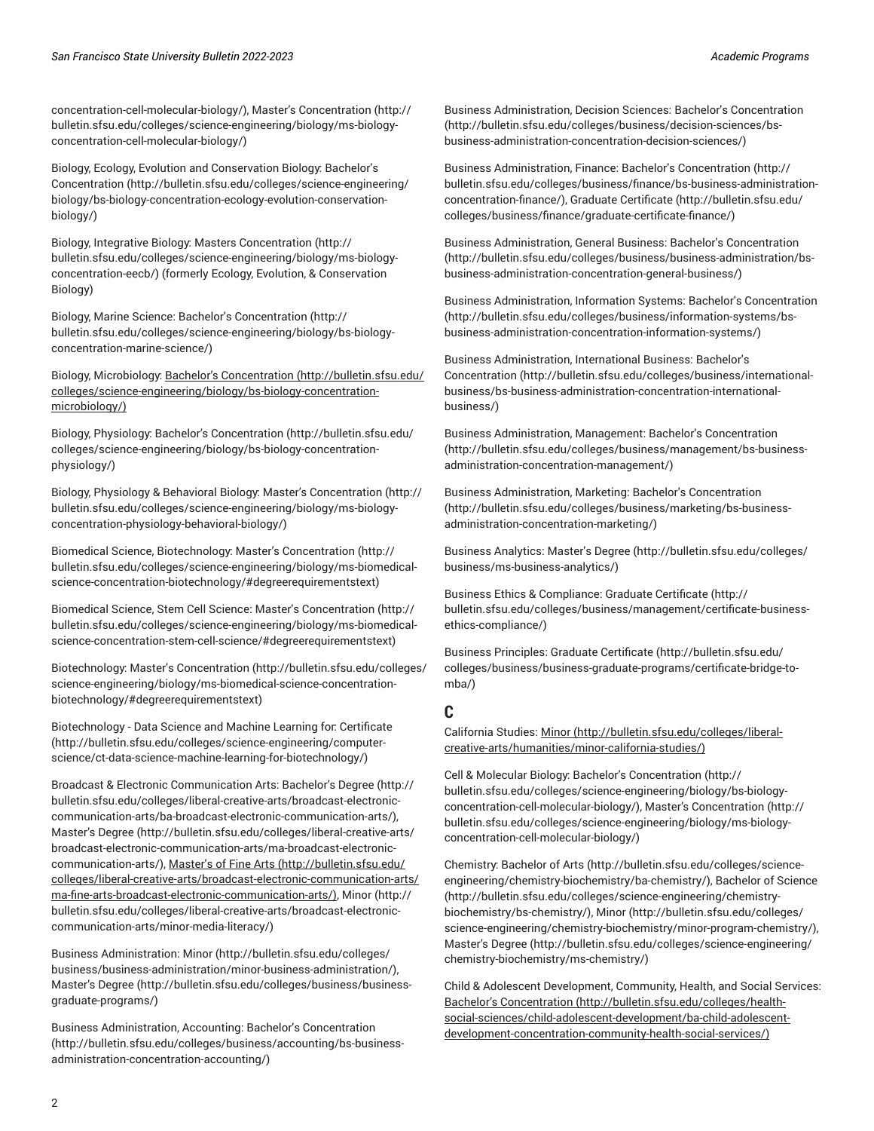[concentration-cell-molecular-biology/](http://bulletin.sfsu.edu/colleges/science-engineering/biology/bs-biology-concentration-cell-molecular-biology/)), Master's [Concentration](http://bulletin.sfsu.edu/colleges/science-engineering/biology/ms-biology-concentration-cell-molecular-biology/) ([http://](http://bulletin.sfsu.edu/colleges/science-engineering/biology/ms-biology-concentration-cell-molecular-biology/) [bulletin.sfsu.edu/colleges/science-engineering/biology/ms-biology](http://bulletin.sfsu.edu/colleges/science-engineering/biology/ms-biology-concentration-cell-molecular-biology/)[concentration-cell-molecular-biology/](http://bulletin.sfsu.edu/colleges/science-engineering/biology/ms-biology-concentration-cell-molecular-biology/))

Biology, Ecology, Evolution and Conservation Biology: [Bachelor's](http://bulletin.sfsu.edu/colleges/science-engineering/biology/bs-biology-concentration-ecology-evolution-conservation-biology/) [Concentration](http://bulletin.sfsu.edu/colleges/science-engineering/biology/bs-biology-concentration-ecology-evolution-conservation-biology/) ([http://bulletin.sfsu.edu/colleges/science-engineering/](http://bulletin.sfsu.edu/colleges/science-engineering/biology/bs-biology-concentration-ecology-evolution-conservation-biology/) [biology/bs-biology-concentration-ecology-evolution-conservation](http://bulletin.sfsu.edu/colleges/science-engineering/biology/bs-biology-concentration-ecology-evolution-conservation-biology/)[biology/\)](http://bulletin.sfsu.edu/colleges/science-engineering/biology/bs-biology-concentration-ecology-evolution-conservation-biology/)

Biology, Integrative Biology: [Masters Concentration \(http://](http://bulletin.sfsu.edu/colleges/science-engineering/biology/ms-biology-concentration-eecb/) [bulletin.sfsu.edu/colleges/science-engineering/biology/ms-biology](http://bulletin.sfsu.edu/colleges/science-engineering/biology/ms-biology-concentration-eecb/)[concentration-eecb/\)](http://bulletin.sfsu.edu/colleges/science-engineering/biology/ms-biology-concentration-eecb/) (formerly Ecology, Evolution, & Conservation Biology)

Biology, Marine Science: Bachelor's [Concentration](http://bulletin.sfsu.edu/colleges/science-engineering/biology/bs-biology-concentration-marine-science/) [\(http://](http://bulletin.sfsu.edu/colleges/science-engineering/biology/bs-biology-concentration-marine-science/) [bulletin.sfsu.edu/colleges/science-engineering/biology/bs-biology](http://bulletin.sfsu.edu/colleges/science-engineering/biology/bs-biology-concentration-marine-science/)[concentration-marine-science/](http://bulletin.sfsu.edu/colleges/science-engineering/biology/bs-biology-concentration-marine-science/))

Biology, Microbiology: Bachelor's [Concentration](http://bulletin.sfsu.edu/colleges/science-engineering/biology/bs-biology-concentration-microbiology/) ([http://bulletin.sfsu.edu/](http://bulletin.sfsu.edu/colleges/science-engineering/biology/bs-biology-concentration-microbiology/) [colleges/science-engineering/biology/bs-biology-concentration](http://bulletin.sfsu.edu/colleges/science-engineering/biology/bs-biology-concentration-microbiology/)[microbiology/\)](http://bulletin.sfsu.edu/colleges/science-engineering/biology/bs-biology-concentration-microbiology/)

Biology, Physiology: Bachelor's [Concentration \(http://bulletin.sfsu.edu/](http://bulletin.sfsu.edu/colleges/science-engineering/biology/bs-biology-concentration-physiology/) [colleges/science-engineering/biology/bs-biology-concentration](http://bulletin.sfsu.edu/colleges/science-engineering/biology/bs-biology-concentration-physiology/)[physiology/](http://bulletin.sfsu.edu/colleges/science-engineering/biology/bs-biology-concentration-physiology/))

Biology, Physiology & Behavioral Biology: Master's [Concentration](http://bulletin.sfsu.edu/colleges/science-engineering/biology/ms-biology-concentration-physiology-behavioral-biology/) ([http://](http://bulletin.sfsu.edu/colleges/science-engineering/biology/ms-biology-concentration-physiology-behavioral-biology/) [bulletin.sfsu.edu/colleges/science-engineering/biology/ms-biology](http://bulletin.sfsu.edu/colleges/science-engineering/biology/ms-biology-concentration-physiology-behavioral-biology/)[concentration-physiology-behavioral-biology/](http://bulletin.sfsu.edu/colleges/science-engineering/biology/ms-biology-concentration-physiology-behavioral-biology/))

Biomedical Science, Biotechnology: Master's [Concentration \(http://](http://bulletin.sfsu.edu/colleges/science-engineering/biology/ms-biomedical-science-concentration-biotechnology/#degreerequirementstext) [bulletin.sfsu.edu/colleges/science-engineering/biology/ms-biomedical](http://bulletin.sfsu.edu/colleges/science-engineering/biology/ms-biomedical-science-concentration-biotechnology/#degreerequirementstext)[science-concentration-biotechnology/#degreerequirementstext](http://bulletin.sfsu.edu/colleges/science-engineering/biology/ms-biomedical-science-concentration-biotechnology/#degreerequirementstext))

Biomedical Science, Stem Cell Science: Master's [Concentration \(http://](http://bulletin.sfsu.edu/colleges/science-engineering/biology/ms-biomedical-science-concentration-stem-cell-science/#degreerequirementstext) [bulletin.sfsu.edu/colleges/science-engineering/biology/ms-biomedical](http://bulletin.sfsu.edu/colleges/science-engineering/biology/ms-biomedical-science-concentration-stem-cell-science/#degreerequirementstext)[science-concentration-stem-cell-science/#degreerequirementstext\)](http://bulletin.sfsu.edu/colleges/science-engineering/biology/ms-biomedical-science-concentration-stem-cell-science/#degreerequirementstext)

Biotechnology: Master's [Concentration \(http://bulletin.sfsu.edu/colleges/](http://bulletin.sfsu.edu/colleges/science-engineering/biology/ms-biomedical-science-concentration-biotechnology/#degreerequirementstext) [science-engineering/biology/ms-biomedical-science-concentration](http://bulletin.sfsu.edu/colleges/science-engineering/biology/ms-biomedical-science-concentration-biotechnology/#degreerequirementstext)[biotechnology/#degreerequirementstext](http://bulletin.sfsu.edu/colleges/science-engineering/biology/ms-biomedical-science-concentration-biotechnology/#degreerequirementstext))

Biotechnology - Data Science and Machine Learning for: [Certificate](http://bulletin.sfsu.edu/colleges/science-engineering/computer-science/ct-data-science-machine-learning-for-biotechnology/) ([http://bulletin.sfsu.edu/colleges/science-engineering/computer](http://bulletin.sfsu.edu/colleges/science-engineering/computer-science/ct-data-science-machine-learning-for-biotechnology/)[science/ct-data-science-machine-learning-for-biotechnology/](http://bulletin.sfsu.edu/colleges/science-engineering/computer-science/ct-data-science-machine-learning-for-biotechnology/))

Broadcast & Electronic Communication Arts: [Bachelor's](http://bulletin.sfsu.edu/colleges/liberal-creative-arts/broadcast-electronic-communication-arts/ba-broadcast-electronic-communication-arts/) Degree ([http://](http://bulletin.sfsu.edu/colleges/liberal-creative-arts/broadcast-electronic-communication-arts/ba-broadcast-electronic-communication-arts/) [bulletin.sfsu.edu/colleges/liberal-creative-arts/broadcast-electronic](http://bulletin.sfsu.edu/colleges/liberal-creative-arts/broadcast-electronic-communication-arts/ba-broadcast-electronic-communication-arts/)[communication-arts/ba-broadcast-electronic-communication-arts/](http://bulletin.sfsu.edu/colleges/liberal-creative-arts/broadcast-electronic-communication-arts/ba-broadcast-electronic-communication-arts/)), [Master's](http://bulletin.sfsu.edu/colleges/liberal-creative-arts/broadcast-electronic-communication-arts/ma-broadcast-electronic-communication-arts/) Degree ([http://bulletin.sfsu.edu/colleges/liberal-creative-arts/](http://bulletin.sfsu.edu/colleges/liberal-creative-arts/broadcast-electronic-communication-arts/ma-broadcast-electronic-communication-arts/) [broadcast-electronic-communication-arts/ma-broadcast-electronic](http://bulletin.sfsu.edu/colleges/liberal-creative-arts/broadcast-electronic-communication-arts/ma-broadcast-electronic-communication-arts/)[communication-arts/\)](http://bulletin.sfsu.edu/colleges/liberal-creative-arts/broadcast-electronic-communication-arts/ma-broadcast-electronic-communication-arts/), [Master's](http://bulletin.sfsu.edu/colleges/liberal-creative-arts/broadcast-electronic-communication-arts/ma-fine-arts-broadcast-electronic-communication-arts/) of Fine Arts [\(http://bulletin.sfsu.edu/](http://bulletin.sfsu.edu/colleges/liberal-creative-arts/broadcast-electronic-communication-arts/ma-fine-arts-broadcast-electronic-communication-arts/) [colleges/liberal-creative-arts/broadcast-electronic-communication-arts/](http://bulletin.sfsu.edu/colleges/liberal-creative-arts/broadcast-electronic-communication-arts/ma-fine-arts-broadcast-electronic-communication-arts/) [ma-fine-arts-broadcast-electronic-communication-arts/](http://bulletin.sfsu.edu/colleges/liberal-creative-arts/broadcast-electronic-communication-arts/ma-fine-arts-broadcast-electronic-communication-arts/)), [Minor](http://bulletin.sfsu.edu/colleges/liberal-creative-arts/broadcast-electronic-communication-arts/minor-media-literacy/) [\(http://](http://bulletin.sfsu.edu/colleges/liberal-creative-arts/broadcast-electronic-communication-arts/minor-media-literacy/) [bulletin.sfsu.edu/colleges/liberal-creative-arts/broadcast-electronic](http://bulletin.sfsu.edu/colleges/liberal-creative-arts/broadcast-electronic-communication-arts/minor-media-literacy/)[communication-arts/minor-media-literacy/](http://bulletin.sfsu.edu/colleges/liberal-creative-arts/broadcast-electronic-communication-arts/minor-media-literacy/))

Business Administration: [Minor](http://bulletin.sfsu.edu/colleges/business/business-administration/minor-business-administration/) ([http://bulletin.sfsu.edu/colleges/](http://bulletin.sfsu.edu/colleges/business/business-administration/minor-business-administration/) [business/business-administration/minor-business-administration/](http://bulletin.sfsu.edu/colleges/business/business-administration/minor-business-administration/)), [Master's](http://bulletin.sfsu.edu/colleges/business/business-graduate-programs/) Degree ([http://bulletin.sfsu.edu/colleges/business/business](http://bulletin.sfsu.edu/colleges/business/business-graduate-programs/)[graduate-programs/](http://bulletin.sfsu.edu/colleges/business/business-graduate-programs/))

Business Administration, Accounting: Bachelor's [Concentration](http://bulletin.sfsu.edu/colleges/business/accounting/bs-business-administration-concentration-accounting/) ([http://bulletin.sfsu.edu/colleges/business/accounting/bs-business](http://bulletin.sfsu.edu/colleges/business/accounting/bs-business-administration-concentration-accounting/)[administration-concentration-accounting/\)](http://bulletin.sfsu.edu/colleges/business/accounting/bs-business-administration-concentration-accounting/)

Business Administration, Decision Sciences: Bachelor's [Concentration](http://bulletin.sfsu.edu/colleges/business/decision-sciences/bs-business-administration-concentration-decision-sciences/) [\(http://bulletin.sfsu.edu/colleges/business/decision-sciences/bs](http://bulletin.sfsu.edu/colleges/business/decision-sciences/bs-business-administration-concentration-decision-sciences/)[business-administration-concentration-decision-sciences/](http://bulletin.sfsu.edu/colleges/business/decision-sciences/bs-business-administration-concentration-decision-sciences/))

Business Administration, Finance: Bachelor's [Concentration](http://bulletin.sfsu.edu/colleges/business/finance/bs-business-administration-concentration-finance/) ([http://](http://bulletin.sfsu.edu/colleges/business/finance/bs-business-administration-concentration-finance/) [bulletin.sfsu.edu/colleges/business/finance/bs-business-administration](http://bulletin.sfsu.edu/colleges/business/finance/bs-business-administration-concentration-finance/)[concentration-finance/](http://bulletin.sfsu.edu/colleges/business/finance/bs-business-administration-concentration-finance/)), Graduate [Certificate \(http://bulletin.sfsu.edu/](http://bulletin.sfsu.edu/colleges/business/finance/graduate-certificate-finance/) [colleges/business/finance/graduate-certificate-finance/](http://bulletin.sfsu.edu/colleges/business/finance/graduate-certificate-finance/))

Business Administration, General Business: Bachelor's [Concentration](http://bulletin.sfsu.edu/colleges/business/business-administration/bs-business-administration-concentration-general-business/) [\(http://bulletin.sfsu.edu/colleges/business/business-administration/bs](http://bulletin.sfsu.edu/colleges/business/business-administration/bs-business-administration-concentration-general-business/)[business-administration-concentration-general-business/](http://bulletin.sfsu.edu/colleges/business/business-administration/bs-business-administration-concentration-general-business/))

Business Administration, Information Systems: Bachelor's [Concentration](http://bulletin.sfsu.edu/colleges/business/information-systems/bs-business-administration-concentration-information-systems/) [\(http://bulletin.sfsu.edu/colleges/business/information-systems/bs](http://bulletin.sfsu.edu/colleges/business/information-systems/bs-business-administration-concentration-information-systems/)[business-administration-concentration-information-systems/\)](http://bulletin.sfsu.edu/colleges/business/information-systems/bs-business-administration-concentration-information-systems/)

Business Administration, International Business: [Bachelor's](http://bulletin.sfsu.edu/colleges/business/international-business/bs-business-administration-concentration-international-business/) [Concentration](http://bulletin.sfsu.edu/colleges/business/international-business/bs-business-administration-concentration-international-business/) ([http://bulletin.sfsu.edu/colleges/business/international](http://bulletin.sfsu.edu/colleges/business/international-business/bs-business-administration-concentration-international-business/)[business/bs-business-administration-concentration-international](http://bulletin.sfsu.edu/colleges/business/international-business/bs-business-administration-concentration-international-business/)[business/](http://bulletin.sfsu.edu/colleges/business/international-business/bs-business-administration-concentration-international-business/))

Business Administration, Management: Bachelor's [Concentration](http://bulletin.sfsu.edu/colleges/business/management/bs-business-administration-concentration-management/) [\(http://bulletin.sfsu.edu/colleges/business/management/bs-business](http://bulletin.sfsu.edu/colleges/business/management/bs-business-administration-concentration-management/)[administration-concentration-management/](http://bulletin.sfsu.edu/colleges/business/management/bs-business-administration-concentration-management/))

Business Administration, Marketing: Bachelor's [Concentration](http://bulletin.sfsu.edu/colleges/business/marketing/bs-business-administration-concentration-marketing/) [\(http://bulletin.sfsu.edu/colleges/business/marketing/bs-business](http://bulletin.sfsu.edu/colleges/business/marketing/bs-business-administration-concentration-marketing/)[administration-concentration-marketing/\)](http://bulletin.sfsu.edu/colleges/business/marketing/bs-business-administration-concentration-marketing/)

Business Analytics: [Master's](http://bulletin.sfsu.edu/colleges/business/ms-business-analytics/) Degree [\(http://bulletin.sfsu.edu/colleges/](http://bulletin.sfsu.edu/colleges/business/ms-business-analytics/) [business/ms-business-analytics/\)](http://bulletin.sfsu.edu/colleges/business/ms-business-analytics/)

Business Ethics & Compliance: Graduate [Certificate](http://bulletin.sfsu.edu/colleges/business/management/certificate-business-ethics-compliance/) ([http://](http://bulletin.sfsu.edu/colleges/business/management/certificate-business-ethics-compliance/) [bulletin.sfsu.edu/colleges/business/management/certificate-business](http://bulletin.sfsu.edu/colleges/business/management/certificate-business-ethics-compliance/)[ethics-compliance/\)](http://bulletin.sfsu.edu/colleges/business/management/certificate-business-ethics-compliance/)

Business Principles: Graduate [Certificate](http://bulletin.sfsu.edu/colleges/business/business-graduate-programs/certificate-bridge-to-mba/) ([http://bulletin.sfsu.edu/](http://bulletin.sfsu.edu/colleges/business/business-graduate-programs/certificate-bridge-to-mba/) [colleges/business/business-graduate-programs/certificate-bridge-to](http://bulletin.sfsu.edu/colleges/business/business-graduate-programs/certificate-bridge-to-mba/)[mba/\)](http://bulletin.sfsu.edu/colleges/business/business-graduate-programs/certificate-bridge-to-mba/)

#### <span id="page-1-0"></span>**C**

California Studies: [Minor](http://bulletin.sfsu.edu/colleges/liberal-creative-arts/humanities/minor-california-studies/) ([http://bulletin.sfsu.edu/colleges/liberal](http://bulletin.sfsu.edu/colleges/liberal-creative-arts/humanities/minor-california-studies/)[creative-arts/humanities/minor-california-studies/\)](http://bulletin.sfsu.edu/colleges/liberal-creative-arts/humanities/minor-california-studies/)

Cell & Molecular Biology: Bachelor's [Concentration \(http://](http://bulletin.sfsu.edu/colleges/science-engineering/biology/bs-biology-concentration-cell-molecular-biology/) [bulletin.sfsu.edu/colleges/science-engineering/biology/bs-biology](http://bulletin.sfsu.edu/colleges/science-engineering/biology/bs-biology-concentration-cell-molecular-biology/)[concentration-cell-molecular-biology/\)](http://bulletin.sfsu.edu/colleges/science-engineering/biology/bs-biology-concentration-cell-molecular-biology/), Master's [Concentration \(http://](http://bulletin.sfsu.edu/colleges/science-engineering/biology/ms-biology-concentration-cell-molecular-biology/) [bulletin.sfsu.edu/colleges/science-engineering/biology/ms-biology](http://bulletin.sfsu.edu/colleges/science-engineering/biology/ms-biology-concentration-cell-molecular-biology/)[concentration-cell-molecular-biology/\)](http://bulletin.sfsu.edu/colleges/science-engineering/biology/ms-biology-concentration-cell-molecular-biology/)

Chemistry: [Bachelor](http://bulletin.sfsu.edu/colleges/science-engineering/chemistry-biochemistry/ba-chemistry/) of Arts ([http://bulletin.sfsu.edu/colleges/science](http://bulletin.sfsu.edu/colleges/science-engineering/chemistry-biochemistry/ba-chemistry/)[engineering/chemistry-biochemistry/ba-chemistry/](http://bulletin.sfsu.edu/colleges/science-engineering/chemistry-biochemistry/ba-chemistry/)), [Bachelor of Science](http://bulletin.sfsu.edu/colleges/science-engineering/chemistry-biochemistry/bs-chemistry/) [\(http://bulletin.sfsu.edu/colleges/science-engineering/chemistry](http://bulletin.sfsu.edu/colleges/science-engineering/chemistry-biochemistry/bs-chemistry/)[biochemistry/bs-chemistry/\)](http://bulletin.sfsu.edu/colleges/science-engineering/chemistry-biochemistry/bs-chemistry/), [Minor \(http://bulletin.sfsu.edu/colleges/](http://bulletin.sfsu.edu/colleges/science-engineering/chemistry-biochemistry/minor-program-chemistry/) [science-engineering/chemistry-biochemistry/minor-program-chemistry/\)](http://bulletin.sfsu.edu/colleges/science-engineering/chemistry-biochemistry/minor-program-chemistry/), [Master's](http://bulletin.sfsu.edu/colleges/science-engineering/chemistry-biochemistry/ms-chemistry/) Degree ([http://bulletin.sfsu.edu/colleges/science-engineering/](http://bulletin.sfsu.edu/colleges/science-engineering/chemistry-biochemistry/ms-chemistry/) [chemistry-biochemistry/ms-chemistry/\)](http://bulletin.sfsu.edu/colleges/science-engineering/chemistry-biochemistry/ms-chemistry/)

Child & Adolescent Development, Community, Health, and Social Services: Bachelor's [Concentration \(http://bulletin.sfsu.edu/colleges/health](http://bulletin.sfsu.edu/colleges/health-social-sciences/child-adolescent-development/ba-child-adolescent-development-concentration-community-health-social-services/)[social-sciences/child-adolescent-development/ba-child-adolescent](http://bulletin.sfsu.edu/colleges/health-social-sciences/child-adolescent-development/ba-child-adolescent-development-concentration-community-health-social-services/)[development-concentration-community-health-social-services/\)](http://bulletin.sfsu.edu/colleges/health-social-sciences/child-adolescent-development/ba-child-adolescent-development-concentration-community-health-social-services/)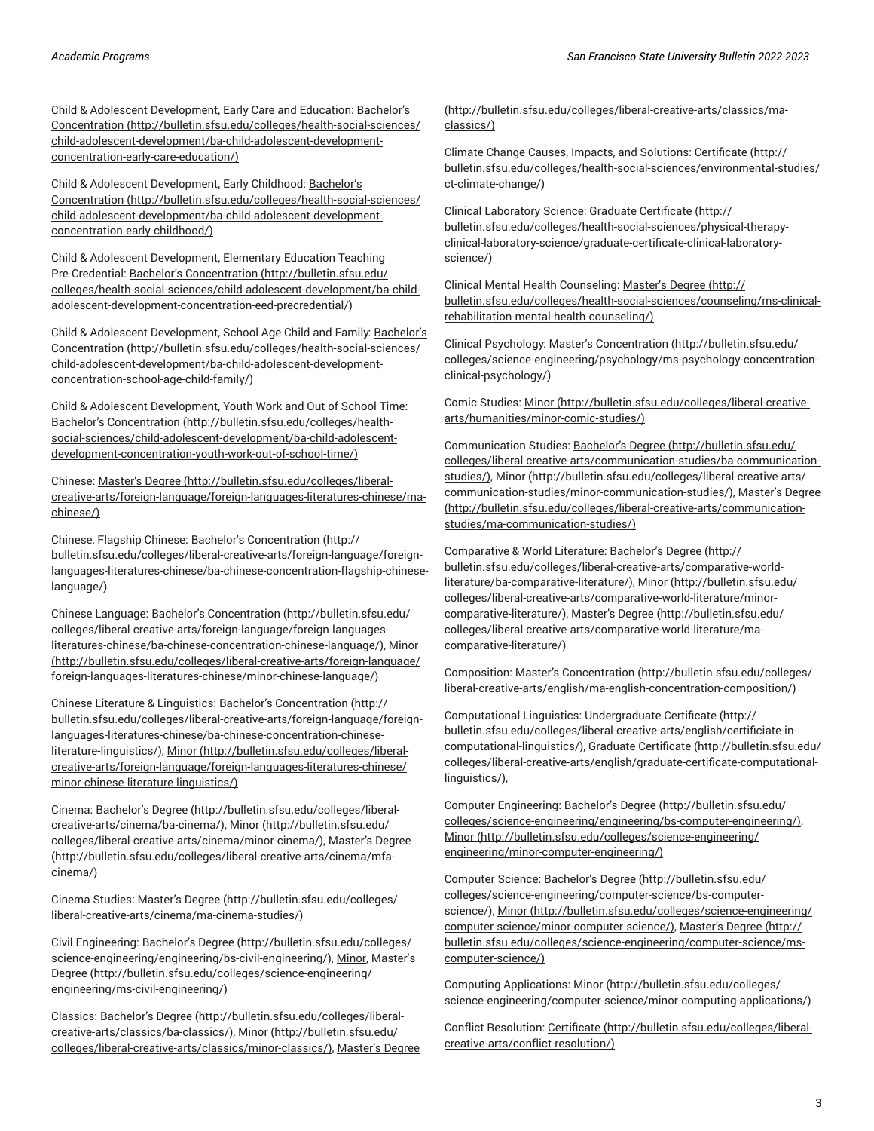Child & Adolescent Development, Early Care and Education: [Bachelor's](http://bulletin.sfsu.edu/colleges/health-social-sciences/child-adolescent-development/ba-child-adolescent-development-concentration-early-care-education/) [Concentration](http://bulletin.sfsu.edu/colleges/health-social-sciences/child-adolescent-development/ba-child-adolescent-development-concentration-early-care-education/) ([http://bulletin.sfsu.edu/colleges/health-social-sciences/](http://bulletin.sfsu.edu/colleges/health-social-sciences/child-adolescent-development/ba-child-adolescent-development-concentration-early-care-education/) [child-adolescent-development/ba-child-adolescent-development](http://bulletin.sfsu.edu/colleges/health-social-sciences/child-adolescent-development/ba-child-adolescent-development-concentration-early-care-education/)[concentration-early-care-education/\)](http://bulletin.sfsu.edu/colleges/health-social-sciences/child-adolescent-development/ba-child-adolescent-development-concentration-early-care-education/)

Child & Adolescent Development, Early Childhood: [Bachelor's](http://bulletin.sfsu.edu/colleges/health-social-sciences/child-adolescent-development/ba-child-adolescent-development-concentration-early-childhood/) [Concentration](http://bulletin.sfsu.edu/colleges/health-social-sciences/child-adolescent-development/ba-child-adolescent-development-concentration-early-childhood/) ([http://bulletin.sfsu.edu/colleges/health-social-sciences/](http://bulletin.sfsu.edu/colleges/health-social-sciences/child-adolescent-development/ba-child-adolescent-development-concentration-early-childhood/) [child-adolescent-development/ba-child-adolescent-development](http://bulletin.sfsu.edu/colleges/health-social-sciences/child-adolescent-development/ba-child-adolescent-development-concentration-early-childhood/)[concentration-early-childhood/\)](http://bulletin.sfsu.edu/colleges/health-social-sciences/child-adolescent-development/ba-child-adolescent-development-concentration-early-childhood/)

Child & Adolescent Development, Elementary Education Teaching Pre-Credential: Bachelor's [Concentration \(http://bulletin.sfsu.edu/](http://bulletin.sfsu.edu/colleges/health-social-sciences/child-adolescent-development/ba-child-adolescent-development-concentration-eed-precredential/) [colleges/health-social-sciences/child-adolescent-development/ba-child](http://bulletin.sfsu.edu/colleges/health-social-sciences/child-adolescent-development/ba-child-adolescent-development-concentration-eed-precredential/)[adolescent-development-concentration-eed-precredential/](http://bulletin.sfsu.edu/colleges/health-social-sciences/child-adolescent-development/ba-child-adolescent-development-concentration-eed-precredential/))

Child & Adolescent Development, School Age Child and Family: [Bachelor's](http://bulletin.sfsu.edu/colleges/health-social-sciences/child-adolescent-development/ba-child-adolescent-development-concentration-school-age-child-family/) [Concentration](http://bulletin.sfsu.edu/colleges/health-social-sciences/child-adolescent-development/ba-child-adolescent-development-concentration-school-age-child-family/) ([http://bulletin.sfsu.edu/colleges/health-social-sciences/](http://bulletin.sfsu.edu/colleges/health-social-sciences/child-adolescent-development/ba-child-adolescent-development-concentration-school-age-child-family/) [child-adolescent-development/ba-child-adolescent-development](http://bulletin.sfsu.edu/colleges/health-social-sciences/child-adolescent-development/ba-child-adolescent-development-concentration-school-age-child-family/)[concentration-school-age-child-family/\)](http://bulletin.sfsu.edu/colleges/health-social-sciences/child-adolescent-development/ba-child-adolescent-development-concentration-school-age-child-family/)

Child & Adolescent Development, Youth Work and Out of School Time: Bachelor's [Concentration](http://bulletin.sfsu.edu/colleges/health-social-sciences/child-adolescent-development/ba-child-adolescent-development-concentration-youth-work-out-of-school-time/) ([http://bulletin.sfsu.edu/colleges/health](http://bulletin.sfsu.edu/colleges/health-social-sciences/child-adolescent-development/ba-child-adolescent-development-concentration-youth-work-out-of-school-time/)[social-sciences/child-adolescent-development/ba-child-adolescent](http://bulletin.sfsu.edu/colleges/health-social-sciences/child-adolescent-development/ba-child-adolescent-development-concentration-youth-work-out-of-school-time/)[development-concentration-youth-work-out-of-school-time/](http://bulletin.sfsu.edu/colleges/health-social-sciences/child-adolescent-development/ba-child-adolescent-development-concentration-youth-work-out-of-school-time/))

Chinese: [Master's](http://bulletin.sfsu.edu/colleges/liberal-creative-arts/foreign-language/foreign-languages-literatures-chinese/ma-chinese/) Degree [\(http://bulletin.sfsu.edu/colleges/liberal](http://bulletin.sfsu.edu/colleges/liberal-creative-arts/foreign-language/foreign-languages-literatures-chinese/ma-chinese/)[creative-arts/foreign-language/foreign-languages-literatures-chinese/ma](http://bulletin.sfsu.edu/colleges/liberal-creative-arts/foreign-language/foreign-languages-literatures-chinese/ma-chinese/)[chinese/](http://bulletin.sfsu.edu/colleges/liberal-creative-arts/foreign-language/foreign-languages-literatures-chinese/ma-chinese/))

Chinese, Flagship Chinese: Bachelor's [Concentration](http://bulletin.sfsu.edu/colleges/liberal-creative-arts/foreign-language/foreign-languages-literatures-chinese/ba-chinese-concentration-flagship-chinese-language/) ([http://](http://bulletin.sfsu.edu/colleges/liberal-creative-arts/foreign-language/foreign-languages-literatures-chinese/ba-chinese-concentration-flagship-chinese-language/) [bulletin.sfsu.edu/colleges/liberal-creative-arts/foreign-language/foreign](http://bulletin.sfsu.edu/colleges/liberal-creative-arts/foreign-language/foreign-languages-literatures-chinese/ba-chinese-concentration-flagship-chinese-language/)[languages-literatures-chinese/ba-chinese-concentration-flagship-chinese](http://bulletin.sfsu.edu/colleges/liberal-creative-arts/foreign-language/foreign-languages-literatures-chinese/ba-chinese-concentration-flagship-chinese-language/)[language/\)](http://bulletin.sfsu.edu/colleges/liberal-creative-arts/foreign-language/foreign-languages-literatures-chinese/ba-chinese-concentration-flagship-chinese-language/)

Chinese Language: Bachelor's [Concentration](http://bulletin.sfsu.edu/colleges/liberal-creative-arts/foreign-language/foreign-languages-literatures-chinese/ba-chinese-concentration-chinese-language/) [\(http://bulletin.sfsu.edu/](http://bulletin.sfsu.edu/colleges/liberal-creative-arts/foreign-language/foreign-languages-literatures-chinese/ba-chinese-concentration-chinese-language/) [colleges/liberal-creative-arts/foreign-language/foreign-languages](http://bulletin.sfsu.edu/colleges/liberal-creative-arts/foreign-language/foreign-languages-literatures-chinese/ba-chinese-concentration-chinese-language/)[literatures-chinese/ba-chinese-concentration-chinese-language/](http://bulletin.sfsu.edu/colleges/liberal-creative-arts/foreign-language/foreign-languages-literatures-chinese/ba-chinese-concentration-chinese-language/)), [Minor](http://bulletin.sfsu.edu/colleges/liberal-creative-arts/foreign-language/foreign-languages-literatures-chinese/minor-chinese-language/) ([http://bulletin.sfsu.edu/colleges/liberal-creative-arts/foreign-language/](http://bulletin.sfsu.edu/colleges/liberal-creative-arts/foreign-language/foreign-languages-literatures-chinese/minor-chinese-language/) [foreign-languages-literatures-chinese/minor-chinese-language/\)](http://bulletin.sfsu.edu/colleges/liberal-creative-arts/foreign-language/foreign-languages-literatures-chinese/minor-chinese-language/)

Chinese Literature & Linguistics: Bachelor's [Concentration](http://bulletin.sfsu.edu/colleges/liberal-creative-arts/foreign-language/foreign-languages-literatures-chinese/ba-chinese-concentration-chinese-literature-linguistics/) ([http://](http://bulletin.sfsu.edu/colleges/liberal-creative-arts/foreign-language/foreign-languages-literatures-chinese/ba-chinese-concentration-chinese-literature-linguistics/) [bulletin.sfsu.edu/colleges/liberal-creative-arts/foreign-language/foreign](http://bulletin.sfsu.edu/colleges/liberal-creative-arts/foreign-language/foreign-languages-literatures-chinese/ba-chinese-concentration-chinese-literature-linguistics/)[languages-literatures-chinese/ba-chinese-concentration-chinese](http://bulletin.sfsu.edu/colleges/liberal-creative-arts/foreign-language/foreign-languages-literatures-chinese/ba-chinese-concentration-chinese-literature-linguistics/)[literature-linguistics/\)](http://bulletin.sfsu.edu/colleges/liberal-creative-arts/foreign-language/foreign-languages-literatures-chinese/ba-chinese-concentration-chinese-literature-linguistics/), [Minor](http://bulletin.sfsu.edu/colleges/liberal-creative-arts/foreign-language/foreign-languages-literatures-chinese/minor-chinese-literature-linguistics/) ([http://bulletin.sfsu.edu/colleges/liberal](http://bulletin.sfsu.edu/colleges/liberal-creative-arts/foreign-language/foreign-languages-literatures-chinese/minor-chinese-literature-linguistics/)[creative-arts/foreign-language/foreign-languages-literatures-chinese/](http://bulletin.sfsu.edu/colleges/liberal-creative-arts/foreign-language/foreign-languages-literatures-chinese/minor-chinese-literature-linguistics/) [minor-chinese-literature-linguistics/\)](http://bulletin.sfsu.edu/colleges/liberal-creative-arts/foreign-language/foreign-languages-literatures-chinese/minor-chinese-literature-linguistics/)

Cinema: [Bachelor's](http://bulletin.sfsu.edu/colleges/liberal-creative-arts/cinema/ba-cinema/) Degree [\(http://bulletin.sfsu.edu/colleges/liberal](http://bulletin.sfsu.edu/colleges/liberal-creative-arts/cinema/ba-cinema/)[creative-arts/cinema/ba-cinema/\)](http://bulletin.sfsu.edu/colleges/liberal-creative-arts/cinema/ba-cinema/), [Minor \(http://bulletin.sfsu.edu/](http://bulletin.sfsu.edu/colleges/liberal-creative-arts/cinema/minor-cinema/) [colleges/liberal-creative-arts/cinema/minor-cinema/\)](http://bulletin.sfsu.edu/colleges/liberal-creative-arts/cinema/minor-cinema/), [Master's](http://bulletin.sfsu.edu/colleges/liberal-creative-arts/cinema/mfa-cinema/) Degree ([http://bulletin.sfsu.edu/colleges/liberal-creative-arts/cinema/mfa](http://bulletin.sfsu.edu/colleges/liberal-creative-arts/cinema/mfa-cinema/)[cinema/\)](http://bulletin.sfsu.edu/colleges/liberal-creative-arts/cinema/mfa-cinema/)

Cinema Studies: [Master's](http://bulletin.sfsu.edu/colleges/liberal-creative-arts/cinema/ma-cinema-studies/) Degree [\(http://bulletin.sfsu.edu/colleges/](http://bulletin.sfsu.edu/colleges/liberal-creative-arts/cinema/ma-cinema-studies/) [liberal-creative-arts/cinema/ma-cinema-studies/\)](http://bulletin.sfsu.edu/colleges/liberal-creative-arts/cinema/ma-cinema-studies/)

Civil Engineering: [Bachelor's](http://bulletin.sfsu.edu/colleges/science-engineering/engineering/bs-civil-engineering/) Degree ([http://bulletin.sfsu.edu/colleges/](http://bulletin.sfsu.edu/colleges/science-engineering/engineering/bs-civil-engineering/) [science-engineering/engineering/bs-civil-engineering/\)](http://bulletin.sfsu.edu/colleges/science-engineering/engineering/bs-civil-engineering/), Minor, [Master's](http://bulletin.sfsu.edu/colleges/science-engineering/engineering/ms-civil-engineering/) [Degree](http://bulletin.sfsu.edu/colleges/science-engineering/engineering/ms-civil-engineering/) ([http://bulletin.sfsu.edu/colleges/science-engineering/](http://bulletin.sfsu.edu/colleges/science-engineering/engineering/ms-civil-engineering/) [engineering/ms-civil-engineering/\)](http://bulletin.sfsu.edu/colleges/science-engineering/engineering/ms-civil-engineering/)

Classics: [Bachelor's](http://bulletin.sfsu.edu/colleges/liberal-creative-arts/classics/ba-classics/) Degree [\(http://bulletin.sfsu.edu/colleges/liberal](http://bulletin.sfsu.edu/colleges/liberal-creative-arts/classics/ba-classics/)[creative-arts/classics/ba-classics/\)](http://bulletin.sfsu.edu/colleges/liberal-creative-arts/classics/ba-classics/), [Minor \(http://bulletin.sfsu.edu/](http://bulletin.sfsu.edu/colleges/liberal-creative-arts/classics/minor-classics/) [colleges/liberal-creative-arts/classics/minor-classics/\)](http://bulletin.sfsu.edu/colleges/liberal-creative-arts/classics/minor-classics/), [Master's](http://bulletin.sfsu.edu/colleges/liberal-creative-arts/classics/ma-classics/) Degree

#### [\(http://bulletin.sfsu.edu/colleges/liberal-creative-arts/classics/ma](http://bulletin.sfsu.edu/colleges/liberal-creative-arts/classics/ma-classics/)[classics/](http://bulletin.sfsu.edu/colleges/liberal-creative-arts/classics/ma-classics/))

Climate Change Causes, Impacts, and Solutions: [Certificate \(http://](http://bulletin.sfsu.edu/colleges/health-social-sciences/environmental-studies/ct-climate-change/) [bulletin.sfsu.edu/colleges/health-social-sciences/environmental-studies/](http://bulletin.sfsu.edu/colleges/health-social-sciences/environmental-studies/ct-climate-change/) [ct-climate-change/](http://bulletin.sfsu.edu/colleges/health-social-sciences/environmental-studies/ct-climate-change/))

Clinical Laboratory Science: Graduate [Certificate](http://bulletin.sfsu.edu/colleges/health-social-sciences/physical-therapy-clinical-laboratory-science/graduate-certificate-clinical-laboratory-science/) ([http://](http://bulletin.sfsu.edu/colleges/health-social-sciences/physical-therapy-clinical-laboratory-science/graduate-certificate-clinical-laboratory-science/) [bulletin.sfsu.edu/colleges/health-social-sciences/physical-therapy](http://bulletin.sfsu.edu/colleges/health-social-sciences/physical-therapy-clinical-laboratory-science/graduate-certificate-clinical-laboratory-science/)[clinical-laboratory-science/graduate-certificate-clinical-laboratory](http://bulletin.sfsu.edu/colleges/health-social-sciences/physical-therapy-clinical-laboratory-science/graduate-certificate-clinical-laboratory-science/)[science/](http://bulletin.sfsu.edu/colleges/health-social-sciences/physical-therapy-clinical-laboratory-science/graduate-certificate-clinical-laboratory-science/))

Clinical Mental Health Counseling: [Master's](http://bulletin.sfsu.edu/colleges/health-social-sciences/counseling/ms-clinical-rehabilitation-mental-health-counseling/) Degree [\(http://](http://bulletin.sfsu.edu/colleges/health-social-sciences/counseling/ms-clinical-rehabilitation-mental-health-counseling/) [bulletin.sfsu.edu/colleges/health-social-sciences/counseling/ms-clinical](http://bulletin.sfsu.edu/colleges/health-social-sciences/counseling/ms-clinical-rehabilitation-mental-health-counseling/)[rehabilitation-mental-health-counseling/](http://bulletin.sfsu.edu/colleges/health-social-sciences/counseling/ms-clinical-rehabilitation-mental-health-counseling/))

Clinical Psychology: Master's [Concentration](http://bulletin.sfsu.edu/colleges/science-engineering/psychology/ms-psychology-concentration-clinical-psychology/) [\(http://bulletin.sfsu.edu/](http://bulletin.sfsu.edu/colleges/science-engineering/psychology/ms-psychology-concentration-clinical-psychology/) [colleges/science-engineering/psychology/ms-psychology-concentration](http://bulletin.sfsu.edu/colleges/science-engineering/psychology/ms-psychology-concentration-clinical-psychology/)[clinical-psychology/](http://bulletin.sfsu.edu/colleges/science-engineering/psychology/ms-psychology-concentration-clinical-psychology/))

Comic Studies: [Minor](http://bulletin.sfsu.edu/colleges/liberal-creative-arts/humanities/minor-comic-studies/) ([http://bulletin.sfsu.edu/colleges/liberal-creative](http://bulletin.sfsu.edu/colleges/liberal-creative-arts/humanities/minor-comic-studies/)[arts/humanities/minor-comic-studies/](http://bulletin.sfsu.edu/colleges/liberal-creative-arts/humanities/minor-comic-studies/))

Communication Studies: [Bachelor's](http://bulletin.sfsu.edu/colleges/liberal-creative-arts/communication-studies/ba-communication-studies/) Degree ([http://bulletin.sfsu.edu/](http://bulletin.sfsu.edu/colleges/liberal-creative-arts/communication-studies/ba-communication-studies/) [colleges/liberal-creative-arts/communication-studies/ba-communication](http://bulletin.sfsu.edu/colleges/liberal-creative-arts/communication-studies/ba-communication-studies/)[studies/](http://bulletin.sfsu.edu/colleges/liberal-creative-arts/communication-studies/ba-communication-studies/)), [Minor](http://bulletin.sfsu.edu/colleges/liberal-creative-arts/communication-studies/minor-communication-studies/) ([http://bulletin.sfsu.edu/colleges/liberal-creative-arts/](http://bulletin.sfsu.edu/colleges/liberal-creative-arts/communication-studies/minor-communication-studies/) [communication-studies/minor-communication-studies/\)](http://bulletin.sfsu.edu/colleges/liberal-creative-arts/communication-studies/minor-communication-studies/), [Master's](http://bulletin.sfsu.edu/colleges/liberal-creative-arts/communication-studies/ma-communication-studies/) Degree [\(http://bulletin.sfsu.edu/colleges/liberal-creative-arts/communication](http://bulletin.sfsu.edu/colleges/liberal-creative-arts/communication-studies/ma-communication-studies/)[studies/ma-communication-studies/](http://bulletin.sfsu.edu/colleges/liberal-creative-arts/communication-studies/ma-communication-studies/))

Comparative & World Literature: [Bachelor's](http://bulletin.sfsu.edu/colleges/liberal-creative-arts/comparative-world-literature/ba-comparative-literature/) Degree [\(http://](http://bulletin.sfsu.edu/colleges/liberal-creative-arts/comparative-world-literature/ba-comparative-literature/) [bulletin.sfsu.edu/colleges/liberal-creative-arts/comparative-world](http://bulletin.sfsu.edu/colleges/liberal-creative-arts/comparative-world-literature/ba-comparative-literature/)[literature/ba-comparative-literature/\)](http://bulletin.sfsu.edu/colleges/liberal-creative-arts/comparative-world-literature/ba-comparative-literature/), [Minor](http://bulletin.sfsu.edu/colleges/liberal-creative-arts/comparative-world-literature/minor-comparative-literature/) ([http://bulletin.sfsu.edu/](http://bulletin.sfsu.edu/colleges/liberal-creative-arts/comparative-world-literature/minor-comparative-literature/) [colleges/liberal-creative-arts/comparative-world-literature/minor](http://bulletin.sfsu.edu/colleges/liberal-creative-arts/comparative-world-literature/minor-comparative-literature/)[comparative-literature/](http://bulletin.sfsu.edu/colleges/liberal-creative-arts/comparative-world-literature/minor-comparative-literature/)), [Master's](http://bulletin.sfsu.edu/colleges/liberal-creative-arts/comparative-world-literature/ma-comparative-literature/) Degree ([http://bulletin.sfsu.edu/](http://bulletin.sfsu.edu/colleges/liberal-creative-arts/comparative-world-literature/ma-comparative-literature/) [colleges/liberal-creative-arts/comparative-world-literature/ma](http://bulletin.sfsu.edu/colleges/liberal-creative-arts/comparative-world-literature/ma-comparative-literature/)[comparative-literature/](http://bulletin.sfsu.edu/colleges/liberal-creative-arts/comparative-world-literature/ma-comparative-literature/))

Composition: Master's [Concentration \(http://bulletin.sfsu.edu/colleges/](http://bulletin.sfsu.edu/colleges/liberal-creative-arts/english/ma-english-concentration-composition/) [liberal-creative-arts/english/ma-english-concentration-composition/](http://bulletin.sfsu.edu/colleges/liberal-creative-arts/english/ma-english-concentration-composition/))

Computational Linguistics: [Undergraduate](http://bulletin.sfsu.edu/colleges/liberal-creative-arts/english/certificiate-in-computational-linguistics/) Certificate ([http://](http://bulletin.sfsu.edu/colleges/liberal-creative-arts/english/certificiate-in-computational-linguistics/) [bulletin.sfsu.edu/colleges/liberal-creative-arts/english/certificiate-in](http://bulletin.sfsu.edu/colleges/liberal-creative-arts/english/certificiate-in-computational-linguistics/)[computational-linguistics/](http://bulletin.sfsu.edu/colleges/liberal-creative-arts/english/certificiate-in-computational-linguistics/)), Graduate [Certificate](http://bulletin.sfsu.edu/colleges/liberal-creative-arts/english/graduate-certificate-computational-linguistics/) [\(http://bulletin.sfsu.edu/](http://bulletin.sfsu.edu/colleges/liberal-creative-arts/english/graduate-certificate-computational-linguistics/) [colleges/liberal-creative-arts/english/graduate-certificate-computational](http://bulletin.sfsu.edu/colleges/liberal-creative-arts/english/graduate-certificate-computational-linguistics/)[linguistics/\)](http://bulletin.sfsu.edu/colleges/liberal-creative-arts/english/graduate-certificate-computational-linguistics/),

Computer Engineering: [Bachelor's](http://bulletin.sfsu.edu/colleges/science-engineering/engineering/bs-computer-engineering/) Degree [\(http://bulletin.sfsu.edu/](http://bulletin.sfsu.edu/colleges/science-engineering/engineering/bs-computer-engineering/) [colleges/science-engineering/engineering/bs-computer-engineering/\)](http://bulletin.sfsu.edu/colleges/science-engineering/engineering/bs-computer-engineering/), [Minor](http://bulletin.sfsu.edu/colleges/science-engineering/engineering/minor-computer-engineering/) ([http://bulletin.sfsu.edu/colleges/science-engineering/](http://bulletin.sfsu.edu/colleges/science-engineering/engineering/minor-computer-engineering/) [engineering/minor-computer-engineering/](http://bulletin.sfsu.edu/colleges/science-engineering/engineering/minor-computer-engineering/))

Computer Science: [Bachelor's](http://bulletin.sfsu.edu/colleges/science-engineering/computer-science/bs-computer-science/) Degree [\(http://bulletin.sfsu.edu/](http://bulletin.sfsu.edu/colleges/science-engineering/computer-science/bs-computer-science/) [colleges/science-engineering/computer-science/bs-computer](http://bulletin.sfsu.edu/colleges/science-engineering/computer-science/bs-computer-science/)[science/](http://bulletin.sfsu.edu/colleges/science-engineering/computer-science/bs-computer-science/)), [Minor](http://bulletin.sfsu.edu/colleges/science-engineering/computer-science/minor-computer-science/) [\(http://bulletin.sfsu.edu/colleges/science-engineering/](http://bulletin.sfsu.edu/colleges/science-engineering/computer-science/minor-computer-science/) [computer-science/minor-computer-science/\)](http://bulletin.sfsu.edu/colleges/science-engineering/computer-science/minor-computer-science/), [Master's](http://bulletin.sfsu.edu/colleges/science-engineering/computer-science/ms-computer-science/) Degree ([http://](http://bulletin.sfsu.edu/colleges/science-engineering/computer-science/ms-computer-science/) [bulletin.sfsu.edu/colleges/science-engineering/computer-science/ms](http://bulletin.sfsu.edu/colleges/science-engineering/computer-science/ms-computer-science/)[computer-science/](http://bulletin.sfsu.edu/colleges/science-engineering/computer-science/ms-computer-science/))

Computing Applications: [Minor \(http://bulletin.sfsu.edu/colleges/](http://bulletin.sfsu.edu/colleges/science-engineering/computer-science/minor-computing-applications/) [science-engineering/computer-science/minor-computing-applications/\)](http://bulletin.sfsu.edu/colleges/science-engineering/computer-science/minor-computing-applications/)

Conflict Resolution: [Certificate](http://bulletin.sfsu.edu/colleges/liberal-creative-arts/conflict-resolution/) ([http://bulletin.sfsu.edu/colleges/liberal](http://bulletin.sfsu.edu/colleges/liberal-creative-arts/conflict-resolution/)[creative-arts/conflict-resolution/](http://bulletin.sfsu.edu/colleges/liberal-creative-arts/conflict-resolution/))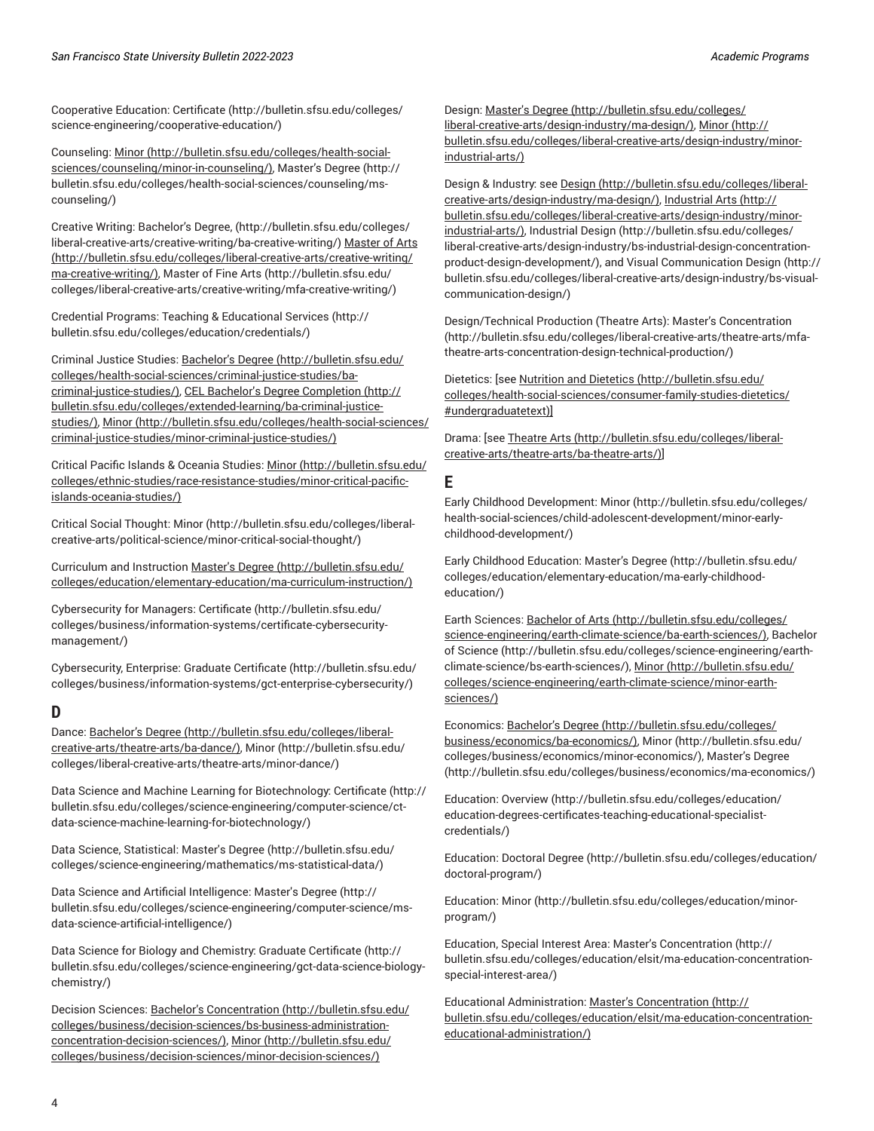Cooperative Education: [Certificate](http://bulletin.sfsu.edu/colleges/science-engineering/cooperative-education/) ([http://bulletin.sfsu.edu/colleges/](http://bulletin.sfsu.edu/colleges/science-engineering/cooperative-education/) [science-engineering/cooperative-education/\)](http://bulletin.sfsu.edu/colleges/science-engineering/cooperative-education/)

Counseling: [Minor](http://bulletin.sfsu.edu/colleges/health-social-sciences/counseling/minor-in-counseling/) ([http://bulletin.sfsu.edu/colleges/health-social](http://bulletin.sfsu.edu/colleges/health-social-sciences/counseling/minor-in-counseling/)[sciences/counseling/minor-in-counseling/](http://bulletin.sfsu.edu/colleges/health-social-sciences/counseling/minor-in-counseling/)), [Master's](http://bulletin.sfsu.edu/colleges/health-social-sciences/counseling/ms-counseling/) Degree [\(http://](http://bulletin.sfsu.edu/colleges/health-social-sciences/counseling/ms-counseling/) [bulletin.sfsu.edu/colleges/health-social-sciences/counseling/ms](http://bulletin.sfsu.edu/colleges/health-social-sciences/counseling/ms-counseling/)[counseling/\)](http://bulletin.sfsu.edu/colleges/health-social-sciences/counseling/ms-counseling/)

Creative Writing: [Bachelor's](http://bulletin.sfsu.edu/colleges/liberal-creative-arts/creative-writing/ba-creative-writing/) Degree, ([http://bulletin.sfsu.edu/colleges/](http://bulletin.sfsu.edu/colleges/liberal-creative-arts/creative-writing/ba-creative-writing/) [liberal-creative-arts/creative-writing/ba-creative-writing/\)](http://bulletin.sfsu.edu/colleges/liberal-creative-arts/creative-writing/ba-creative-writing/) [Master](http://bulletin.sfsu.edu/colleges/liberal-creative-arts/creative-writing/ma-creative-writing/) of Arts ([http://bulletin.sfsu.edu/colleges/liberal-creative-arts/creative-writing/](http://bulletin.sfsu.edu/colleges/liberal-creative-arts/creative-writing/ma-creative-writing/) [ma-creative-writing/](http://bulletin.sfsu.edu/colleges/liberal-creative-arts/creative-writing/ma-creative-writing/)), [Master](http://bulletin.sfsu.edu/colleges/liberal-creative-arts/creative-writing/mfa-creative-writing/) of Fine Arts ([http://bulletin.sfsu.edu/](http://bulletin.sfsu.edu/colleges/liberal-creative-arts/creative-writing/mfa-creative-writing/) [colleges/liberal-creative-arts/creative-writing/mfa-creative-writing/](http://bulletin.sfsu.edu/colleges/liberal-creative-arts/creative-writing/mfa-creative-writing/))

Credential Programs: Teaching & [Educational](http://bulletin.sfsu.edu/colleges/education/credentials/) Services [\(http://](http://bulletin.sfsu.edu/colleges/education/credentials/) [bulletin.sfsu.edu/colleges/education/credentials/\)](http://bulletin.sfsu.edu/colleges/education/credentials/)

Criminal Justice Studies: [Bachelor's](http://bulletin.sfsu.edu/colleges/health-social-sciences/criminal-justice-studies/ba-criminal-justice-studies/) Degree [\(http://bulletin.sfsu.edu/](http://bulletin.sfsu.edu/colleges/health-social-sciences/criminal-justice-studies/ba-criminal-justice-studies/) [colleges/health-social-sciences/criminal-justice-studies/ba](http://bulletin.sfsu.edu/colleges/health-social-sciences/criminal-justice-studies/ba-criminal-justice-studies/)[criminal-justice-studies/](http://bulletin.sfsu.edu/colleges/health-social-sciences/criminal-justice-studies/ba-criminal-justice-studies/)), CEL Bachelor's Degree [Completion](http://bulletin.sfsu.edu/colleges/extended-learning/ba-criminal-justice-studies/) ([http://](http://bulletin.sfsu.edu/colleges/extended-learning/ba-criminal-justice-studies/) [bulletin.sfsu.edu/colleges/extended-learning/ba-criminal-justice](http://bulletin.sfsu.edu/colleges/extended-learning/ba-criminal-justice-studies/)[studies/\)](http://bulletin.sfsu.edu/colleges/extended-learning/ba-criminal-justice-studies/), [Minor \(http://bulletin.sfsu.edu/colleges/health-social-sciences/](http://bulletin.sfsu.edu/colleges/health-social-sciences/criminal-justice-studies/minor-criminal-justice-studies/) [criminal-justice-studies/minor-criminal-justice-studies/](http://bulletin.sfsu.edu/colleges/health-social-sciences/criminal-justice-studies/minor-criminal-justice-studies/))

Critical Pacific Islands & Oceania Studies: [Minor](http://bulletin.sfsu.edu/colleges/ethnic-studies/race-resistance-studies/minor-critical-pacific-islands-oceania-studies/) ([http://bulletin.sfsu.edu/](http://bulletin.sfsu.edu/colleges/ethnic-studies/race-resistance-studies/minor-critical-pacific-islands-oceania-studies/) [colleges/ethnic-studies/race-resistance-studies/minor-critical-pacific](http://bulletin.sfsu.edu/colleges/ethnic-studies/race-resistance-studies/minor-critical-pacific-islands-oceania-studies/)[islands-oceania-studies/](http://bulletin.sfsu.edu/colleges/ethnic-studies/race-resistance-studies/minor-critical-pacific-islands-oceania-studies/))

Critical Social Thought: [Minor](http://bulletin.sfsu.edu/colleges/liberal-creative-arts/political-science/minor-critical-social-thought/) [\(http://bulletin.sfsu.edu/colleges/liberal](http://bulletin.sfsu.edu/colleges/liberal-creative-arts/political-science/minor-critical-social-thought/)[creative-arts/political-science/minor-critical-social-thought/](http://bulletin.sfsu.edu/colleges/liberal-creative-arts/political-science/minor-critical-social-thought/))

Curriculum and Instruction [Master's](http://bulletin.sfsu.edu/colleges/education/elementary-education/ma-curriculum-instruction/) Degree ([http://bulletin.sfsu.edu/](http://bulletin.sfsu.edu/colleges/education/elementary-education/ma-curriculum-instruction/) [colleges/education/elementary-education/ma-curriculum-instruction/](http://bulletin.sfsu.edu/colleges/education/elementary-education/ma-curriculum-instruction/))

Cybersecurity for Managers: [Certificate](http://bulletin.sfsu.edu/colleges/business/information-systems/certificate-cybersecurity-management/) ([http://bulletin.sfsu.edu/](http://bulletin.sfsu.edu/colleges/business/information-systems/certificate-cybersecurity-management/) [colleges/business/information-systems/certificate-cybersecurity](http://bulletin.sfsu.edu/colleges/business/information-systems/certificate-cybersecurity-management/)[management/\)](http://bulletin.sfsu.edu/colleges/business/information-systems/certificate-cybersecurity-management/)

Cybersecurity, Enterprise: Graduate [Certificate \(http://bulletin.sfsu.edu/](http://bulletin.sfsu.edu/colleges/business/information-systems/gct-enterprise-cybersecurity/) [colleges/business/information-systems/gct-enterprise-cybersecurity/\)](http://bulletin.sfsu.edu/colleges/business/information-systems/gct-enterprise-cybersecurity/)

#### <span id="page-3-0"></span>**D**

Dance: [Bachelor's](http://bulletin.sfsu.edu/colleges/liberal-creative-arts/theatre-arts/ba-dance/) Degree ([http://bulletin.sfsu.edu/colleges/liberal](http://bulletin.sfsu.edu/colleges/liberal-creative-arts/theatre-arts/ba-dance/)[creative-arts/theatre-arts/ba-dance/\)](http://bulletin.sfsu.edu/colleges/liberal-creative-arts/theatre-arts/ba-dance/), [Minor \(http://bulletin.sfsu.edu/](http://bulletin.sfsu.edu/colleges/liberal-creative-arts/theatre-arts/minor-dance/) [colleges/liberal-creative-arts/theatre-arts/minor-dance/\)](http://bulletin.sfsu.edu/colleges/liberal-creative-arts/theatre-arts/minor-dance/)

Data Science and Machine Learning for Biotechnology: [Certificate](http://bulletin.sfsu.edu/colleges/science-engineering/computer-science/ct-data-science-machine-learning-for-biotechnology/) ([http://](http://bulletin.sfsu.edu/colleges/science-engineering/computer-science/ct-data-science-machine-learning-for-biotechnology/) [bulletin.sfsu.edu/colleges/science-engineering/computer-science/ct](http://bulletin.sfsu.edu/colleges/science-engineering/computer-science/ct-data-science-machine-learning-for-biotechnology/)[data-science-machine-learning-for-biotechnology/](http://bulletin.sfsu.edu/colleges/science-engineering/computer-science/ct-data-science-machine-learning-for-biotechnology/))

Data Science, Statistical: [Master's](http://bulletin.sfsu.edu/colleges/science-engineering/mathematics/ms-statistical-data/) Degree [\(http://bulletin.sfsu.edu/](http://bulletin.sfsu.edu/colleges/science-engineering/mathematics/ms-statistical-data/) [colleges/science-engineering/mathematics/ms-statistical-data/](http://bulletin.sfsu.edu/colleges/science-engineering/mathematics/ms-statistical-data/))

Data Science and Artificial Intelligence: [Master's](http://bulletin.sfsu.edu/colleges/science-engineering/computer-science/ms-data-science-artificial-intelligence/) Degree ([http://](http://bulletin.sfsu.edu/colleges/science-engineering/computer-science/ms-data-science-artificial-intelligence/) [bulletin.sfsu.edu/colleges/science-engineering/computer-science/ms](http://bulletin.sfsu.edu/colleges/science-engineering/computer-science/ms-data-science-artificial-intelligence/)[data-science-artificial-intelligence/](http://bulletin.sfsu.edu/colleges/science-engineering/computer-science/ms-data-science-artificial-intelligence/))

Data Science for Biology and Chemistry: Graduate [Certificate](http://bulletin.sfsu.edu/colleges/science-engineering/gct-data-science-biology-chemistry/) [\(http://](http://bulletin.sfsu.edu/colleges/science-engineering/gct-data-science-biology-chemistry/) [bulletin.sfsu.edu/colleges/science-engineering/gct-data-science-biology](http://bulletin.sfsu.edu/colleges/science-engineering/gct-data-science-biology-chemistry/)[chemistry/](http://bulletin.sfsu.edu/colleges/science-engineering/gct-data-science-biology-chemistry/))

Decision Sciences: Bachelor's [Concentration \(http://bulletin.sfsu.edu/](http://bulletin.sfsu.edu/colleges/business/decision-sciences/bs-business-administration-concentration-decision-sciences/) [colleges/business/decision-sciences/bs-business-administration](http://bulletin.sfsu.edu/colleges/business/decision-sciences/bs-business-administration-concentration-decision-sciences/)[concentration-decision-sciences/\)](http://bulletin.sfsu.edu/colleges/business/decision-sciences/bs-business-administration-concentration-decision-sciences/), [Minor](http://bulletin.sfsu.edu/colleges/business/decision-sciences/minor-decision-sciences/) ([http://bulletin.sfsu.edu/](http://bulletin.sfsu.edu/colleges/business/decision-sciences/minor-decision-sciences/) [colleges/business/decision-sciences/minor-decision-sciences/](http://bulletin.sfsu.edu/colleges/business/decision-sciences/minor-decision-sciences/))

Design: [Master's](http://bulletin.sfsu.edu/colleges/liberal-creative-arts/design-industry/ma-design/) Degree ([http://bulletin.sfsu.edu/colleges/](http://bulletin.sfsu.edu/colleges/liberal-creative-arts/design-industry/ma-design/) [liberal-creative-arts/design-industry/ma-design/](http://bulletin.sfsu.edu/colleges/liberal-creative-arts/design-industry/ma-design/)), [Minor \(http://](http://bulletin.sfsu.edu/colleges/liberal-creative-arts/design-industry/minor-industrial-arts/) [bulletin.sfsu.edu/colleges/liberal-creative-arts/design-industry/minor](http://bulletin.sfsu.edu/colleges/liberal-creative-arts/design-industry/minor-industrial-arts/)[industrial-arts/\)](http://bulletin.sfsu.edu/colleges/liberal-creative-arts/design-industry/minor-industrial-arts/)

Design & Industry: see [Design](http://bulletin.sfsu.edu/colleges/liberal-creative-arts/design-industry/ma-design/) [\(http://bulletin.sfsu.edu/colleges/liberal](http://bulletin.sfsu.edu/colleges/liberal-creative-arts/design-industry/ma-design/)[creative-arts/design-industry/ma-design/](http://bulletin.sfsu.edu/colleges/liberal-creative-arts/design-industry/ma-design/)), [Industrial](http://bulletin.sfsu.edu/colleges/liberal-creative-arts/design-industry/minor-industrial-arts/) Arts [\(http://](http://bulletin.sfsu.edu/colleges/liberal-creative-arts/design-industry/minor-industrial-arts/) [bulletin.sfsu.edu/colleges/liberal-creative-arts/design-industry/minor](http://bulletin.sfsu.edu/colleges/liberal-creative-arts/design-industry/minor-industrial-arts/)[industrial-arts/\)](http://bulletin.sfsu.edu/colleges/liberal-creative-arts/design-industry/minor-industrial-arts/), [Industrial Design \(http://bulletin.sfsu.edu/colleges/](http://bulletin.sfsu.edu/colleges/liberal-creative-arts/design-industry/bs-industrial-design-concentration-product-design-development/) [liberal-creative-arts/design-industry/bs-industrial-design-concentration](http://bulletin.sfsu.edu/colleges/liberal-creative-arts/design-industry/bs-industrial-design-concentration-product-design-development/)[product-design-development/](http://bulletin.sfsu.edu/colleges/liberal-creative-arts/design-industry/bs-industrial-design-concentration-product-design-development/)), and [Visual Communication Design](http://bulletin.sfsu.edu/colleges/liberal-creative-arts/design-industry/bs-visual-communication-design/) ([http://](http://bulletin.sfsu.edu/colleges/liberal-creative-arts/design-industry/bs-visual-communication-design/) [bulletin.sfsu.edu/colleges/liberal-creative-arts/design-industry/bs-visual](http://bulletin.sfsu.edu/colleges/liberal-creative-arts/design-industry/bs-visual-communication-design/)[communication-design/](http://bulletin.sfsu.edu/colleges/liberal-creative-arts/design-industry/bs-visual-communication-design/))

Design/Technical Production (Theatre Arts): Master's [Concentration](http://bulletin.sfsu.edu/colleges/liberal-creative-arts/theatre-arts/mfa-theatre-arts-concentration-design-technical-production/) [\(http://bulletin.sfsu.edu/colleges/liberal-creative-arts/theatre-arts/mfa](http://bulletin.sfsu.edu/colleges/liberal-creative-arts/theatre-arts/mfa-theatre-arts-concentration-design-technical-production/)[theatre-arts-concentration-design-technical-production/](http://bulletin.sfsu.edu/colleges/liberal-creative-arts/theatre-arts/mfa-theatre-arts-concentration-design-technical-production/))

Dietetics: [see [Nutrition and Dietetics \(http://bulletin.sfsu.edu/](http://bulletin.sfsu.edu/colleges/health-social-sciences/consumer-family-studies-dietetics/#undergraduatetext) [colleges/health-social-sciences/consumer-family-studies-dietetics/](http://bulletin.sfsu.edu/colleges/health-social-sciences/consumer-family-studies-dietetics/#undergraduatetext) [#undergraduatetext\)](http://bulletin.sfsu.edu/colleges/health-social-sciences/consumer-family-studies-dietetics/#undergraduatetext)]

Drama: [see [Theatre](http://bulletin.sfsu.edu/colleges/liberal-creative-arts/theatre-arts/ba-theatre-arts/) Arts ([http://bulletin.sfsu.edu/colleges/liberal](http://bulletin.sfsu.edu/colleges/liberal-creative-arts/theatre-arts/ba-theatre-arts/)[creative-arts/theatre-arts/ba-theatre-arts/](http://bulletin.sfsu.edu/colleges/liberal-creative-arts/theatre-arts/ba-theatre-arts/))]

#### <span id="page-3-1"></span>**E**

Early Childhood Development: [Minor \(http://bulletin.sfsu.edu/colleges/](http://bulletin.sfsu.edu/colleges/health-social-sciences/child-adolescent-development/minor-early-childhood-development/) [health-social-sciences/child-adolescent-development/minor-early](http://bulletin.sfsu.edu/colleges/health-social-sciences/child-adolescent-development/minor-early-childhood-development/)[childhood-development/\)](http://bulletin.sfsu.edu/colleges/health-social-sciences/child-adolescent-development/minor-early-childhood-development/)

Early Childhood Education: [Master's](http://bulletin.sfsu.edu/colleges/education/elementary-education/ma-early-childhood-education/) Degree [\(http://bulletin.sfsu.edu/](http://bulletin.sfsu.edu/colleges/education/elementary-education/ma-early-childhood-education/) [colleges/education/elementary-education/ma-early-childhood](http://bulletin.sfsu.edu/colleges/education/elementary-education/ma-early-childhood-education/)[education/\)](http://bulletin.sfsu.edu/colleges/education/elementary-education/ma-early-childhood-education/)

Earth Sciences: [Bachelor](http://bulletin.sfsu.edu/colleges/science-engineering/earth-climate-science/ba-earth-sciences/) of Arts ([http://bulletin.sfsu.edu/colleges/](http://bulletin.sfsu.edu/colleges/science-engineering/earth-climate-science/ba-earth-sciences/) [science-engineering/earth-climate-science/ba-earth-sciences/\)](http://bulletin.sfsu.edu/colleges/science-engineering/earth-climate-science/ba-earth-sciences/), [Bachelor](http://bulletin.sfsu.edu/colleges/science-engineering/earth-climate-science/bs-earth-sciences/) [of Science](http://bulletin.sfsu.edu/colleges/science-engineering/earth-climate-science/bs-earth-sciences/) ([http://bulletin.sfsu.edu/colleges/science-engineering/earth](http://bulletin.sfsu.edu/colleges/science-engineering/earth-climate-science/bs-earth-sciences/)[climate-science/bs-earth-sciences/](http://bulletin.sfsu.edu/colleges/science-engineering/earth-climate-science/bs-earth-sciences/)), [Minor](http://bulletin.sfsu.edu/colleges/science-engineering/earth-climate-science/minor-earth-sciences/) ([http://bulletin.sfsu.edu/](http://bulletin.sfsu.edu/colleges/science-engineering/earth-climate-science/minor-earth-sciences/) [colleges/science-engineering/earth-climate-science/minor-earth](http://bulletin.sfsu.edu/colleges/science-engineering/earth-climate-science/minor-earth-sciences/)[sciences/\)](http://bulletin.sfsu.edu/colleges/science-engineering/earth-climate-science/minor-earth-sciences/)

Economics: [Bachelor's](http://bulletin.sfsu.edu/colleges/business/economics/ba-economics/) Degree [\(http://bulletin.sfsu.edu/colleges/](http://bulletin.sfsu.edu/colleges/business/economics/ba-economics/) [business/economics/ba-economics/\)](http://bulletin.sfsu.edu/colleges/business/economics/ba-economics/), [Minor](http://bulletin.sfsu.edu/colleges/business/economics/minor-economics/) ([http://bulletin.sfsu.edu/](http://bulletin.sfsu.edu/colleges/business/economics/minor-economics/) [colleges/business/economics/minor-economics/](http://bulletin.sfsu.edu/colleges/business/economics/minor-economics/)), [Master's](http://bulletin.sfsu.edu/colleges/business/economics/ma-economics/) Degree [\(http://bulletin.sfsu.edu/colleges/business/economics/ma-economics/\)](http://bulletin.sfsu.edu/colleges/business/economics/ma-economics/)

Education: [Overview](http://bulletin.sfsu.edu/colleges/education/education-degrees-certificates-teaching-educational-specialist-credentials/) ([http://bulletin.sfsu.edu/colleges/education/](http://bulletin.sfsu.edu/colleges/education/education-degrees-certificates-teaching-educational-specialist-credentials/) [education-degrees-certificates-teaching-educational-specialist](http://bulletin.sfsu.edu/colleges/education/education-degrees-certificates-teaching-educational-specialist-credentials/)[credentials/\)](http://bulletin.sfsu.edu/colleges/education/education-degrees-certificates-teaching-educational-specialist-credentials/)

Education: [Doctoral](http://bulletin.sfsu.edu/colleges/education/doctoral-program/) Degree ([http://bulletin.sfsu.edu/colleges/education/](http://bulletin.sfsu.edu/colleges/education/doctoral-program/) [doctoral-program/](http://bulletin.sfsu.edu/colleges/education/doctoral-program/))

Education: [Minor](http://bulletin.sfsu.edu/colleges/education/minor-program/) [\(http://bulletin.sfsu.edu/colleges/education/minor](http://bulletin.sfsu.edu/colleges/education/minor-program/)[program/](http://bulletin.sfsu.edu/colleges/education/minor-program/))

Education, Special Interest Area: Master's [Concentration](http://bulletin.sfsu.edu/colleges/education/elsit/ma-education-concentration-special-interest-area/) ([http://](http://bulletin.sfsu.edu/colleges/education/elsit/ma-education-concentration-special-interest-area/) [bulletin.sfsu.edu/colleges/education/elsit/ma-education-concentration](http://bulletin.sfsu.edu/colleges/education/elsit/ma-education-concentration-special-interest-area/)[special-interest-area/\)](http://bulletin.sfsu.edu/colleges/education/elsit/ma-education-concentration-special-interest-area/)

Educational Administration: Master's [Concentration \(http://](http://bulletin.sfsu.edu/colleges/education/elsit/ma-education-concentration-educational-administration/) [bulletin.sfsu.edu/colleges/education/elsit/ma-education-concentration](http://bulletin.sfsu.edu/colleges/education/elsit/ma-education-concentration-educational-administration/)[educational-administration/\)](http://bulletin.sfsu.edu/colleges/education/elsit/ma-education-concentration-educational-administration/)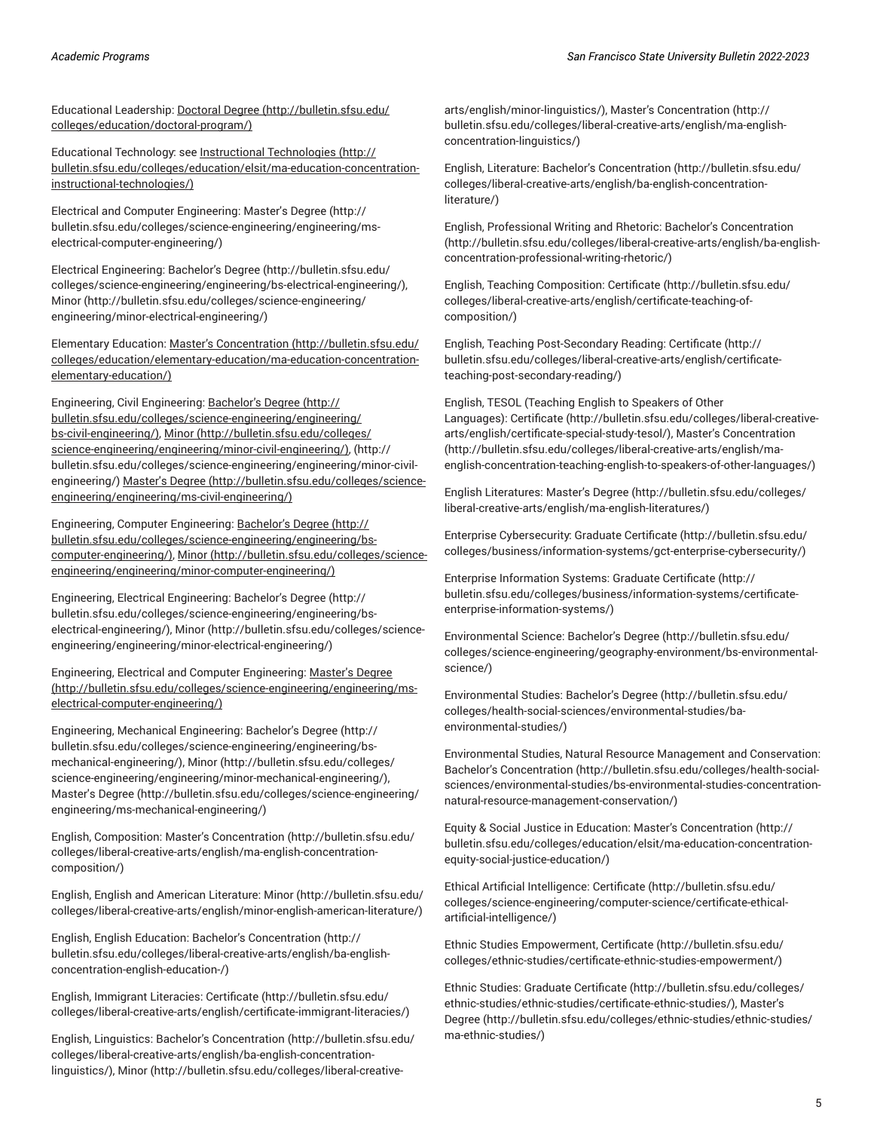Educational Leadership: [Doctoral](http://bulletin.sfsu.edu/colleges/education/doctoral-program/) Degree ([http://bulletin.sfsu.edu/](http://bulletin.sfsu.edu/colleges/education/doctoral-program/) [colleges/education/doctoral-program/](http://bulletin.sfsu.edu/colleges/education/doctoral-program/))

Educational Technology: see Instructional [Technologies \(http://](http://bulletin.sfsu.edu/colleges/education/elsit/ma-education-concentration-instructional-technologies/) [bulletin.sfsu.edu/colleges/education/elsit/ma-education-concentration](http://bulletin.sfsu.edu/colleges/education/elsit/ma-education-concentration-instructional-technologies/)[instructional-technologies/](http://bulletin.sfsu.edu/colleges/education/elsit/ma-education-concentration-instructional-technologies/))

Electrical and Computer Engineering: [Master's](http://bulletin.sfsu.edu/colleges/science-engineering/engineering/ms-electrical-computer-engineering/) Degree [\(http://](http://bulletin.sfsu.edu/colleges/science-engineering/engineering/ms-electrical-computer-engineering/) [bulletin.sfsu.edu/colleges/science-engineering/engineering/ms](http://bulletin.sfsu.edu/colleges/science-engineering/engineering/ms-electrical-computer-engineering/)[electrical-computer-engineering/](http://bulletin.sfsu.edu/colleges/science-engineering/engineering/ms-electrical-computer-engineering/))

Electrical Engineering: [Bachelor's](http://bulletin.sfsu.edu/colleges/science-engineering/engineering/bs-electrical-engineering/) Degree ([http://bulletin.sfsu.edu/](http://bulletin.sfsu.edu/colleges/science-engineering/engineering/bs-electrical-engineering/) [colleges/science-engineering/engineering/bs-electrical-engineering/](http://bulletin.sfsu.edu/colleges/science-engineering/engineering/bs-electrical-engineering/)), [Minor \(http://bulletin.sfsu.edu/colleges/science-engineering/](http://bulletin.sfsu.edu/colleges/science-engineering/engineering/minor-electrical-engineering/) [engineering/minor-electrical-engineering/\)](http://bulletin.sfsu.edu/colleges/science-engineering/engineering/minor-electrical-engineering/)

Elementary Education: Master's [Concentration \(http://bulletin.sfsu.edu/](http://bulletin.sfsu.edu/colleges/education/elementary-education/ma-education-concentration-elementary-education/) [colleges/education/elementary-education/ma-education-concentration](http://bulletin.sfsu.edu/colleges/education/elementary-education/ma-education-concentration-elementary-education/)[elementary-education/](http://bulletin.sfsu.edu/colleges/education/elementary-education/ma-education-concentration-elementary-education/))

Engineering, Civil Engineering: [Bachelor's](http://bulletin.sfsu.edu/colleges/science-engineering/engineering/bs-civil-engineering/) Degree ([http://](http://bulletin.sfsu.edu/colleges/science-engineering/engineering/bs-civil-engineering/) [bulletin.sfsu.edu/colleges/science-engineering/engineering/](http://bulletin.sfsu.edu/colleges/science-engineering/engineering/bs-civil-engineering/) [bs-civil-engineering/\)](http://bulletin.sfsu.edu/colleges/science-engineering/engineering/bs-civil-engineering/), [Minor](http://bulletin.sfsu.edu/colleges/science-engineering/engineering/minor-civil-engineering/) ([http://bulletin.sfsu.edu/colleges/](http://bulletin.sfsu.edu/colleges/science-engineering/engineering/minor-civil-engineering/) [science-engineering/engineering/minor-civil-engineering/\),](http://bulletin.sfsu.edu/colleges/science-engineering/engineering/minor-civil-engineering/) ([http://](http://bulletin.sfsu.edu/colleges/science-engineering/engineering/minor-civil-engineering/) [bulletin.sfsu.edu/colleges/science-engineering/engineering/minor-civil](http://bulletin.sfsu.edu/colleges/science-engineering/engineering/minor-civil-engineering/)[engineering/](http://bulletin.sfsu.edu/colleges/science-engineering/engineering/minor-civil-engineering/)) [Master's](http://bulletin.sfsu.edu/colleges/science-engineering/engineering/ms-civil-engineering/) Degree ([http://bulletin.sfsu.edu/colleges/science](http://bulletin.sfsu.edu/colleges/science-engineering/engineering/ms-civil-engineering/)[engineering/engineering/ms-civil-engineering/](http://bulletin.sfsu.edu/colleges/science-engineering/engineering/ms-civil-engineering/))

Engineering, Computer Engineering: [Bachelor's](http://bulletin.sfsu.edu/colleges/science-engineering/engineering/bs-computer-engineering/) Degree [\(http://](http://bulletin.sfsu.edu/colleges/science-engineering/engineering/bs-computer-engineering/) [bulletin.sfsu.edu/colleges/science-engineering/engineering/bs](http://bulletin.sfsu.edu/colleges/science-engineering/engineering/bs-computer-engineering/)[computer-engineering/](http://bulletin.sfsu.edu/colleges/science-engineering/engineering/bs-computer-engineering/)), [Minor](http://bulletin.sfsu.edu/colleges/science-engineering/engineering/minor-computer-engineering/) ([http://bulletin.sfsu.edu/colleges/science](http://bulletin.sfsu.edu/colleges/science-engineering/engineering/minor-computer-engineering/)[engineering/engineering/minor-computer-engineering/](http://bulletin.sfsu.edu/colleges/science-engineering/engineering/minor-computer-engineering/))

Engineering, Electrical Engineering: [Bachelor's](http://bulletin.sfsu.edu/colleges/science-engineering/engineering/bs-electrical-engineering/) Degree [\(http://](http://bulletin.sfsu.edu/colleges/science-engineering/engineering/bs-electrical-engineering/) [bulletin.sfsu.edu/colleges/science-engineering/engineering/bs](http://bulletin.sfsu.edu/colleges/science-engineering/engineering/bs-electrical-engineering/)[electrical-engineering/](http://bulletin.sfsu.edu/colleges/science-engineering/engineering/bs-electrical-engineering/)), [Minor \(http://bulletin.sfsu.edu/colleges/science](http://bulletin.sfsu.edu/colleges/science-engineering/engineering/minor-electrical-engineering/)[engineering/engineering/minor-electrical-engineering/](http://bulletin.sfsu.edu/colleges/science-engineering/engineering/minor-electrical-engineering/))

Engineering, Electrical and Computer Engineering: [Master's](http://bulletin.sfsu.edu/colleges/science-engineering/engineering/ms-electrical-computer-engineering/) Degree ([http://bulletin.sfsu.edu/colleges/science-engineering/engineering/ms](http://bulletin.sfsu.edu/colleges/science-engineering/engineering/ms-electrical-computer-engineering/)[electrical-computer-engineering/](http://bulletin.sfsu.edu/colleges/science-engineering/engineering/ms-electrical-computer-engineering/))

Engineering, Mechanical Engineering: [Bachelor's](http://bulletin.sfsu.edu/colleges/science-engineering/engineering/bs-mechanical-engineering/) Degree [\(http://](http://bulletin.sfsu.edu/colleges/science-engineering/engineering/bs-mechanical-engineering/) [bulletin.sfsu.edu/colleges/science-engineering/engineering/bs](http://bulletin.sfsu.edu/colleges/science-engineering/engineering/bs-mechanical-engineering/)[mechanical-engineering/](http://bulletin.sfsu.edu/colleges/science-engineering/engineering/bs-mechanical-engineering/)), [Minor](http://bulletin.sfsu.edu/colleges/science-engineering/engineering/minor-mechanical-engineering/) ([http://bulletin.sfsu.edu/colleges/](http://bulletin.sfsu.edu/colleges/science-engineering/engineering/minor-mechanical-engineering/) [science-engineering/engineering/minor-mechanical-engineering/](http://bulletin.sfsu.edu/colleges/science-engineering/engineering/minor-mechanical-engineering/)), [Master's](http://bulletin.sfsu.edu/colleges/science-engineering/engineering/ms-mechanical-engineering/) Degree ([http://bulletin.sfsu.edu/colleges/science-engineering/](http://bulletin.sfsu.edu/colleges/science-engineering/engineering/ms-mechanical-engineering/) [engineering/ms-mechanical-engineering/](http://bulletin.sfsu.edu/colleges/science-engineering/engineering/ms-mechanical-engineering/))

English, Composition: Master's [Concentration](http://bulletin.sfsu.edu/colleges/liberal-creative-arts/english/ma-english-concentration-composition/) [\(http://bulletin.sfsu.edu/](http://bulletin.sfsu.edu/colleges/liberal-creative-arts/english/ma-english-concentration-composition/) [colleges/liberal-creative-arts/english/ma-english-concentration](http://bulletin.sfsu.edu/colleges/liberal-creative-arts/english/ma-english-concentration-composition/)[composition/](http://bulletin.sfsu.edu/colleges/liberal-creative-arts/english/ma-english-concentration-composition/))

English, English and American Literature: [Minor \(http://bulletin.sfsu.edu/](http://bulletin.sfsu.edu/colleges/liberal-creative-arts/english/minor-english-american-literature/) [colleges/liberal-creative-arts/english/minor-english-american-literature/](http://bulletin.sfsu.edu/colleges/liberal-creative-arts/english/minor-english-american-literature/))

English, English Education: Bachelor's [Concentration](http://bulletin.sfsu.edu/colleges/liberal-creative-arts/english/ba-english-concentration-english-education-/) ([http://](http://bulletin.sfsu.edu/colleges/liberal-creative-arts/english/ba-english-concentration-english-education-/) [bulletin.sfsu.edu/colleges/liberal-creative-arts/english/ba-english](http://bulletin.sfsu.edu/colleges/liberal-creative-arts/english/ba-english-concentration-english-education-/)[concentration-english-education-/\)](http://bulletin.sfsu.edu/colleges/liberal-creative-arts/english/ba-english-concentration-english-education-/)

English, Immigrant Literacies: [Certificate](http://bulletin.sfsu.edu/colleges/liberal-creative-arts/english/certificate-immigrant-literacies/) ([http://bulletin.sfsu.edu/](http://bulletin.sfsu.edu/colleges/liberal-creative-arts/english/certificate-immigrant-literacies/) [colleges/liberal-creative-arts/english/certificate-immigrant-literacies/](http://bulletin.sfsu.edu/colleges/liberal-creative-arts/english/certificate-immigrant-literacies/))

English, Linguistics: Bachelor's [Concentration \(http://bulletin.sfsu.edu/](http://bulletin.sfsu.edu/colleges/liberal-creative-arts/english/ba-english-concentration-linguistics/) [colleges/liberal-creative-arts/english/ba-english-concentration](http://bulletin.sfsu.edu/colleges/liberal-creative-arts/english/ba-english-concentration-linguistics/)[linguistics/](http://bulletin.sfsu.edu/colleges/liberal-creative-arts/english/ba-english-concentration-linguistics/)), [Minor](http://bulletin.sfsu.edu/colleges/liberal-creative-arts/english/minor-linguistics/) [\(http://bulletin.sfsu.edu/colleges/liberal-creative-](http://bulletin.sfsu.edu/colleges/liberal-creative-arts/english/minor-linguistics/)

[arts/english/minor-linguistics/\)](http://bulletin.sfsu.edu/colleges/liberal-creative-arts/english/minor-linguistics/), Master's [Concentration \(http://](http://bulletin.sfsu.edu/colleges/liberal-creative-arts/english/ma-english-concentration-linguistics/) [bulletin.sfsu.edu/colleges/liberal-creative-arts/english/ma-english](http://bulletin.sfsu.edu/colleges/liberal-creative-arts/english/ma-english-concentration-linguistics/)[concentration-linguistics/](http://bulletin.sfsu.edu/colleges/liberal-creative-arts/english/ma-english-concentration-linguistics/))

English, Literature: Bachelor's [Concentration](http://bulletin.sfsu.edu/colleges/liberal-creative-arts/english/ba-english-concentration-literature/) ([http://bulletin.sfsu.edu/](http://bulletin.sfsu.edu/colleges/liberal-creative-arts/english/ba-english-concentration-literature/) [colleges/liberal-creative-arts/english/ba-english-concentration](http://bulletin.sfsu.edu/colleges/liberal-creative-arts/english/ba-english-concentration-literature/)[literature/](http://bulletin.sfsu.edu/colleges/liberal-creative-arts/english/ba-english-concentration-literature/))

English, Professional Writing and Rhetoric: Bachelor's [Concentration](http://bulletin.sfsu.edu/colleges/liberal-creative-arts/english/ba-english-concentration-professional-writing-rhetoric/) [\(http://bulletin.sfsu.edu/colleges/liberal-creative-arts/english/ba-english](http://bulletin.sfsu.edu/colleges/liberal-creative-arts/english/ba-english-concentration-professional-writing-rhetoric/)[concentration-professional-writing-rhetoric/](http://bulletin.sfsu.edu/colleges/liberal-creative-arts/english/ba-english-concentration-professional-writing-rhetoric/))

English, Teaching Composition: [Certificate](http://bulletin.sfsu.edu/colleges/liberal-creative-arts/english/certificate-teaching-of-composition/) ([http://bulletin.sfsu.edu/](http://bulletin.sfsu.edu/colleges/liberal-creative-arts/english/certificate-teaching-of-composition/) [colleges/liberal-creative-arts/english/certificate-teaching-of](http://bulletin.sfsu.edu/colleges/liberal-creative-arts/english/certificate-teaching-of-composition/)[composition/\)](http://bulletin.sfsu.edu/colleges/liberal-creative-arts/english/certificate-teaching-of-composition/)

English, Teaching Post-Secondary Reading: [Certificate \(http://](http://bulletin.sfsu.edu/colleges/liberal-creative-arts/english/certificate-teaching-post-secondary-reading/) [bulletin.sfsu.edu/colleges/liberal-creative-arts/english/certificate](http://bulletin.sfsu.edu/colleges/liberal-creative-arts/english/certificate-teaching-post-secondary-reading/)[teaching-post-secondary-reading/\)](http://bulletin.sfsu.edu/colleges/liberal-creative-arts/english/certificate-teaching-post-secondary-reading/)

English, TESOL (Teaching English to Speakers of Other Languages): [Certificate \(http://bulletin.sfsu.edu/colleges/liberal-creative](http://bulletin.sfsu.edu/colleges/liberal-creative-arts/english/certificate-special-study-tesol/)[arts/english/certificate-special-study-tesol/\)](http://bulletin.sfsu.edu/colleges/liberal-creative-arts/english/certificate-special-study-tesol/), Master's [Concentration](http://bulletin.sfsu.edu/colleges/liberal-creative-arts/english/ma-english-concentration-teaching-english-to-speakers-of-other-languages/) [\(http://bulletin.sfsu.edu/colleges/liberal-creative-arts/english/ma](http://bulletin.sfsu.edu/colleges/liberal-creative-arts/english/ma-english-concentration-teaching-english-to-speakers-of-other-languages/)[english-concentration-teaching-english-to-speakers-of-other-languages/\)](http://bulletin.sfsu.edu/colleges/liberal-creative-arts/english/ma-english-concentration-teaching-english-to-speakers-of-other-languages/)

English Literatures: [Master's](http://bulletin.sfsu.edu/colleges/liberal-creative-arts/english/ma-english-literatures/) Degree [\(http://bulletin.sfsu.edu/colleges/](http://bulletin.sfsu.edu/colleges/liberal-creative-arts/english/ma-english-literatures/) [liberal-creative-arts/english/ma-english-literatures/\)](http://bulletin.sfsu.edu/colleges/liberal-creative-arts/english/ma-english-literatures/)

Enterprise Cybersecurity: Graduate [Certificate \(http://bulletin.sfsu.edu/](http://bulletin.sfsu.edu/colleges/business/information-systems/gct-enterprise-cybersecurity/) [colleges/business/information-systems/gct-enterprise-cybersecurity/](http://bulletin.sfsu.edu/colleges/business/information-systems/gct-enterprise-cybersecurity/))

Enterprise Information Systems: Graduate [Certificate](http://bulletin.sfsu.edu/colleges/business/information-systems/certificate-enterprise-information-systems/) ([http://](http://bulletin.sfsu.edu/colleges/business/information-systems/certificate-enterprise-information-systems/) [bulletin.sfsu.edu/colleges/business/information-systems/certificate](http://bulletin.sfsu.edu/colleges/business/information-systems/certificate-enterprise-information-systems/)[enterprise-information-systems/\)](http://bulletin.sfsu.edu/colleges/business/information-systems/certificate-enterprise-information-systems/)

Environmental Science: [Bachelor's](http://bulletin.sfsu.edu/colleges/science-engineering/geography-environment/bs-environmental-science/) Degree ([http://bulletin.sfsu.edu/](http://bulletin.sfsu.edu/colleges/science-engineering/geography-environment/bs-environmental-science/) [colleges/science-engineering/geography-environment/bs-environmental](http://bulletin.sfsu.edu/colleges/science-engineering/geography-environment/bs-environmental-science/)[science/](http://bulletin.sfsu.edu/colleges/science-engineering/geography-environment/bs-environmental-science/))

Environmental Studies: [Bachelor's](http://bulletin.sfsu.edu/colleges/health-social-sciences/environmental-studies/ba-environmental-studies/) Degree ([http://bulletin.sfsu.edu/](http://bulletin.sfsu.edu/colleges/health-social-sciences/environmental-studies/ba-environmental-studies/) [colleges/health-social-sciences/environmental-studies/ba](http://bulletin.sfsu.edu/colleges/health-social-sciences/environmental-studies/ba-environmental-studies/)[environmental-studies/\)](http://bulletin.sfsu.edu/colleges/health-social-sciences/environmental-studies/ba-environmental-studies/)

Environmental Studies, Natural Resource Management and Conservation: Bachelor's [Concentration \(http://bulletin.sfsu.edu/colleges/health-social](http://bulletin.sfsu.edu/colleges/health-social-sciences/environmental-studies/bs-environmental-studies-concentration-natural-resource-management-conservation/)[sciences/environmental-studies/bs-environmental-studies-concentration](http://bulletin.sfsu.edu/colleges/health-social-sciences/environmental-studies/bs-environmental-studies-concentration-natural-resource-management-conservation/)[natural-resource-management-conservation/](http://bulletin.sfsu.edu/colleges/health-social-sciences/environmental-studies/bs-environmental-studies-concentration-natural-resource-management-conservation/))

Equity & Social Justice in Education: Master's [Concentration \(http://](http://bulletin.sfsu.edu/colleges/education/elsit/ma-education-concentration-equity-social-justice-education/) [bulletin.sfsu.edu/colleges/education/elsit/ma-education-concentration](http://bulletin.sfsu.edu/colleges/education/elsit/ma-education-concentration-equity-social-justice-education/)[equity-social-justice-education/\)](http://bulletin.sfsu.edu/colleges/education/elsit/ma-education-concentration-equity-social-justice-education/)

Ethical Artificial Intelligence: [Certificate](http://bulletin.sfsu.edu/colleges/science-engineering/computer-science/certificate-ethical-artificial-intelligence/) ([http://bulletin.sfsu.edu/](http://bulletin.sfsu.edu/colleges/science-engineering/computer-science/certificate-ethical-artificial-intelligence/) [colleges/science-engineering/computer-science/certificate-ethical](http://bulletin.sfsu.edu/colleges/science-engineering/computer-science/certificate-ethical-artificial-intelligence/)[artificial-intelligence/](http://bulletin.sfsu.edu/colleges/science-engineering/computer-science/certificate-ethical-artificial-intelligence/))

Ethnic Studies Empowerment, [Certificate](http://bulletin.sfsu.edu/colleges/ethnic-studies/certificate-ethnic-studies-empowerment/) ([http://bulletin.sfsu.edu/](http://bulletin.sfsu.edu/colleges/ethnic-studies/certificate-ethnic-studies-empowerment/) [colleges/ethnic-studies/certificate-ethnic-studies-empowerment/](http://bulletin.sfsu.edu/colleges/ethnic-studies/certificate-ethnic-studies-empowerment/))

Ethnic Studies: Graduate [Certificate](http://bulletin.sfsu.edu/colleges/ethnic-studies/ethnic-studies/certificate-ethnic-studies/) ([http://bulletin.sfsu.edu/colleges/](http://bulletin.sfsu.edu/colleges/ethnic-studies/ethnic-studies/certificate-ethnic-studies/) [ethnic-studies/ethnic-studies/certificate-ethnic-studies/](http://bulletin.sfsu.edu/colleges/ethnic-studies/ethnic-studies/certificate-ethnic-studies/)), [Master's](http://bulletin.sfsu.edu/colleges/ethnic-studies/ethnic-studies/ma-ethnic-studies/) [Degree \(http://bulletin.sfsu.edu/colleges/ethnic-studies/ethnic-studies/](http://bulletin.sfsu.edu/colleges/ethnic-studies/ethnic-studies/ma-ethnic-studies/) [ma-ethnic-studies/](http://bulletin.sfsu.edu/colleges/ethnic-studies/ethnic-studies/ma-ethnic-studies/))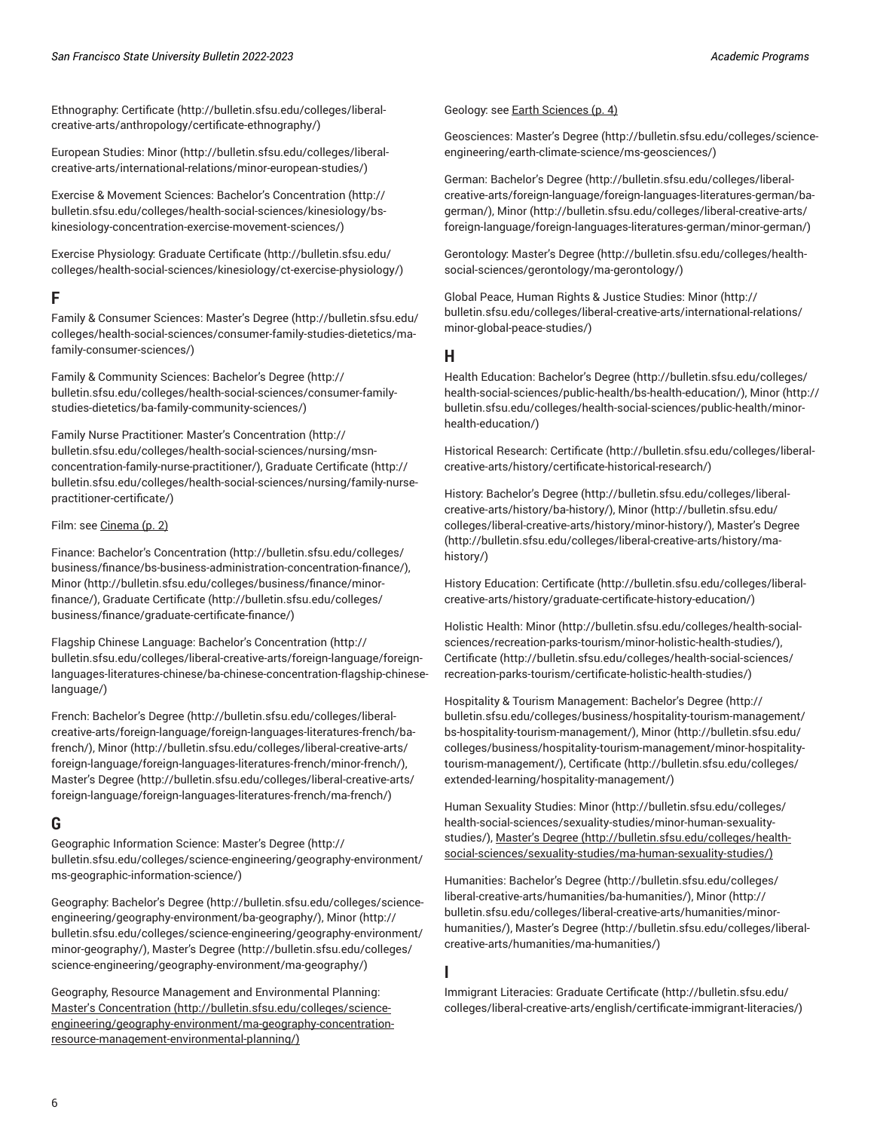Ethnography: [Certificate](http://bulletin.sfsu.edu/colleges/liberal-creative-arts/anthropology/certificate-ethnography/) ([http://bulletin.sfsu.edu/colleges/liberal](http://bulletin.sfsu.edu/colleges/liberal-creative-arts/anthropology/certificate-ethnography/)[creative-arts/anthropology/certificate-ethnography/](http://bulletin.sfsu.edu/colleges/liberal-creative-arts/anthropology/certificate-ethnography/))

European Studies: [Minor](http://bulletin.sfsu.edu/colleges/liberal-creative-arts/international-relations/minor-european-studies/) ([http://bulletin.sfsu.edu/colleges/liberal](http://bulletin.sfsu.edu/colleges/liberal-creative-arts/international-relations/minor-european-studies/)[creative-arts/international-relations/minor-european-studies/](http://bulletin.sfsu.edu/colleges/liberal-creative-arts/international-relations/minor-european-studies/))

Exercise & Movement Sciences: Bachelor's [Concentration](http://bulletin.sfsu.edu/colleges/health-social-sciences/kinesiology/bs-kinesiology-concentration-exercise-movement-sciences/) ([http://](http://bulletin.sfsu.edu/colleges/health-social-sciences/kinesiology/bs-kinesiology-concentration-exercise-movement-sciences/) [bulletin.sfsu.edu/colleges/health-social-sciences/kinesiology/bs](http://bulletin.sfsu.edu/colleges/health-social-sciences/kinesiology/bs-kinesiology-concentration-exercise-movement-sciences/)[kinesiology-concentration-exercise-movement-sciences/\)](http://bulletin.sfsu.edu/colleges/health-social-sciences/kinesiology/bs-kinesiology-concentration-exercise-movement-sciences/)

Exercise Physiology: Graduate [Certificate](http://bulletin.sfsu.edu/colleges/health-social-sciences/kinesiology/ct-exercise-physiology/) ([http://bulletin.sfsu.edu/](http://bulletin.sfsu.edu/colleges/health-social-sciences/kinesiology/ct-exercise-physiology/) [colleges/health-social-sciences/kinesiology/ct-exercise-physiology/](http://bulletin.sfsu.edu/colleges/health-social-sciences/kinesiology/ct-exercise-physiology/))

## <span id="page-5-0"></span>**F**

Family & Consumer Sciences: [Master's](http://bulletin.sfsu.edu/colleges/health-social-sciences/consumer-family-studies-dietetics/ma-family-consumer-sciences/) Degree ([http://bulletin.sfsu.edu/](http://bulletin.sfsu.edu/colleges/health-social-sciences/consumer-family-studies-dietetics/ma-family-consumer-sciences/) [colleges/health-social-sciences/consumer-family-studies-dietetics/ma](http://bulletin.sfsu.edu/colleges/health-social-sciences/consumer-family-studies-dietetics/ma-family-consumer-sciences/)[family-consumer-sciences/\)](http://bulletin.sfsu.edu/colleges/health-social-sciences/consumer-family-studies-dietetics/ma-family-consumer-sciences/)

Family & Community Sciences: [Bachelor's](http://bulletin.sfsu.edu/colleges/health-social-sciences/consumer-family-studies-dietetics/ba-family-community-sciences/) Degree [\(http://](http://bulletin.sfsu.edu/colleges/health-social-sciences/consumer-family-studies-dietetics/ba-family-community-sciences/) [bulletin.sfsu.edu/colleges/health-social-sciences/consumer-family](http://bulletin.sfsu.edu/colleges/health-social-sciences/consumer-family-studies-dietetics/ba-family-community-sciences/)[studies-dietetics/ba-family-community-sciences/](http://bulletin.sfsu.edu/colleges/health-social-sciences/consumer-family-studies-dietetics/ba-family-community-sciences/))

Family Nurse Practitioner: Master's [Concentration](http://bulletin.sfsu.edu/colleges/health-social-sciences/nursing/msn-concentration-family-nurse-practitioner/) [\(http://](http://bulletin.sfsu.edu/colleges/health-social-sciences/nursing/msn-concentration-family-nurse-practitioner/) [bulletin.sfsu.edu/colleges/health-social-sciences/nursing/msn](http://bulletin.sfsu.edu/colleges/health-social-sciences/nursing/msn-concentration-family-nurse-practitioner/)[concentration-family-nurse-practitioner/\)](http://bulletin.sfsu.edu/colleges/health-social-sciences/nursing/msn-concentration-family-nurse-practitioner/), Graduate [Certificate](http://bulletin.sfsu.edu/colleges/health-social-sciences/nursing/family-nurse-practitioner-certificate/) ([http://](http://bulletin.sfsu.edu/colleges/health-social-sciences/nursing/family-nurse-practitioner-certificate/) [bulletin.sfsu.edu/colleges/health-social-sciences/nursing/family-nurse](http://bulletin.sfsu.edu/colleges/health-social-sciences/nursing/family-nurse-practitioner-certificate/)[practitioner-certificate/](http://bulletin.sfsu.edu/colleges/health-social-sciences/nursing/family-nurse-practitioner-certificate/))

#### Film: see [Cinema](#page-1-0) [\(p. 2](#page-1-0))

Finance: Bachelor's [Concentration \(http://bulletin.sfsu.edu/colleges/](http://bulletin.sfsu.edu/colleges/business/finance/bs-business-administration-concentration-finance/) [business/finance/bs-business-administration-concentration-finance/](http://bulletin.sfsu.edu/colleges/business/finance/bs-business-administration-concentration-finance/)), [Minor \(http://bulletin.sfsu.edu/colleges/business/finance/minor](http://bulletin.sfsu.edu/colleges/business/finance/minor-finance/)[finance/\)](http://bulletin.sfsu.edu/colleges/business/finance/minor-finance/), Graduate [Certificate](http://bulletin.sfsu.edu/colleges/business/finance/graduate-certificate-finance/) ([http://bulletin.sfsu.edu/colleges/](http://bulletin.sfsu.edu/colleges/business/finance/graduate-certificate-finance/) [business/finance/graduate-certificate-finance/\)](http://bulletin.sfsu.edu/colleges/business/finance/graduate-certificate-finance/)

Flagship Chinese Language: Bachelor's [Concentration](http://bulletin.sfsu.edu/colleges/liberal-creative-arts/foreign-language/foreign-languages-literatures-chinese/ba-chinese-concentration-flagship-chinese-language/) ([http://](http://bulletin.sfsu.edu/colleges/liberal-creative-arts/foreign-language/foreign-languages-literatures-chinese/ba-chinese-concentration-flagship-chinese-language/) [bulletin.sfsu.edu/colleges/liberal-creative-arts/foreign-language/foreign](http://bulletin.sfsu.edu/colleges/liberal-creative-arts/foreign-language/foreign-languages-literatures-chinese/ba-chinese-concentration-flagship-chinese-language/)[languages-literatures-chinese/ba-chinese-concentration-flagship-chinese](http://bulletin.sfsu.edu/colleges/liberal-creative-arts/foreign-language/foreign-languages-literatures-chinese/ba-chinese-concentration-flagship-chinese-language/)[language/\)](http://bulletin.sfsu.edu/colleges/liberal-creative-arts/foreign-language/foreign-languages-literatures-chinese/ba-chinese-concentration-flagship-chinese-language/)

French: [Bachelor's](http://bulletin.sfsu.edu/colleges/liberal-creative-arts/foreign-language/foreign-languages-literatures-french/ba-french/) Degree ([http://bulletin.sfsu.edu/colleges/liberal](http://bulletin.sfsu.edu/colleges/liberal-creative-arts/foreign-language/foreign-languages-literatures-french/ba-french/)[creative-arts/foreign-language/foreign-languages-literatures-french/ba](http://bulletin.sfsu.edu/colleges/liberal-creative-arts/foreign-language/foreign-languages-literatures-french/ba-french/)[french/](http://bulletin.sfsu.edu/colleges/liberal-creative-arts/foreign-language/foreign-languages-literatures-french/ba-french/)), [Minor](http://bulletin.sfsu.edu/colleges/liberal-creative-arts/foreign-language/foreign-languages-literatures-french/minor-french/) [\(http://bulletin.sfsu.edu/colleges/liberal-creative-arts/](http://bulletin.sfsu.edu/colleges/liberal-creative-arts/foreign-language/foreign-languages-literatures-french/minor-french/) [foreign-language/foreign-languages-literatures-french/minor-french/](http://bulletin.sfsu.edu/colleges/liberal-creative-arts/foreign-language/foreign-languages-literatures-french/minor-french/)), [Master's](http://bulletin.sfsu.edu/colleges/liberal-creative-arts/foreign-language/foreign-languages-literatures-french/ma-french/) Degree ([http://bulletin.sfsu.edu/colleges/liberal-creative-arts/](http://bulletin.sfsu.edu/colleges/liberal-creative-arts/foreign-language/foreign-languages-literatures-french/ma-french/) [foreign-language/foreign-languages-literatures-french/ma-french/\)](http://bulletin.sfsu.edu/colleges/liberal-creative-arts/foreign-language/foreign-languages-literatures-french/ma-french/)

# <span id="page-5-1"></span>**G**

Geographic Information Science: [Master's](http://bulletin.sfsu.edu/colleges/science-engineering/geography-environment/ms-geographic-information-science/) Degree [\(http://](http://bulletin.sfsu.edu/colleges/science-engineering/geography-environment/ms-geographic-information-science/) [bulletin.sfsu.edu/colleges/science-engineering/geography-environment/](http://bulletin.sfsu.edu/colleges/science-engineering/geography-environment/ms-geographic-information-science/) [ms-geographic-information-science/\)](http://bulletin.sfsu.edu/colleges/science-engineering/geography-environment/ms-geographic-information-science/)

Geography: [Bachelor's](http://bulletin.sfsu.edu/colleges/science-engineering/geography-environment/ba-geography/) Degree [\(http://bulletin.sfsu.edu/colleges/science](http://bulletin.sfsu.edu/colleges/science-engineering/geography-environment/ba-geography/)[engineering/geography-environment/ba-geography/\)](http://bulletin.sfsu.edu/colleges/science-engineering/geography-environment/ba-geography/), [Minor \(http://](http://bulletin.sfsu.edu/colleges/science-engineering/geography-environment/minor-geography/) [bulletin.sfsu.edu/colleges/science-engineering/geography-environment/](http://bulletin.sfsu.edu/colleges/science-engineering/geography-environment/minor-geography/) [minor-geography/](http://bulletin.sfsu.edu/colleges/science-engineering/geography-environment/minor-geography/)), [Master's](http://bulletin.sfsu.edu/colleges/science-engineering/geography-environment/ma-geography/) Degree [\(http://bulletin.sfsu.edu/colleges/](http://bulletin.sfsu.edu/colleges/science-engineering/geography-environment/ma-geography/) [science-engineering/geography-environment/ma-geography/\)](http://bulletin.sfsu.edu/colleges/science-engineering/geography-environment/ma-geography/)

Geography, Resource Management and Environmental Planning: Master's [Concentration \(http://bulletin.sfsu.edu/colleges/science](http://bulletin.sfsu.edu/colleges/science-engineering/geography-environment/ma-geography-concentration-resource-management-environmental-planning/)[engineering/geography-environment/ma-geography-concentration](http://bulletin.sfsu.edu/colleges/science-engineering/geography-environment/ma-geography-concentration-resource-management-environmental-planning/)[resource-management-environmental-planning/](http://bulletin.sfsu.edu/colleges/science-engineering/geography-environment/ma-geography-concentration-resource-management-environmental-planning/))

#### Geology: see Earth [Sciences](#page-3-1) [\(p. 4](#page-3-1))

Geosciences: [Master's](http://bulletin.sfsu.edu/colleges/science-engineering/earth-climate-science/ms-geosciences/) Degree [\(http://bulletin.sfsu.edu/colleges/science](http://bulletin.sfsu.edu/colleges/science-engineering/earth-climate-science/ms-geosciences/)[engineering/earth-climate-science/ms-geosciences/](http://bulletin.sfsu.edu/colleges/science-engineering/earth-climate-science/ms-geosciences/))

German: [Bachelor's](http://bulletin.sfsu.edu/colleges/liberal-creative-arts/foreign-language/foreign-languages-literatures-german/ba-german/) Degree ([http://bulletin.sfsu.edu/colleges/liberal](http://bulletin.sfsu.edu/colleges/liberal-creative-arts/foreign-language/foreign-languages-literatures-german/ba-german/)[creative-arts/foreign-language/foreign-languages-literatures-german/ba](http://bulletin.sfsu.edu/colleges/liberal-creative-arts/foreign-language/foreign-languages-literatures-german/ba-german/)[german/](http://bulletin.sfsu.edu/colleges/liberal-creative-arts/foreign-language/foreign-languages-literatures-german/ba-german/)), [Minor](http://bulletin.sfsu.edu/colleges/liberal-creative-arts/foreign-language/foreign-languages-literatures-german/minor-german/) ([http://bulletin.sfsu.edu/colleges/liberal-creative-arts/](http://bulletin.sfsu.edu/colleges/liberal-creative-arts/foreign-language/foreign-languages-literatures-german/minor-german/) [foreign-language/foreign-languages-literatures-german/minor-german/\)](http://bulletin.sfsu.edu/colleges/liberal-creative-arts/foreign-language/foreign-languages-literatures-german/minor-german/)

Gerontology: [Master's](http://bulletin.sfsu.edu/colleges/health-social-sciences/gerontology/ma-gerontology/) Degree [\(http://bulletin.sfsu.edu/colleges/health](http://bulletin.sfsu.edu/colleges/health-social-sciences/gerontology/ma-gerontology/)[social-sciences/gerontology/ma-gerontology/](http://bulletin.sfsu.edu/colleges/health-social-sciences/gerontology/ma-gerontology/))

Global Peace, Human Rights & Justice Studies: [Minor](http://bulletin.sfsu.edu/colleges/liberal-creative-arts/international-relations/minor-global-peace-studies/) ([http://](http://bulletin.sfsu.edu/colleges/liberal-creative-arts/international-relations/minor-global-peace-studies/) [bulletin.sfsu.edu/colleges/liberal-creative-arts/international-relations/](http://bulletin.sfsu.edu/colleges/liberal-creative-arts/international-relations/minor-global-peace-studies/) [minor-global-peace-studies/](http://bulletin.sfsu.edu/colleges/liberal-creative-arts/international-relations/minor-global-peace-studies/))

#### <span id="page-5-2"></span>**H**

Health Education: [Bachelor's](http://bulletin.sfsu.edu/colleges/health-social-sciences/public-health/bs-health-education/) Degree [\(http://bulletin.sfsu.edu/colleges/](http://bulletin.sfsu.edu/colleges/health-social-sciences/public-health/bs-health-education/) [health-social-sciences/public-health/bs-health-education/](http://bulletin.sfsu.edu/colleges/health-social-sciences/public-health/bs-health-education/)), [Minor](http://bulletin.sfsu.edu/colleges/health-social-sciences/public-health/minor-health-education/) [\(http://](http://bulletin.sfsu.edu/colleges/health-social-sciences/public-health/minor-health-education/) [bulletin.sfsu.edu/colleges/health-social-sciences/public-health/minor](http://bulletin.sfsu.edu/colleges/health-social-sciences/public-health/minor-health-education/)[health-education/](http://bulletin.sfsu.edu/colleges/health-social-sciences/public-health/minor-health-education/))

Historical Research: [Certificate \(http://bulletin.sfsu.edu/colleges/liberal](http://bulletin.sfsu.edu/colleges/liberal-creative-arts/history/certificate-historical-research/)[creative-arts/history/certificate-historical-research/](http://bulletin.sfsu.edu/colleges/liberal-creative-arts/history/certificate-historical-research/))

History: [Bachelor's](http://bulletin.sfsu.edu/colleges/liberal-creative-arts/history/ba-history/) Degree ([http://bulletin.sfsu.edu/colleges/liberal](http://bulletin.sfsu.edu/colleges/liberal-creative-arts/history/ba-history/)[creative-arts/history/ba-history/\)](http://bulletin.sfsu.edu/colleges/liberal-creative-arts/history/ba-history/), [Minor](http://bulletin.sfsu.edu/colleges/liberal-creative-arts/history/minor-history/) ([http://bulletin.sfsu.edu/](http://bulletin.sfsu.edu/colleges/liberal-creative-arts/history/minor-history/) [colleges/liberal-creative-arts/history/minor-history/](http://bulletin.sfsu.edu/colleges/liberal-creative-arts/history/minor-history/)), [Master's](http://bulletin.sfsu.edu/colleges/liberal-creative-arts/history/ma-history/) Degree [\(http://bulletin.sfsu.edu/colleges/liberal-creative-arts/history/ma](http://bulletin.sfsu.edu/colleges/liberal-creative-arts/history/ma-history/)[history/\)](http://bulletin.sfsu.edu/colleges/liberal-creative-arts/history/ma-history/)

History Education: [Certificate](http://bulletin.sfsu.edu/colleges/liberal-creative-arts/history/graduate-certificate-history-education/) [\(http://bulletin.sfsu.edu/colleges/liberal](http://bulletin.sfsu.edu/colleges/liberal-creative-arts/history/graduate-certificate-history-education/)[creative-arts/history/graduate-certificate-history-education/](http://bulletin.sfsu.edu/colleges/liberal-creative-arts/history/graduate-certificate-history-education/))

Holistic Health: [Minor](http://bulletin.sfsu.edu/colleges/health-social-sciences/recreation-parks-tourism/minor-holistic-health-studies/) ([http://bulletin.sfsu.edu/colleges/health-social](http://bulletin.sfsu.edu/colleges/health-social-sciences/recreation-parks-tourism/minor-holistic-health-studies/)[sciences/recreation-parks-tourism/minor-holistic-health-studies/](http://bulletin.sfsu.edu/colleges/health-social-sciences/recreation-parks-tourism/minor-holistic-health-studies/)), [Certificate](http://bulletin.sfsu.edu/colleges/health-social-sciences/recreation-parks-tourism/certificate-holistic-health-studies/) ([http://bulletin.sfsu.edu/colleges/health-social-sciences/](http://bulletin.sfsu.edu/colleges/health-social-sciences/recreation-parks-tourism/certificate-holistic-health-studies/) [recreation-parks-tourism/certificate-holistic-health-studies/](http://bulletin.sfsu.edu/colleges/health-social-sciences/recreation-parks-tourism/certificate-holistic-health-studies/))

Hospitality & Tourism Management: [Bachelor's](http://bulletin.sfsu.edu/colleges/business/hospitality-tourism-management/bs-hospitality-tourism-management/) Degree [\(http://](http://bulletin.sfsu.edu/colleges/business/hospitality-tourism-management/bs-hospitality-tourism-management/) [bulletin.sfsu.edu/colleges/business/hospitality-tourism-management/](http://bulletin.sfsu.edu/colleges/business/hospitality-tourism-management/bs-hospitality-tourism-management/) [bs-hospitality-tourism-management/](http://bulletin.sfsu.edu/colleges/business/hospitality-tourism-management/bs-hospitality-tourism-management/)), [Minor](http://bulletin.sfsu.edu/colleges/business/hospitality-tourism-management/minor-hospitality-tourism-management/) ([http://bulletin.sfsu.edu/](http://bulletin.sfsu.edu/colleges/business/hospitality-tourism-management/minor-hospitality-tourism-management/) [colleges/business/hospitality-tourism-management/minor-hospitality](http://bulletin.sfsu.edu/colleges/business/hospitality-tourism-management/minor-hospitality-tourism-management/)[tourism-management/](http://bulletin.sfsu.edu/colleges/business/hospitality-tourism-management/minor-hospitality-tourism-management/)), [Certificate](http://bulletin.sfsu.edu/colleges/extended-learning/hospitality-management/) [\(http://bulletin.sfsu.edu/colleges/](http://bulletin.sfsu.edu/colleges/extended-learning/hospitality-management/) [extended-learning/hospitality-management/\)](http://bulletin.sfsu.edu/colleges/extended-learning/hospitality-management/)

Human Sexuality Studies: [Minor \(http://bulletin.sfsu.edu/colleges/](http://bulletin.sfsu.edu/colleges/health-social-sciences/sexuality-studies/minor-human-sexuality-studies/) [health-social-sciences/sexuality-studies/minor-human-sexuality](http://bulletin.sfsu.edu/colleges/health-social-sciences/sexuality-studies/minor-human-sexuality-studies/)[studies/](http://bulletin.sfsu.edu/colleges/health-social-sciences/sexuality-studies/minor-human-sexuality-studies/)), [Master's](http://bulletin.sfsu.edu/colleges/health-social-sciences/sexuality-studies/ma-human-sexuality-studies/) Degree ([http://bulletin.sfsu.edu/colleges/health](http://bulletin.sfsu.edu/colleges/health-social-sciences/sexuality-studies/ma-human-sexuality-studies/)[social-sciences/sexuality-studies/ma-human-sexuality-studies/](http://bulletin.sfsu.edu/colleges/health-social-sciences/sexuality-studies/ma-human-sexuality-studies/))

Humanities: [Bachelor's](http://bulletin.sfsu.edu/colleges/liberal-creative-arts/humanities/ba-humanities/) Degree ([http://bulletin.sfsu.edu/colleges/](http://bulletin.sfsu.edu/colleges/liberal-creative-arts/humanities/ba-humanities/) [liberal-creative-arts/humanities/ba-humanities/\)](http://bulletin.sfsu.edu/colleges/liberal-creative-arts/humanities/ba-humanities/), [Minor \(http://](http://bulletin.sfsu.edu/colleges/liberal-creative-arts/humanities/minor-humanities/) [bulletin.sfsu.edu/colleges/liberal-creative-arts/humanities/minor](http://bulletin.sfsu.edu/colleges/liberal-creative-arts/humanities/minor-humanities/)[humanities/\)](http://bulletin.sfsu.edu/colleges/liberal-creative-arts/humanities/minor-humanities/), [Master's](http://bulletin.sfsu.edu/colleges/liberal-creative-arts/humanities/ma-humanities/) Degree ([http://bulletin.sfsu.edu/colleges/liberal](http://bulletin.sfsu.edu/colleges/liberal-creative-arts/humanities/ma-humanities/)[creative-arts/humanities/ma-humanities/](http://bulletin.sfsu.edu/colleges/liberal-creative-arts/humanities/ma-humanities/))

#### <span id="page-5-3"></span>**I**

Immigrant Literacies: Graduate [Certificate \(http://bulletin.sfsu.edu/](http://bulletin.sfsu.edu/colleges/liberal-creative-arts/english/certificate-immigrant-literacies/) [colleges/liberal-creative-arts/english/certificate-immigrant-literacies/\)](http://bulletin.sfsu.edu/colleges/liberal-creative-arts/english/certificate-immigrant-literacies/)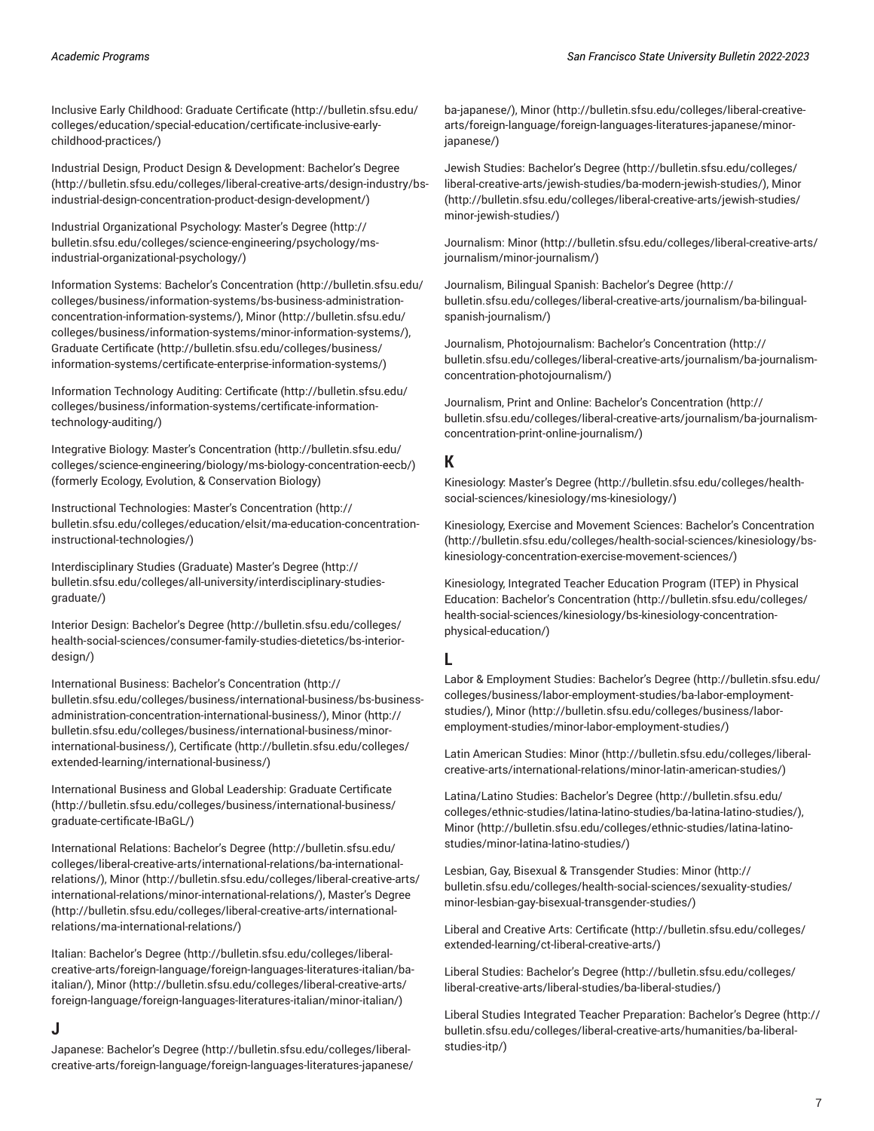Inclusive Early Childhood: Graduate [Certificate](http://bulletin.sfsu.edu/colleges/education/special-education/certificate-inclusive-early-childhood-practices/) ([http://bulletin.sfsu.edu/](http://bulletin.sfsu.edu/colleges/education/special-education/certificate-inclusive-early-childhood-practices/) [colleges/education/special-education/certificate-inclusive-early](http://bulletin.sfsu.edu/colleges/education/special-education/certificate-inclusive-early-childhood-practices/)[childhood-practices/](http://bulletin.sfsu.edu/colleges/education/special-education/certificate-inclusive-early-childhood-practices/))

Industrial Design, Product Design & Development: [Bachelor's](http://bulletin.sfsu.edu/colleges/liberal-creative-arts/design-industry/bs-industrial-design-concentration-product-design-development/) Degree ([http://bulletin.sfsu.edu/colleges/liberal-creative-arts/design-industry/bs](http://bulletin.sfsu.edu/colleges/liberal-creative-arts/design-industry/bs-industrial-design-concentration-product-design-development/)[industrial-design-concentration-product-design-development/](http://bulletin.sfsu.edu/colleges/liberal-creative-arts/design-industry/bs-industrial-design-concentration-product-design-development/))

Industrial Organizational Psychology: [Master's](http://bulletin.sfsu.edu/colleges/science-engineering/psychology/ms-industrial-organizational-psychology/) Degree ([http://](http://bulletin.sfsu.edu/colleges/science-engineering/psychology/ms-industrial-organizational-psychology/) [bulletin.sfsu.edu/colleges/science-engineering/psychology/ms](http://bulletin.sfsu.edu/colleges/science-engineering/psychology/ms-industrial-organizational-psychology/)[industrial-organizational-psychology/\)](http://bulletin.sfsu.edu/colleges/science-engineering/psychology/ms-industrial-organizational-psychology/)

Information Systems: Bachelor's [Concentration \(http://bulletin.sfsu.edu/](http://bulletin.sfsu.edu/colleges/business/information-systems/bs-business-administration-concentration-information-systems/) [colleges/business/information-systems/bs-business-administration](http://bulletin.sfsu.edu/colleges/business/information-systems/bs-business-administration-concentration-information-systems/)[concentration-information-systems/](http://bulletin.sfsu.edu/colleges/business/information-systems/bs-business-administration-concentration-information-systems/)), [Minor](http://bulletin.sfsu.edu/colleges/business/information-systems/minor-information-systems/) ([http://bulletin.sfsu.edu/](http://bulletin.sfsu.edu/colleges/business/information-systems/minor-information-systems/) [colleges/business/information-systems/minor-information-systems/\)](http://bulletin.sfsu.edu/colleges/business/information-systems/minor-information-systems/), Graduate [Certificate](http://bulletin.sfsu.edu/colleges/business/information-systems/certificate-enterprise-information-systems/) ([http://bulletin.sfsu.edu/colleges/business/](http://bulletin.sfsu.edu/colleges/business/information-systems/certificate-enterprise-information-systems/) [information-systems/certificate-enterprise-information-systems/](http://bulletin.sfsu.edu/colleges/business/information-systems/certificate-enterprise-information-systems/))

Information Technology Auditing: [Certificate \(http://bulletin.sfsu.edu/](http://bulletin.sfsu.edu/colleges/business/information-systems/certificate-information-technology-auditing/) [colleges/business/information-systems/certificate-information](http://bulletin.sfsu.edu/colleges/business/information-systems/certificate-information-technology-auditing/)[technology-auditing/\)](http://bulletin.sfsu.edu/colleges/business/information-systems/certificate-information-technology-auditing/)

Integrative Biology: Master's [Concentration](http://bulletin.sfsu.edu/colleges/science-engineering/biology/ms-biology-concentration-eecb/) ([http://bulletin.sfsu.edu/](http://bulletin.sfsu.edu/colleges/science-engineering/biology/ms-biology-concentration-eecb/) [colleges/science-engineering/biology/ms-biology-concentration-eecb/\)](http://bulletin.sfsu.edu/colleges/science-engineering/biology/ms-biology-concentration-eecb/) (formerly Ecology, Evolution, & Conservation Biology)

Instructional Technologies: Master's [Concentration](http://bulletin.sfsu.edu/colleges/education/elsit/ma-education-concentration-instructional-technologies/) ([http://](http://bulletin.sfsu.edu/colleges/education/elsit/ma-education-concentration-instructional-technologies/) [bulletin.sfsu.edu/colleges/education/elsit/ma-education-concentration](http://bulletin.sfsu.edu/colleges/education/elsit/ma-education-concentration-instructional-technologies/)[instructional-technologies/](http://bulletin.sfsu.edu/colleges/education/elsit/ma-education-concentration-instructional-technologies/))

Interdisciplinary Studies (Graduate) [Master's](http://bulletin.sfsu.edu/colleges/all-university/interdisciplinary-studies-graduate/) Degree ([http://](http://bulletin.sfsu.edu/colleges/all-university/interdisciplinary-studies-graduate/) [bulletin.sfsu.edu/colleges/all-university/interdisciplinary-studies](http://bulletin.sfsu.edu/colleges/all-university/interdisciplinary-studies-graduate/)[graduate/](http://bulletin.sfsu.edu/colleges/all-university/interdisciplinary-studies-graduate/))

Interior Design: [Bachelor's](http://bulletin.sfsu.edu/colleges/health-social-sciences/consumer-family-studies-dietetics/bs-interior-design/) Degree ([http://bulletin.sfsu.edu/colleges/](http://bulletin.sfsu.edu/colleges/health-social-sciences/consumer-family-studies-dietetics/bs-interior-design/) [health-social-sciences/consumer-family-studies-dietetics/bs-interior](http://bulletin.sfsu.edu/colleges/health-social-sciences/consumer-family-studies-dietetics/bs-interior-design/)[design/](http://bulletin.sfsu.edu/colleges/health-social-sciences/consumer-family-studies-dietetics/bs-interior-design/))

International Business: Bachelor's [Concentration \(http://](http://bulletin.sfsu.edu/colleges/business/international-business/bs-business-administration-concentration-international-business/) [bulletin.sfsu.edu/colleges/business/international-business/bs-business](http://bulletin.sfsu.edu/colleges/business/international-business/bs-business-administration-concentration-international-business/)[administration-concentration-international-business/](http://bulletin.sfsu.edu/colleges/business/international-business/bs-business-administration-concentration-international-business/)), [Minor](http://bulletin.sfsu.edu/colleges/business/international-business/minor-international-business/) ([http://](http://bulletin.sfsu.edu/colleges/business/international-business/minor-international-business/) [bulletin.sfsu.edu/colleges/business/international-business/minor](http://bulletin.sfsu.edu/colleges/business/international-business/minor-international-business/)[international-business/](http://bulletin.sfsu.edu/colleges/business/international-business/minor-international-business/)), [Certificate \(http://bulletin.sfsu.edu/colleges/](http://bulletin.sfsu.edu/colleges/extended-learning/international-business/) [extended-learning/international-business/\)](http://bulletin.sfsu.edu/colleges/extended-learning/international-business/)

International Business and Global Leadership: Graduate [Certificate](http://bulletin.sfsu.edu/colleges/business/international-business/graduate-certificate-IBaGL/) ([http://bulletin.sfsu.edu/colleges/business/international-business/](http://bulletin.sfsu.edu/colleges/business/international-business/graduate-certificate-IBaGL/) [graduate-certificate-IBaGL/](http://bulletin.sfsu.edu/colleges/business/international-business/graduate-certificate-IBaGL/))

International Relations: [Bachelor's](http://bulletin.sfsu.edu/colleges/liberal-creative-arts/international-relations/ba-international-relations/) Degree ([http://bulletin.sfsu.edu/](http://bulletin.sfsu.edu/colleges/liberal-creative-arts/international-relations/ba-international-relations/) [colleges/liberal-creative-arts/international-relations/ba-international](http://bulletin.sfsu.edu/colleges/liberal-creative-arts/international-relations/ba-international-relations/)[relations/\)](http://bulletin.sfsu.edu/colleges/liberal-creative-arts/international-relations/ba-international-relations/), [Minor \(http://bulletin.sfsu.edu/colleges/liberal-creative-arts/](http://bulletin.sfsu.edu/colleges/liberal-creative-arts/international-relations/minor-international-relations/) [international-relations/minor-international-relations/\)](http://bulletin.sfsu.edu/colleges/liberal-creative-arts/international-relations/minor-international-relations/), [Master's](http://bulletin.sfsu.edu/colleges/liberal-creative-arts/international-relations/ma-international-relations/) Degree ([http://bulletin.sfsu.edu/colleges/liberal-creative-arts/international](http://bulletin.sfsu.edu/colleges/liberal-creative-arts/international-relations/ma-international-relations/)[relations/ma-international-relations/](http://bulletin.sfsu.edu/colleges/liberal-creative-arts/international-relations/ma-international-relations/))

Italian: [Bachelor's](http://bulletin.sfsu.edu/colleges/liberal-creative-arts/foreign-language/foreign-languages-literatures-italian/ba-italian/) Degree [\(http://bulletin.sfsu.edu/colleges/liberal](http://bulletin.sfsu.edu/colleges/liberal-creative-arts/foreign-language/foreign-languages-literatures-italian/ba-italian/)[creative-arts/foreign-language/foreign-languages-literatures-italian/ba](http://bulletin.sfsu.edu/colleges/liberal-creative-arts/foreign-language/foreign-languages-literatures-italian/ba-italian/)[italian/](http://bulletin.sfsu.edu/colleges/liberal-creative-arts/foreign-language/foreign-languages-literatures-italian/ba-italian/)), [Minor \(http://bulletin.sfsu.edu/colleges/liberal-creative-arts/](http://bulletin.sfsu.edu/colleges/liberal-creative-arts/foreign-language/foreign-languages-literatures-italian/minor-italian/) [foreign-language/foreign-languages-literatures-italian/minor-italian/\)](http://bulletin.sfsu.edu/colleges/liberal-creative-arts/foreign-language/foreign-languages-literatures-italian/minor-italian/)

#### <span id="page-6-0"></span>**J**

Japanese: [Bachelor's](http://bulletin.sfsu.edu/colleges/liberal-creative-arts/foreign-language/foreign-languages-literatures-japanese/ba-japanese/) Degree ([http://bulletin.sfsu.edu/colleges/liberal](http://bulletin.sfsu.edu/colleges/liberal-creative-arts/foreign-language/foreign-languages-literatures-japanese/ba-japanese/)[creative-arts/foreign-language/foreign-languages-literatures-japanese/](http://bulletin.sfsu.edu/colleges/liberal-creative-arts/foreign-language/foreign-languages-literatures-japanese/ba-japanese/)

[ba-japanese/](http://bulletin.sfsu.edu/colleges/liberal-creative-arts/foreign-language/foreign-languages-literatures-japanese/ba-japanese/)), [Minor](http://bulletin.sfsu.edu/colleges/liberal-creative-arts/foreign-language/foreign-languages-literatures-japanese/minor-japanese/) [\(http://bulletin.sfsu.edu/colleges/liberal-creative](http://bulletin.sfsu.edu/colleges/liberal-creative-arts/foreign-language/foreign-languages-literatures-japanese/minor-japanese/)[arts/foreign-language/foreign-languages-literatures-japanese/minor](http://bulletin.sfsu.edu/colleges/liberal-creative-arts/foreign-language/foreign-languages-literatures-japanese/minor-japanese/)[japanese/](http://bulletin.sfsu.edu/colleges/liberal-creative-arts/foreign-language/foreign-languages-literatures-japanese/minor-japanese/))

Jewish Studies: [Bachelor's](http://bulletin.sfsu.edu/colleges/liberal-creative-arts/jewish-studies/ba-modern-jewish-studies/) Degree [\(http://bulletin.sfsu.edu/colleges/](http://bulletin.sfsu.edu/colleges/liberal-creative-arts/jewish-studies/ba-modern-jewish-studies/) [liberal-creative-arts/jewish-studies/ba-modern-jewish-studies/\)](http://bulletin.sfsu.edu/colleges/liberal-creative-arts/jewish-studies/ba-modern-jewish-studies/), [Minor](http://bulletin.sfsu.edu/colleges/liberal-creative-arts/jewish-studies/minor-jewish-studies/) [\(http://bulletin.sfsu.edu/colleges/liberal-creative-arts/jewish-studies/](http://bulletin.sfsu.edu/colleges/liberal-creative-arts/jewish-studies/minor-jewish-studies/) [minor-jewish-studies/](http://bulletin.sfsu.edu/colleges/liberal-creative-arts/jewish-studies/minor-jewish-studies/))

Journalism: [Minor \(http://bulletin.sfsu.edu/colleges/liberal-creative-arts/](http://bulletin.sfsu.edu/colleges/liberal-creative-arts/journalism/minor-journalism/) [journalism/minor-journalism/](http://bulletin.sfsu.edu/colleges/liberal-creative-arts/journalism/minor-journalism/))

Journalism, Bilingual Spanish: [Bachelor's](http://bulletin.sfsu.edu/colleges/liberal-creative-arts/journalism/ba-bilingual-spanish-journalism/) Degree ([http://](http://bulletin.sfsu.edu/colleges/liberal-creative-arts/journalism/ba-bilingual-spanish-journalism/) [bulletin.sfsu.edu/colleges/liberal-creative-arts/journalism/ba-bilingual](http://bulletin.sfsu.edu/colleges/liberal-creative-arts/journalism/ba-bilingual-spanish-journalism/)[spanish-journalism/](http://bulletin.sfsu.edu/colleges/liberal-creative-arts/journalism/ba-bilingual-spanish-journalism/))

Journalism, Photojournalism: Bachelor's [Concentration](http://bulletin.sfsu.edu/colleges/liberal-creative-arts/journalism/ba-journalism-concentration-photojournalism/) ([http://](http://bulletin.sfsu.edu/colleges/liberal-creative-arts/journalism/ba-journalism-concentration-photojournalism/) [bulletin.sfsu.edu/colleges/liberal-creative-arts/journalism/ba-journalism](http://bulletin.sfsu.edu/colleges/liberal-creative-arts/journalism/ba-journalism-concentration-photojournalism/)[concentration-photojournalism/\)](http://bulletin.sfsu.edu/colleges/liberal-creative-arts/journalism/ba-journalism-concentration-photojournalism/)

Journalism, Print and Online: Bachelor's [Concentration](http://bulletin.sfsu.edu/colleges/liberal-creative-arts/journalism/ba-journalism-concentration-print-online-journalism/) ([http://](http://bulletin.sfsu.edu/colleges/liberal-creative-arts/journalism/ba-journalism-concentration-print-online-journalism/) [bulletin.sfsu.edu/colleges/liberal-creative-arts/journalism/ba-journalism](http://bulletin.sfsu.edu/colleges/liberal-creative-arts/journalism/ba-journalism-concentration-print-online-journalism/)[concentration-print-online-journalism/\)](http://bulletin.sfsu.edu/colleges/liberal-creative-arts/journalism/ba-journalism-concentration-print-online-journalism/)

#### <span id="page-6-1"></span>**K**

Kinesiology: [Master's](http://bulletin.sfsu.edu/colleges/health-social-sciences/kinesiology/ms-kinesiology/) Degree [\(http://bulletin.sfsu.edu/colleges/health](http://bulletin.sfsu.edu/colleges/health-social-sciences/kinesiology/ms-kinesiology/)[social-sciences/kinesiology/ms-kinesiology/\)](http://bulletin.sfsu.edu/colleges/health-social-sciences/kinesiology/ms-kinesiology/)

Kinesiology, Exercise and Movement Sciences: Bachelor's [Concentration](http://bulletin.sfsu.edu/colleges/health-social-sciences/kinesiology/bs-kinesiology-concentration-exercise-movement-sciences/) [\(http://bulletin.sfsu.edu/colleges/health-social-sciences/kinesiology/bs](http://bulletin.sfsu.edu/colleges/health-social-sciences/kinesiology/bs-kinesiology-concentration-exercise-movement-sciences/)[kinesiology-concentration-exercise-movement-sciences/\)](http://bulletin.sfsu.edu/colleges/health-social-sciences/kinesiology/bs-kinesiology-concentration-exercise-movement-sciences/)

Kinesiology, Integrated Teacher Education Program (ITEP) in Physical Education: Bachelor's [Concentration \(http://bulletin.sfsu.edu/colleges/](http://bulletin.sfsu.edu/colleges/health-social-sciences/kinesiology/bs-kinesiology-concentration-physical-education/) [health-social-sciences/kinesiology/bs-kinesiology-concentration](http://bulletin.sfsu.edu/colleges/health-social-sciences/kinesiology/bs-kinesiology-concentration-physical-education/)[physical-education/\)](http://bulletin.sfsu.edu/colleges/health-social-sciences/kinesiology/bs-kinesiology-concentration-physical-education/)

#### <span id="page-6-2"></span>**L**

Labor & Employment Studies: [Bachelor's](http://bulletin.sfsu.edu/colleges/business/labor-employment-studies/ba-labor-employment-studies/) Degree [\(http://bulletin.sfsu.edu/](http://bulletin.sfsu.edu/colleges/business/labor-employment-studies/ba-labor-employment-studies/) [colleges/business/labor-employment-studies/ba-labor-employment](http://bulletin.sfsu.edu/colleges/business/labor-employment-studies/ba-labor-employment-studies/)[studies/](http://bulletin.sfsu.edu/colleges/business/labor-employment-studies/ba-labor-employment-studies/)), [Minor](http://bulletin.sfsu.edu/colleges/business/labor-employment-studies/minor-labor-employment-studies/) ([http://bulletin.sfsu.edu/colleges/business/labor](http://bulletin.sfsu.edu/colleges/business/labor-employment-studies/minor-labor-employment-studies/)[employment-studies/minor-labor-employment-studies/](http://bulletin.sfsu.edu/colleges/business/labor-employment-studies/minor-labor-employment-studies/))

Latin American Studies: [Minor \(http://bulletin.sfsu.edu/colleges/liberal](http://bulletin.sfsu.edu/colleges/liberal-creative-arts/international-relations/minor-latin-american-studies/)[creative-arts/international-relations/minor-latin-american-studies/](http://bulletin.sfsu.edu/colleges/liberal-creative-arts/international-relations/minor-latin-american-studies/))

Latina/Latino Studies: [Bachelor's](http://bulletin.sfsu.edu/colleges/ethnic-studies/latina-latino-studies/ba-latina-latino-studies/) Degree ([http://bulletin.sfsu.edu/](http://bulletin.sfsu.edu/colleges/ethnic-studies/latina-latino-studies/ba-latina-latino-studies/) [colleges/ethnic-studies/latina-latino-studies/ba-latina-latino-studies/](http://bulletin.sfsu.edu/colleges/ethnic-studies/latina-latino-studies/ba-latina-latino-studies/)), [Minor](http://bulletin.sfsu.edu/colleges/ethnic-studies/latina-latino-studies/minor-latina-latino-studies/) ([http://bulletin.sfsu.edu/colleges/ethnic-studies/latina-latino](http://bulletin.sfsu.edu/colleges/ethnic-studies/latina-latino-studies/minor-latina-latino-studies/)[studies/minor-latina-latino-studies/\)](http://bulletin.sfsu.edu/colleges/ethnic-studies/latina-latino-studies/minor-latina-latino-studies/)

Lesbian, Gay, Bisexual & Transgender Studies: [Minor](http://bulletin.sfsu.edu/colleges/health-social-sciences/sexuality-studies/minor-lesbian-gay-bisexual-transgender-studies/) [\(http://](http://bulletin.sfsu.edu/colleges/health-social-sciences/sexuality-studies/minor-lesbian-gay-bisexual-transgender-studies/) [bulletin.sfsu.edu/colleges/health-social-sciences/sexuality-studies/](http://bulletin.sfsu.edu/colleges/health-social-sciences/sexuality-studies/minor-lesbian-gay-bisexual-transgender-studies/) [minor-lesbian-gay-bisexual-transgender-studies/](http://bulletin.sfsu.edu/colleges/health-social-sciences/sexuality-studies/minor-lesbian-gay-bisexual-transgender-studies/))

Liberal and Creative Arts: [Certificate](http://bulletin.sfsu.edu/colleges/extended-learning/ct-liberal-creative-arts/) ([http://bulletin.sfsu.edu/colleges/](http://bulletin.sfsu.edu/colleges/extended-learning/ct-liberal-creative-arts/) [extended-learning/ct-liberal-creative-arts/](http://bulletin.sfsu.edu/colleges/extended-learning/ct-liberal-creative-arts/))

Liberal Studies: [Bachelor's](http://bulletin.sfsu.edu/colleges/liberal-creative-arts/liberal-studies/ba-liberal-studies/) Degree ([http://bulletin.sfsu.edu/colleges/](http://bulletin.sfsu.edu/colleges/liberal-creative-arts/liberal-studies/ba-liberal-studies/) [liberal-creative-arts/liberal-studies/ba-liberal-studies/](http://bulletin.sfsu.edu/colleges/liberal-creative-arts/liberal-studies/ba-liberal-studies/))

Liberal Studies Integrated Teacher Preparation: [Bachelor's](http://bulletin.sfsu.edu/colleges/liberal-creative-arts/humanities/ba-liberal-studies-itp/) Degree [\(http://](http://bulletin.sfsu.edu/colleges/liberal-creative-arts/humanities/ba-liberal-studies-itp/) [bulletin.sfsu.edu/colleges/liberal-creative-arts/humanities/ba-liberal](http://bulletin.sfsu.edu/colleges/liberal-creative-arts/humanities/ba-liberal-studies-itp/)[studies-itp/\)](http://bulletin.sfsu.edu/colleges/liberal-creative-arts/humanities/ba-liberal-studies-itp/)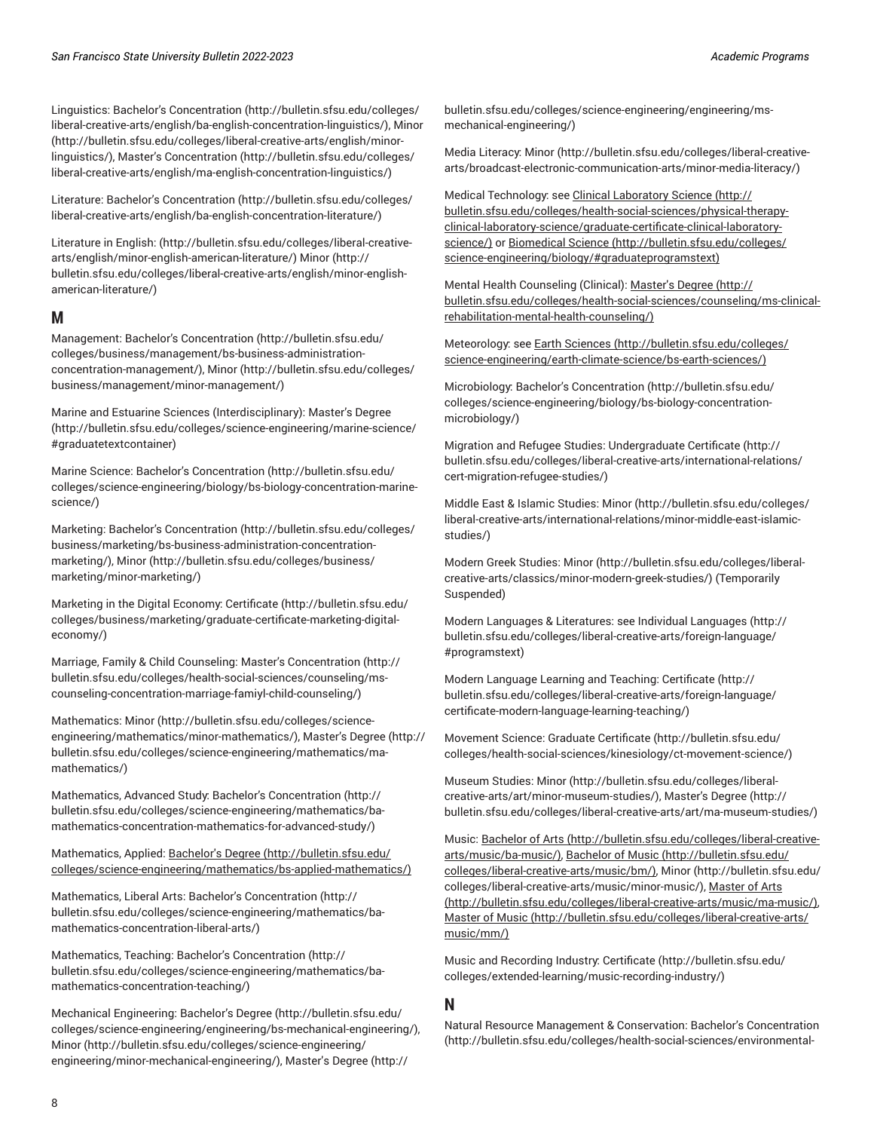Linguistics: Bachelor's [Concentration \(http://bulletin.sfsu.edu/colleges/](http://bulletin.sfsu.edu/colleges/liberal-creative-arts/english/ba-english-concentration-linguistics/) [liberal-creative-arts/english/ba-english-concentration-linguistics/\)](http://bulletin.sfsu.edu/colleges/liberal-creative-arts/english/ba-english-concentration-linguistics/), [Minor](http://bulletin.sfsu.edu/colleges/liberal-creative-arts/english/minor-linguistics/) ([http://bulletin.sfsu.edu/colleges/liberal-creative-arts/english/minor](http://bulletin.sfsu.edu/colleges/liberal-creative-arts/english/minor-linguistics/)[linguistics/](http://bulletin.sfsu.edu/colleges/liberal-creative-arts/english/minor-linguistics/)), Master's [Concentration](http://bulletin.sfsu.edu/colleges/liberal-creative-arts/english/ma-english-concentration-linguistics/) ([http://bulletin.sfsu.edu/colleges/](http://bulletin.sfsu.edu/colleges/liberal-creative-arts/english/ma-english-concentration-linguistics/) [liberal-creative-arts/english/ma-english-concentration-linguistics/\)](http://bulletin.sfsu.edu/colleges/liberal-creative-arts/english/ma-english-concentration-linguistics/)

Literature: Bachelor's [Concentration \(http://bulletin.sfsu.edu/colleges/](http://bulletin.sfsu.edu/colleges/liberal-creative-arts/english/ba-english-concentration-literature/) [liberal-creative-arts/english/ba-english-concentration-literature/\)](http://bulletin.sfsu.edu/colleges/liberal-creative-arts/english/ba-english-concentration-literature/)

Literature in English[: \(http://bulletin.sfsu.edu/colleges/liberal-creative](http://bulletin.sfsu.edu/colleges/liberal-creative-arts/english/minor-english-american-literature/)[arts/english/minor-english-american-literature/](http://bulletin.sfsu.edu/colleges/liberal-creative-arts/english/minor-english-american-literature/)) [Minor](http://bulletin.sfsu.edu/colleges/liberal-creative-arts/english/minor-english-american-literature/) ([http://](http://bulletin.sfsu.edu/colleges/liberal-creative-arts/english/minor-english-american-literature/) [bulletin.sfsu.edu/colleges/liberal-creative-arts/english/minor-english](http://bulletin.sfsu.edu/colleges/liberal-creative-arts/english/minor-english-american-literature/)[american-literature/](http://bulletin.sfsu.edu/colleges/liberal-creative-arts/english/minor-english-american-literature/))

#### <span id="page-7-0"></span>**M**

Management: Bachelor's [Concentration \(http://bulletin.sfsu.edu/](http://bulletin.sfsu.edu/colleges/business/management/bs-business-administration-concentration-management/) [colleges/business/management/bs-business-administration](http://bulletin.sfsu.edu/colleges/business/management/bs-business-administration-concentration-management/)[concentration-management/](http://bulletin.sfsu.edu/colleges/business/management/bs-business-administration-concentration-management/)), [Minor](http://bulletin.sfsu.edu/colleges/business/management/minor-management/) ([http://bulletin.sfsu.edu/colleges/](http://bulletin.sfsu.edu/colleges/business/management/minor-management/) [business/management/minor-management/\)](http://bulletin.sfsu.edu/colleges/business/management/minor-management/)

Marine and Estuarine Sciences (Interdisciplinary): [Master's](http://bulletin.sfsu.edu/colleges/science-engineering/marine-science/#graduatetextcontainer) Degree ([http://bulletin.sfsu.edu/colleges/science-engineering/marine-science/](http://bulletin.sfsu.edu/colleges/science-engineering/marine-science/#graduatetextcontainer) [#graduatetextcontainer\)](http://bulletin.sfsu.edu/colleges/science-engineering/marine-science/#graduatetextcontainer)

Marine Science: Bachelor's [Concentration \(http://bulletin.sfsu.edu/](http://bulletin.sfsu.edu/colleges/science-engineering/biology/bs-biology-concentration-marine-science/) [colleges/science-engineering/biology/bs-biology-concentration-marine](http://bulletin.sfsu.edu/colleges/science-engineering/biology/bs-biology-concentration-marine-science/)[science/\)](http://bulletin.sfsu.edu/colleges/science-engineering/biology/bs-biology-concentration-marine-science/)

Marketing: Bachelor's [Concentration](http://bulletin.sfsu.edu/colleges/business/marketing/bs-business-administration-concentration-marketing/) [\(http://bulletin.sfsu.edu/colleges/](http://bulletin.sfsu.edu/colleges/business/marketing/bs-business-administration-concentration-marketing/) [business/marketing/bs-business-administration-concentration](http://bulletin.sfsu.edu/colleges/business/marketing/bs-business-administration-concentration-marketing/)[marketing/\)](http://bulletin.sfsu.edu/colleges/business/marketing/bs-business-administration-concentration-marketing/), [Minor \(http://bulletin.sfsu.edu/colleges/business/](http://bulletin.sfsu.edu/colleges/business/marketing/minor-marketing/) [marketing/minor-marketing/](http://bulletin.sfsu.edu/colleges/business/marketing/minor-marketing/))

Marketing in the Digital Economy: [Certificate](http://bulletin.sfsu.edu/colleges/business/marketing/graduate-certificate-marketing-digital-economy/) ([http://bulletin.sfsu.edu/](http://bulletin.sfsu.edu/colleges/business/marketing/graduate-certificate-marketing-digital-economy/) [colleges/business/marketing/graduate-certificate-marketing-digital](http://bulletin.sfsu.edu/colleges/business/marketing/graduate-certificate-marketing-digital-economy/)[economy/](http://bulletin.sfsu.edu/colleges/business/marketing/graduate-certificate-marketing-digital-economy/))

Marriage, Family & Child Counseling: Master's [Concentration \(http://](http://bulletin.sfsu.edu/colleges/health-social-sciences/counseling/ms-counseling-concentration-marriage-famiyl-child-counseling/) [bulletin.sfsu.edu/colleges/health-social-sciences/counseling/ms](http://bulletin.sfsu.edu/colleges/health-social-sciences/counseling/ms-counseling-concentration-marriage-famiyl-child-counseling/)[counseling-concentration-marriage-famiyl-child-counseling/\)](http://bulletin.sfsu.edu/colleges/health-social-sciences/counseling/ms-counseling-concentration-marriage-famiyl-child-counseling/)

Mathematics: [Minor](http://bulletin.sfsu.edu/colleges/science-engineering/mathematics/minor-mathematics/) [\(http://bulletin.sfsu.edu/colleges/science](http://bulletin.sfsu.edu/colleges/science-engineering/mathematics/minor-mathematics/)[engineering/mathematics/minor-mathematics/](http://bulletin.sfsu.edu/colleges/science-engineering/mathematics/minor-mathematics/)), [Master's](http://bulletin.sfsu.edu/colleges/science-engineering/mathematics/ma-mathematics/) Degree ([http://](http://bulletin.sfsu.edu/colleges/science-engineering/mathematics/ma-mathematics/) [bulletin.sfsu.edu/colleges/science-engineering/mathematics/ma](http://bulletin.sfsu.edu/colleges/science-engineering/mathematics/ma-mathematics/)[mathematics/\)](http://bulletin.sfsu.edu/colleges/science-engineering/mathematics/ma-mathematics/)

Mathematics, Advanced Study: Bachelor's [Concentration](http://bulletin.sfsu.edu/colleges/science-engineering/mathematics/ba-mathematics-concentration-mathematics-for-advanced-study/) ([http://](http://bulletin.sfsu.edu/colleges/science-engineering/mathematics/ba-mathematics-concentration-mathematics-for-advanced-study/) [bulletin.sfsu.edu/colleges/science-engineering/mathematics/ba](http://bulletin.sfsu.edu/colleges/science-engineering/mathematics/ba-mathematics-concentration-mathematics-for-advanced-study/)[mathematics-concentration-mathematics-for-advanced-study/](http://bulletin.sfsu.edu/colleges/science-engineering/mathematics/ba-mathematics-concentration-mathematics-for-advanced-study/))

Mathematics, Applied: [Bachelor's](http://bulletin.sfsu.edu/colleges/science-engineering/mathematics/bs-applied-mathematics/) Degree [\(http://bulletin.sfsu.edu/](http://bulletin.sfsu.edu/colleges/science-engineering/mathematics/bs-applied-mathematics/) [colleges/science-engineering/mathematics/bs-applied-mathematics/\)](http://bulletin.sfsu.edu/colleges/science-engineering/mathematics/bs-applied-mathematics/)

Mathematics, Liberal Arts: Bachelor's [Concentration](http://bulletin.sfsu.edu/colleges/science-engineering/mathematics/ba-mathematics-concentration-liberal-arts/) [\(http://](http://bulletin.sfsu.edu/colleges/science-engineering/mathematics/ba-mathematics-concentration-liberal-arts/) [bulletin.sfsu.edu/colleges/science-engineering/mathematics/ba](http://bulletin.sfsu.edu/colleges/science-engineering/mathematics/ba-mathematics-concentration-liberal-arts/)[mathematics-concentration-liberal-arts/](http://bulletin.sfsu.edu/colleges/science-engineering/mathematics/ba-mathematics-concentration-liberal-arts/))

Mathematics, Teaching: Bachelor's [Concentration](http://bulletin.sfsu.edu/colleges/science-engineering/mathematics/ba-mathematics-concentration-teaching/) ([http://](http://bulletin.sfsu.edu/colleges/science-engineering/mathematics/ba-mathematics-concentration-teaching/) [bulletin.sfsu.edu/colleges/science-engineering/mathematics/ba](http://bulletin.sfsu.edu/colleges/science-engineering/mathematics/ba-mathematics-concentration-teaching/)[mathematics-concentration-teaching/\)](http://bulletin.sfsu.edu/colleges/science-engineering/mathematics/ba-mathematics-concentration-teaching/)

Mechanical Engineering: [Bachelor's](http://bulletin.sfsu.edu/colleges/science-engineering/engineering/bs-mechanical-engineering/) Degree [\(http://bulletin.sfsu.edu/](http://bulletin.sfsu.edu/colleges/science-engineering/engineering/bs-mechanical-engineering/) [colleges/science-engineering/engineering/bs-mechanical-engineering/](http://bulletin.sfsu.edu/colleges/science-engineering/engineering/bs-mechanical-engineering/)), [Minor \(http://bulletin.sfsu.edu/colleges/science-engineering/](http://bulletin.sfsu.edu/colleges/science-engineering/engineering/minor-mechanical-engineering/) [engineering/minor-mechanical-engineering/\)](http://bulletin.sfsu.edu/colleges/science-engineering/engineering/minor-mechanical-engineering/), [Master's](http://bulletin.sfsu.edu/colleges/science-engineering/engineering/ms-mechanical-engineering/) Degree ([http://](http://bulletin.sfsu.edu/colleges/science-engineering/engineering/ms-mechanical-engineering/)

[bulletin.sfsu.edu/colleges/science-engineering/engineering/ms](http://bulletin.sfsu.edu/colleges/science-engineering/engineering/ms-mechanical-engineering/)[mechanical-engineering/\)](http://bulletin.sfsu.edu/colleges/science-engineering/engineering/ms-mechanical-engineering/)

Media Literacy: [Minor](http://bulletin.sfsu.edu/colleges/liberal-creative-arts/broadcast-electronic-communication-arts/minor-media-literacy/) [\(http://bulletin.sfsu.edu/colleges/liberal-creative](http://bulletin.sfsu.edu/colleges/liberal-creative-arts/broadcast-electronic-communication-arts/minor-media-literacy/)[arts/broadcast-electronic-communication-arts/minor-media-literacy/\)](http://bulletin.sfsu.edu/colleges/liberal-creative-arts/broadcast-electronic-communication-arts/minor-media-literacy/)

Medical Technology: see Clinical [Laboratory](http://bulletin.sfsu.edu/colleges/health-social-sciences/physical-therapy-clinical-laboratory-science/graduate-certificate-clinical-laboratory-science/) Science ([http://](http://bulletin.sfsu.edu/colleges/health-social-sciences/physical-therapy-clinical-laboratory-science/graduate-certificate-clinical-laboratory-science/) [bulletin.sfsu.edu/colleges/health-social-sciences/physical-therapy](http://bulletin.sfsu.edu/colleges/health-social-sciences/physical-therapy-clinical-laboratory-science/graduate-certificate-clinical-laboratory-science/)[clinical-laboratory-science/graduate-certificate-clinical-laboratory](http://bulletin.sfsu.edu/colleges/health-social-sciences/physical-therapy-clinical-laboratory-science/graduate-certificate-clinical-laboratory-science/)[science/](http://bulletin.sfsu.edu/colleges/health-social-sciences/physical-therapy-clinical-laboratory-science/graduate-certificate-clinical-laboratory-science/)) or [Biomedical Science \(http://bulletin.sfsu.edu/colleges/](http://bulletin.sfsu.edu/colleges/science-engineering/biology/#graduateprogramstext) [science-engineering/biology/#graduateprogramstext\)](http://bulletin.sfsu.edu/colleges/science-engineering/biology/#graduateprogramstext)

Mental Health Counseling (Clinical): [Master's](http://bulletin.sfsu.edu/colleges/health-social-sciences/counseling/ms-clinical-rehabilitation-mental-health-counseling/) Degree [\(http://](http://bulletin.sfsu.edu/colleges/health-social-sciences/counseling/ms-clinical-rehabilitation-mental-health-counseling/) [bulletin.sfsu.edu/colleges/health-social-sciences/counseling/ms-clinical](http://bulletin.sfsu.edu/colleges/health-social-sciences/counseling/ms-clinical-rehabilitation-mental-health-counseling/)[rehabilitation-mental-health-counseling/](http://bulletin.sfsu.edu/colleges/health-social-sciences/counseling/ms-clinical-rehabilitation-mental-health-counseling/))

Meteorology: see Earth [Sciences](http://bulletin.sfsu.edu/colleges/science-engineering/earth-climate-science/bs-earth-sciences/) ([http://bulletin.sfsu.edu/colleges/](http://bulletin.sfsu.edu/colleges/science-engineering/earth-climate-science/bs-earth-sciences/) [science-engineering/earth-climate-science/bs-earth-sciences/](http://bulletin.sfsu.edu/colleges/science-engineering/earth-climate-science/bs-earth-sciences/))

Microbiology: Bachelor's [Concentration \(http://bulletin.sfsu.edu/](http://bulletin.sfsu.edu/colleges/science-engineering/biology/bs-biology-concentration-microbiology/) [colleges/science-engineering/biology/bs-biology-concentration](http://bulletin.sfsu.edu/colleges/science-engineering/biology/bs-biology-concentration-microbiology/)[microbiology/](http://bulletin.sfsu.edu/colleges/science-engineering/biology/bs-biology-concentration-microbiology/))

Migration and Refugee Studies: [Undergraduate](http://bulletin.sfsu.edu/colleges/liberal-creative-arts/international-relations/cert-migration-refugee-studies/) Certificate ([http://](http://bulletin.sfsu.edu/colleges/liberal-creative-arts/international-relations/cert-migration-refugee-studies/) [bulletin.sfsu.edu/colleges/liberal-creative-arts/international-relations/](http://bulletin.sfsu.edu/colleges/liberal-creative-arts/international-relations/cert-migration-refugee-studies/) [cert-migration-refugee-studies/](http://bulletin.sfsu.edu/colleges/liberal-creative-arts/international-relations/cert-migration-refugee-studies/))

Middle East & Islamic Studies: [Minor \(http://bulletin.sfsu.edu/colleges/](http://bulletin.sfsu.edu/colleges/liberal-creative-arts/international-relations/minor-middle-east-islamic-studies/) [liberal-creative-arts/international-relations/minor-middle-east-islamic](http://bulletin.sfsu.edu/colleges/liberal-creative-arts/international-relations/minor-middle-east-islamic-studies/)[studies/](http://bulletin.sfsu.edu/colleges/liberal-creative-arts/international-relations/minor-middle-east-islamic-studies/))

Modern Greek Studies: [Minor \(http://bulletin.sfsu.edu/colleges/liberal](http://bulletin.sfsu.edu/colleges/liberal-creative-arts/classics/minor-modern-greek-studies/)[creative-arts/classics/minor-modern-greek-studies/\)](http://bulletin.sfsu.edu/colleges/liberal-creative-arts/classics/minor-modern-greek-studies/) (Temporarily Suspended)

Modern Languages & Literatures: see [Individual Languages \(http://](http://bulletin.sfsu.edu/colleges/liberal-creative-arts/foreign-language/#programstext) [bulletin.sfsu.edu/colleges/liberal-creative-arts/foreign-language/](http://bulletin.sfsu.edu/colleges/liberal-creative-arts/foreign-language/#programstext) [#programstext\)](http://bulletin.sfsu.edu/colleges/liberal-creative-arts/foreign-language/#programstext)

Modern Language Learning and Teaching: [Certificate](http://bulletin.sfsu.edu/colleges/liberal-creative-arts/foreign-language/certificate-modern-language-learning-teaching/) ([http://](http://bulletin.sfsu.edu/colleges/liberal-creative-arts/foreign-language/certificate-modern-language-learning-teaching/) [bulletin.sfsu.edu/colleges/liberal-creative-arts/foreign-language/](http://bulletin.sfsu.edu/colleges/liberal-creative-arts/foreign-language/certificate-modern-language-learning-teaching/) [certificate-modern-language-learning-teaching/\)](http://bulletin.sfsu.edu/colleges/liberal-creative-arts/foreign-language/certificate-modern-language-learning-teaching/)

Movement Science: Graduate [Certificate](http://bulletin.sfsu.edu/colleges/health-social-sciences/kinesiology/ct-movement-science/) ([http://bulletin.sfsu.edu/](http://bulletin.sfsu.edu/colleges/health-social-sciences/kinesiology/ct-movement-science/) [colleges/health-social-sciences/kinesiology/ct-movement-science/\)](http://bulletin.sfsu.edu/colleges/health-social-sciences/kinesiology/ct-movement-science/)

Museum Studies: [Minor](http://bulletin.sfsu.edu/colleges/liberal-creative-arts/art/minor-museum-studies/) ([http://bulletin.sfsu.edu/colleges/liberal](http://bulletin.sfsu.edu/colleges/liberal-creative-arts/art/minor-museum-studies/)[creative-arts/art/minor-museum-studies/](http://bulletin.sfsu.edu/colleges/liberal-creative-arts/art/minor-museum-studies/)), [Master's](http://bulletin.sfsu.edu/colleges/liberal-creative-arts/art/ma-museum-studies/) Degree [\(http://](http://bulletin.sfsu.edu/colleges/liberal-creative-arts/art/ma-museum-studies/) [bulletin.sfsu.edu/colleges/liberal-creative-arts/art/ma-museum-studies/](http://bulletin.sfsu.edu/colleges/liberal-creative-arts/art/ma-museum-studies/))

Music: [Bachelor](http://bulletin.sfsu.edu/colleges/liberal-creative-arts/music/ba-music/) of Arts [\(http://bulletin.sfsu.edu/colleges/liberal-creative](http://bulletin.sfsu.edu/colleges/liberal-creative-arts/music/ba-music/)[arts/music/ba-music/\)](http://bulletin.sfsu.edu/colleges/liberal-creative-arts/music/ba-music/), [Bachelor of Music \(http://bulletin.sfsu.edu/](http://bulletin.sfsu.edu/colleges/liberal-creative-arts/music/bm/) [colleges/liberal-creative-arts/music/bm/](http://bulletin.sfsu.edu/colleges/liberal-creative-arts/music/bm/)), [Minor](http://bulletin.sfsu.edu/colleges/liberal-creative-arts/music/minor-music/) ([http://bulletin.sfsu.edu/](http://bulletin.sfsu.edu/colleges/liberal-creative-arts/music/minor-music/) [colleges/liberal-creative-arts/music/minor-music/](http://bulletin.sfsu.edu/colleges/liberal-creative-arts/music/minor-music/)), [Master](http://bulletin.sfsu.edu/colleges/liberal-creative-arts/music/ma-music/) of Arts [\(http://bulletin.sfsu.edu/colleges/liberal-creative-arts/music/ma-music/](http://bulletin.sfsu.edu/colleges/liberal-creative-arts/music/ma-music/)), [Master of Music](http://bulletin.sfsu.edu/colleges/liberal-creative-arts/music/mm/) ([http://bulletin.sfsu.edu/colleges/liberal-creative-arts/](http://bulletin.sfsu.edu/colleges/liberal-creative-arts/music/mm/) [music/mm/\)](http://bulletin.sfsu.edu/colleges/liberal-creative-arts/music/mm/)

Music and Recording Industry: [Certificate](http://bulletin.sfsu.edu/colleges/extended-learning/music-recording-industry/) ([http://bulletin.sfsu.edu/](http://bulletin.sfsu.edu/colleges/extended-learning/music-recording-industry/) [colleges/extended-learning/music-recording-industry/](http://bulletin.sfsu.edu/colleges/extended-learning/music-recording-industry/))

## <span id="page-7-1"></span>**N**

Natural Resource Management & Conservation: Bachelor's [Concentration](http://bulletin.sfsu.edu/colleges/health-social-sciences/environmental-studies/bs-environmental-studies-concentration-natural-resource-management-conservation/) [\(http://bulletin.sfsu.edu/colleges/health-social-sciences/environmental-](http://bulletin.sfsu.edu/colleges/health-social-sciences/environmental-studies/bs-environmental-studies-concentration-natural-resource-management-conservation/)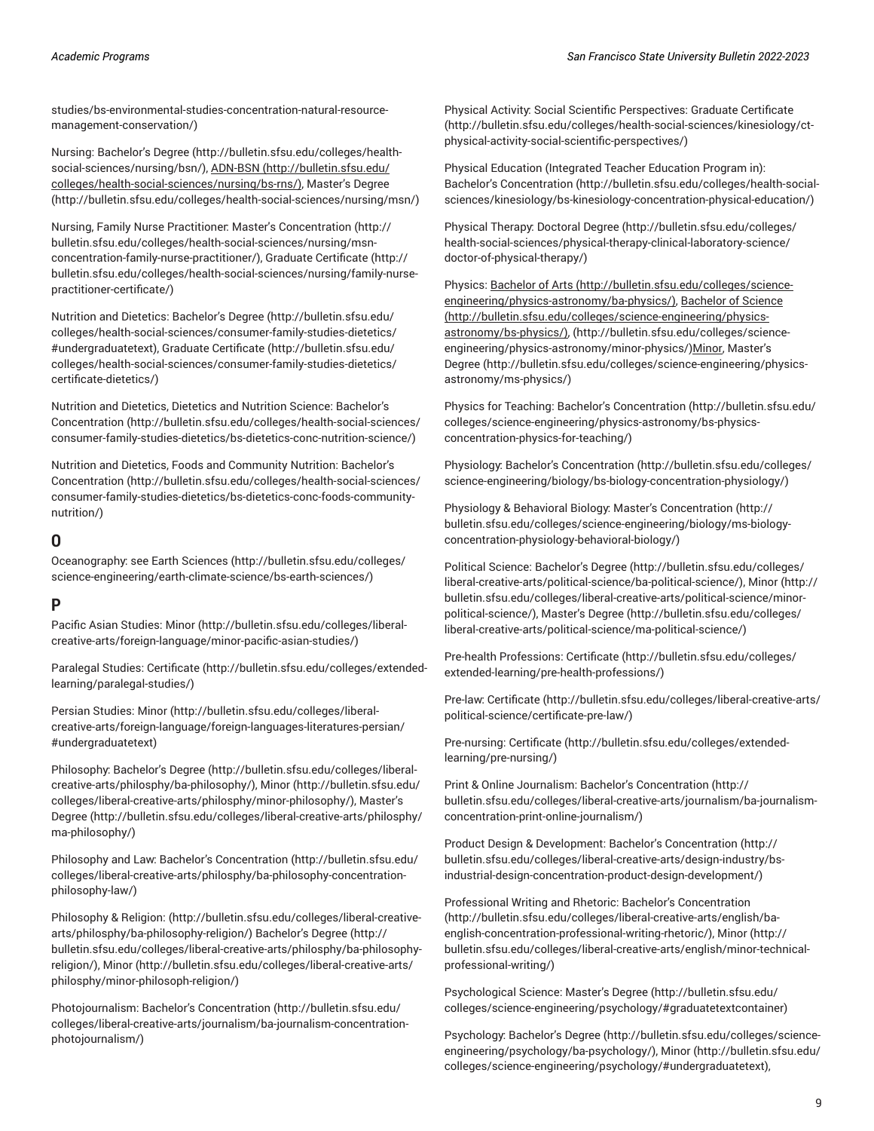[studies/bs-environmental-studies-concentration-natural-resource](http://bulletin.sfsu.edu/colleges/health-social-sciences/environmental-studies/bs-environmental-studies-concentration-natural-resource-management-conservation/)[management-conservation/\)](http://bulletin.sfsu.edu/colleges/health-social-sciences/environmental-studies/bs-environmental-studies-concentration-natural-resource-management-conservation/)

Nursing: [Bachelor's](http://bulletin.sfsu.edu/colleges/health-social-sciences/nursing/bsn/) Degree [\(http://bulletin.sfsu.edu/colleges/health](http://bulletin.sfsu.edu/colleges/health-social-sciences/nursing/bsn/)[social-sciences/nursing/bsn/\)](http://bulletin.sfsu.edu/colleges/health-social-sciences/nursing/bsn/), [ADN-BSN](http://bulletin.sfsu.edu/colleges/health-social-sciences/nursing/bs-rns/) ([http://bulletin.sfsu.edu/](http://bulletin.sfsu.edu/colleges/health-social-sciences/nursing/bs-rns/) [colleges/health-social-sciences/nursing/bs-rns/\)](http://bulletin.sfsu.edu/colleges/health-social-sciences/nursing/bs-rns/), [Master's](http://bulletin.sfsu.edu/colleges/health-social-sciences/nursing/msn/) Degree (<http://bulletin.sfsu.edu/colleges/health-social-sciences/nursing/msn/>)

Nursing, Family Nurse Practitioner: Master's [Concentration](http://bulletin.sfsu.edu/colleges/health-social-sciences/nursing/msn-concentration-family-nurse-practitioner/) ([http://](http://bulletin.sfsu.edu/colleges/health-social-sciences/nursing/msn-concentration-family-nurse-practitioner/) [bulletin.sfsu.edu/colleges/health-social-sciences/nursing/msn](http://bulletin.sfsu.edu/colleges/health-social-sciences/nursing/msn-concentration-family-nurse-practitioner/)[concentration-family-nurse-practitioner/\)](http://bulletin.sfsu.edu/colleges/health-social-sciences/nursing/msn-concentration-family-nurse-practitioner/), Graduate [Certificate](http://bulletin.sfsu.edu/colleges/health-social-sciences/nursing/family-nurse-practitioner-certificate/) ([http://](http://bulletin.sfsu.edu/colleges/health-social-sciences/nursing/family-nurse-practitioner-certificate/) [bulletin.sfsu.edu/colleges/health-social-sciences/nursing/family-nurse](http://bulletin.sfsu.edu/colleges/health-social-sciences/nursing/family-nurse-practitioner-certificate/)[practitioner-certificate/](http://bulletin.sfsu.edu/colleges/health-social-sciences/nursing/family-nurse-practitioner-certificate/))

Nutrition and Dietetics: [Bachelor's](http://bulletin.sfsu.edu/colleges/health-social-sciences/consumer-family-studies-dietetics/#undergraduatetext) Degree ([http://bulletin.sfsu.edu/](http://bulletin.sfsu.edu/colleges/health-social-sciences/consumer-family-studies-dietetics/#undergraduatetext) [colleges/health-social-sciences/consumer-family-studies-dietetics/](http://bulletin.sfsu.edu/colleges/health-social-sciences/consumer-family-studies-dietetics/#undergraduatetext) [#undergraduatetext](http://bulletin.sfsu.edu/colleges/health-social-sciences/consumer-family-studies-dietetics/#undergraduatetext)), Graduate [Certificate \(http://bulletin.sfsu.edu/](http://bulletin.sfsu.edu/colleges/health-social-sciences/consumer-family-studies-dietetics/certificate-dietetics/) [colleges/health-social-sciences/consumer-family-studies-dietetics/](http://bulletin.sfsu.edu/colleges/health-social-sciences/consumer-family-studies-dietetics/certificate-dietetics/) [certificate-dietetics/\)](http://bulletin.sfsu.edu/colleges/health-social-sciences/consumer-family-studies-dietetics/certificate-dietetics/)

Nutrition and Dietetics, Dietetics and Nutrition Science: [Bachelor's](http://bulletin.sfsu.edu/colleges/health-social-sciences/consumer-family-studies-dietetics/bs-dietetics-conc-nutrition-science/) [Concentration](http://bulletin.sfsu.edu/colleges/health-social-sciences/consumer-family-studies-dietetics/bs-dietetics-conc-nutrition-science/) ([http://bulletin.sfsu.edu/colleges/health-social-sciences/](http://bulletin.sfsu.edu/colleges/health-social-sciences/consumer-family-studies-dietetics/bs-dietetics-conc-nutrition-science/) [consumer-family-studies-dietetics/bs-dietetics-conc-nutrition-science/\)](http://bulletin.sfsu.edu/colleges/health-social-sciences/consumer-family-studies-dietetics/bs-dietetics-conc-nutrition-science/)

Nutrition and Dietetics, Foods and Community Nutrition: [Bachelor's](http://bulletin.sfsu.edu/colleges/health-social-sciences/consumer-family-studies-dietetics/bs-dietetics-conc-foods-community-nutrition/) [Concentration](http://bulletin.sfsu.edu/colleges/health-social-sciences/consumer-family-studies-dietetics/bs-dietetics-conc-foods-community-nutrition/) ([http://bulletin.sfsu.edu/colleges/health-social-sciences/](http://bulletin.sfsu.edu/colleges/health-social-sciences/consumer-family-studies-dietetics/bs-dietetics-conc-foods-community-nutrition/) [consumer-family-studies-dietetics/bs-dietetics-conc-foods-community](http://bulletin.sfsu.edu/colleges/health-social-sciences/consumer-family-studies-dietetics/bs-dietetics-conc-foods-community-nutrition/)[nutrition/\)](http://bulletin.sfsu.edu/colleges/health-social-sciences/consumer-family-studies-dietetics/bs-dietetics-conc-foods-community-nutrition/)

#### <span id="page-8-0"></span>**O**

Oceanography: see Earth [Sciences](http://bulletin.sfsu.edu/colleges/science-engineering/earth-climate-science/bs-earth-sciences/) ([http://bulletin.sfsu.edu/colleges/](http://bulletin.sfsu.edu/colleges/science-engineering/earth-climate-science/bs-earth-sciences/) [science-engineering/earth-climate-science/bs-earth-sciences/\)](http://bulletin.sfsu.edu/colleges/science-engineering/earth-climate-science/bs-earth-sciences/)

## <span id="page-8-1"></span>**P**

Pacific Asian Studies: [Minor \(http://bulletin.sfsu.edu/colleges/liberal](http://bulletin.sfsu.edu/colleges/liberal-creative-arts/foreign-language/minor-pacific-asian-studies/)[creative-arts/foreign-language/minor-pacific-asian-studies/\)](http://bulletin.sfsu.edu/colleges/liberal-creative-arts/foreign-language/minor-pacific-asian-studies/)

Paralegal Studies: [Certificate](http://bulletin.sfsu.edu/colleges/extended-learning/paralegal-studies/) ([http://bulletin.sfsu.edu/colleges/extended](http://bulletin.sfsu.edu/colleges/extended-learning/paralegal-studies/)[learning/paralegal-studies/](http://bulletin.sfsu.edu/colleges/extended-learning/paralegal-studies/))

Persian Studies: [Minor](http://bulletin.sfsu.edu/colleges/liberal-creative-arts/foreign-language/foreign-languages-literatures-persian/#undergraduatetext) ([http://bulletin.sfsu.edu/colleges/liberal](http://bulletin.sfsu.edu/colleges/liberal-creative-arts/foreign-language/foreign-languages-literatures-persian/#undergraduatetext)[creative-arts/foreign-language/foreign-languages-literatures-persian/](http://bulletin.sfsu.edu/colleges/liberal-creative-arts/foreign-language/foreign-languages-literatures-persian/#undergraduatetext) [#undergraduatetext](http://bulletin.sfsu.edu/colleges/liberal-creative-arts/foreign-language/foreign-languages-literatures-persian/#undergraduatetext))

Philosophy: [Bachelor's](http://bulletin.sfsu.edu/colleges/liberal-creative-arts/philosphy/ba-philosophy/) Degree [\(http://bulletin.sfsu.edu/colleges/liberal](http://bulletin.sfsu.edu/colleges/liberal-creative-arts/philosphy/ba-philosophy/)[creative-arts/philosphy/ba-philosophy/](http://bulletin.sfsu.edu/colleges/liberal-creative-arts/philosphy/ba-philosophy/)), [Minor](http://bulletin.sfsu.edu/colleges/liberal-creative-arts/philosphy/minor-philosophy/) ([http://bulletin.sfsu.edu/](http://bulletin.sfsu.edu/colleges/liberal-creative-arts/philosphy/minor-philosophy/) [colleges/liberal-creative-arts/philosphy/minor-philosophy/\)](http://bulletin.sfsu.edu/colleges/liberal-creative-arts/philosphy/minor-philosophy/), [Master's](http://bulletin.sfsu.edu/colleges/liberal-creative-arts/philosphy/ma-philosophy/) [Degree](http://bulletin.sfsu.edu/colleges/liberal-creative-arts/philosphy/ma-philosophy/) ([http://bulletin.sfsu.edu/colleges/liberal-creative-arts/philosphy/](http://bulletin.sfsu.edu/colleges/liberal-creative-arts/philosphy/ma-philosophy/) [ma-philosophy/](http://bulletin.sfsu.edu/colleges/liberal-creative-arts/philosphy/ma-philosophy/))

Philosophy and Law: Bachelor's [Concentration](http://bulletin.sfsu.edu/colleges/liberal-creative-arts/philosphy/ba-philosophy-concentration-philosophy-law/) ([http://bulletin.sfsu.edu/](http://bulletin.sfsu.edu/colleges/liberal-creative-arts/philosphy/ba-philosophy-concentration-philosophy-law/) [colleges/liberal-creative-arts/philosphy/ba-philosophy-concentration](http://bulletin.sfsu.edu/colleges/liberal-creative-arts/philosphy/ba-philosophy-concentration-philosophy-law/)[philosophy-law/](http://bulletin.sfsu.edu/colleges/liberal-creative-arts/philosphy/ba-philosophy-concentration-philosophy-law/))

Philosophy & Religio[n:](http://bulletin.sfsu.edu/colleges/liberal-creative-arts/philosphy/ba-philosophy-religion/) ([http://bulletin.sfsu.edu/colleges/liberal-creative](http://bulletin.sfsu.edu/colleges/liberal-creative-arts/philosphy/ba-philosophy-religion/)[arts/philosphy/ba-philosophy-religion/](http://bulletin.sfsu.edu/colleges/liberal-creative-arts/philosphy/ba-philosophy-religion/)) [Bachelor's](http://bulletin.sfsu.edu/colleges/liberal-creative-arts/philosphy/ba-philosophy-religion/) Degree [\(http://](http://bulletin.sfsu.edu/colleges/liberal-creative-arts/philosphy/ba-philosophy-religion/) [bulletin.sfsu.edu/colleges/liberal-creative-arts/philosphy/ba-philosophy](http://bulletin.sfsu.edu/colleges/liberal-creative-arts/philosphy/ba-philosophy-religion/)[religion/\)](http://bulletin.sfsu.edu/colleges/liberal-creative-arts/philosphy/ba-philosophy-religion/), [Minor](http://bulletin.sfsu.edu/colleges/liberal-creative-arts/philosphy/minor-philosoph-religion/) ([http://bulletin.sfsu.edu/colleges/liberal-creative-arts/](http://bulletin.sfsu.edu/colleges/liberal-creative-arts/philosphy/minor-philosoph-religion/) [philosphy/minor-philosoph-religion/\)](http://bulletin.sfsu.edu/colleges/liberal-creative-arts/philosphy/minor-philosoph-religion/)

Photojournalism: Bachelor's [Concentration \(http://bulletin.sfsu.edu/](http://bulletin.sfsu.edu/colleges/liberal-creative-arts/journalism/ba-journalism-concentration-photojournalism/) [colleges/liberal-creative-arts/journalism/ba-journalism-concentration](http://bulletin.sfsu.edu/colleges/liberal-creative-arts/journalism/ba-journalism-concentration-photojournalism/)[photojournalism/](http://bulletin.sfsu.edu/colleges/liberal-creative-arts/journalism/ba-journalism-concentration-photojournalism/))

Physical Activity: Social Scientific Perspectives: Graduate [Certificate](http://bulletin.sfsu.edu/colleges/health-social-sciences/kinesiology/ct-physical-activity-social-scientific-perspectives/) [\(http://bulletin.sfsu.edu/colleges/health-social-sciences/kinesiology/ct](http://bulletin.sfsu.edu/colleges/health-social-sciences/kinesiology/ct-physical-activity-social-scientific-perspectives/)[physical-activity-social-scientific-perspectives/](http://bulletin.sfsu.edu/colleges/health-social-sciences/kinesiology/ct-physical-activity-social-scientific-perspectives/))

Physical Education (Integrated Teacher Education Program in): Bachelor's [Concentration \(http://bulletin.sfsu.edu/colleges/health-social](http://bulletin.sfsu.edu/colleges/health-social-sciences/kinesiology/bs-kinesiology-concentration-physical-education/)[sciences/kinesiology/bs-kinesiology-concentration-physical-education/\)](http://bulletin.sfsu.edu/colleges/health-social-sciences/kinesiology/bs-kinesiology-concentration-physical-education/)

Physical Therapy: [Doctoral](http://bulletin.sfsu.edu/colleges/health-social-sciences/physical-therapy-clinical-laboratory-science/doctor-of-physical-therapy/) Degree ([http://bulletin.sfsu.edu/colleges/](http://bulletin.sfsu.edu/colleges/health-social-sciences/physical-therapy-clinical-laboratory-science/doctor-of-physical-therapy/) [health-social-sciences/physical-therapy-clinical-laboratory-science/](http://bulletin.sfsu.edu/colleges/health-social-sciences/physical-therapy-clinical-laboratory-science/doctor-of-physical-therapy/) [doctor-of-physical-therapy/](http://bulletin.sfsu.edu/colleges/health-social-sciences/physical-therapy-clinical-laboratory-science/doctor-of-physical-therapy/))

Physics: [Bachelor](http://bulletin.sfsu.edu/colleges/science-engineering/physics-astronomy/ba-physics/) of Arts [\(http://bulletin.sfsu.edu/colleges/science](http://bulletin.sfsu.edu/colleges/science-engineering/physics-astronomy/ba-physics/)[engineering/physics-astronomy/ba-physics/\)](http://bulletin.sfsu.edu/colleges/science-engineering/physics-astronomy/ba-physics/), [Bachelor of Science](http://bulletin.sfsu.edu/colleges/science-engineering/physics-astronomy/bs-physics/) [\(http://bulletin.sfsu.edu/colleges/science-engineering/physics](http://bulletin.sfsu.edu/colleges/science-engineering/physics-astronomy/bs-physics/)[astronomy/bs-physics/](http://bulletin.sfsu.edu/colleges/science-engineering/physics-astronomy/bs-physics/))[, \(http://bulletin.sfsu.edu/colleges/science](http://bulletin.sfsu.edu/colleges/science-engineering/physics-astronomy/minor-physics/)[engineering/physics-astronomy/minor-physics/\)](http://bulletin.sfsu.edu/colleges/science-engineering/physics-astronomy/minor-physics/) Minor, [Master's](http://bulletin.sfsu.edu/colleges/science-engineering/physics-astronomy/ms-physics/) [Degree \(http://bulletin.sfsu.edu/colleges/science-engineering/physics](http://bulletin.sfsu.edu/colleges/science-engineering/physics-astronomy/ms-physics/)[astronomy/ms-physics/\)](http://bulletin.sfsu.edu/colleges/science-engineering/physics-astronomy/ms-physics/)

Physics for Teaching: Bachelor's [Concentration \(http://bulletin.sfsu.edu/](http://bulletin.sfsu.edu/colleges/science-engineering/physics-astronomy/bs-physics-concentration-physics-for-teaching/) [colleges/science-engineering/physics-astronomy/bs-physics](http://bulletin.sfsu.edu/colleges/science-engineering/physics-astronomy/bs-physics-concentration-physics-for-teaching/)[concentration-physics-for-teaching/](http://bulletin.sfsu.edu/colleges/science-engineering/physics-astronomy/bs-physics-concentration-physics-for-teaching/))

Physiology: Bachelor's [Concentration](http://bulletin.sfsu.edu/colleges/science-engineering/biology/bs-biology-concentration-physiology/) [\(http://bulletin.sfsu.edu/colleges/](http://bulletin.sfsu.edu/colleges/science-engineering/biology/bs-biology-concentration-physiology/) [science-engineering/biology/bs-biology-concentration-physiology/](http://bulletin.sfsu.edu/colleges/science-engineering/biology/bs-biology-concentration-physiology/))

Physiology & Behavioral Biology: Master's [Concentration \(http://](http://bulletin.sfsu.edu/colleges/science-engineering/biology/ms-biology-concentration-physiology-behavioral-biology/) [bulletin.sfsu.edu/colleges/science-engineering/biology/ms-biology](http://bulletin.sfsu.edu/colleges/science-engineering/biology/ms-biology-concentration-physiology-behavioral-biology/)[concentration-physiology-behavioral-biology/\)](http://bulletin.sfsu.edu/colleges/science-engineering/biology/ms-biology-concentration-physiology-behavioral-biology/)

Political Science: [Bachelor's](http://bulletin.sfsu.edu/colleges/liberal-creative-arts/political-science/ba-political-science/) Degree ([http://bulletin.sfsu.edu/colleges/](http://bulletin.sfsu.edu/colleges/liberal-creative-arts/political-science/ba-political-science/) [liberal-creative-arts/political-science/ba-political-science/](http://bulletin.sfsu.edu/colleges/liberal-creative-arts/political-science/ba-political-science/)), [Minor](http://bulletin.sfsu.edu/colleges/liberal-creative-arts/political-science/minor-political-science/) ([http://](http://bulletin.sfsu.edu/colleges/liberal-creative-arts/political-science/minor-political-science/) [bulletin.sfsu.edu/colleges/liberal-creative-arts/political-science/minor](http://bulletin.sfsu.edu/colleges/liberal-creative-arts/political-science/minor-political-science/)[political-science/](http://bulletin.sfsu.edu/colleges/liberal-creative-arts/political-science/minor-political-science/)), [Master's](http://bulletin.sfsu.edu/colleges/liberal-creative-arts/political-science/ma-political-science/) Degree ([http://bulletin.sfsu.edu/colleges/](http://bulletin.sfsu.edu/colleges/liberal-creative-arts/political-science/ma-political-science/) [liberal-creative-arts/political-science/ma-political-science/\)](http://bulletin.sfsu.edu/colleges/liberal-creative-arts/political-science/ma-political-science/)

Pre-health Professions: [Certificate \(http://bulletin.sfsu.edu/colleges/](http://bulletin.sfsu.edu/colleges/extended-learning/pre-health-professions/) [extended-learning/pre-health-professions/\)](http://bulletin.sfsu.edu/colleges/extended-learning/pre-health-professions/)

Pre-law: [Certificate](http://bulletin.sfsu.edu/colleges/liberal-creative-arts/political-science/certificate-pre-law/) [\(http://bulletin.sfsu.edu/colleges/liberal-creative-arts/](http://bulletin.sfsu.edu/colleges/liberal-creative-arts/political-science/certificate-pre-law/) [political-science/certificate-pre-law/\)](http://bulletin.sfsu.edu/colleges/liberal-creative-arts/political-science/certificate-pre-law/)

Pre-nursing: [Certificate \(http://bulletin.sfsu.edu/colleges/extended](http://bulletin.sfsu.edu/colleges/extended-learning/pre-nursing/)[learning/pre-nursing/\)](http://bulletin.sfsu.edu/colleges/extended-learning/pre-nursing/)

Print & Online Journalism: Bachelor's [Concentration \(http://](http://bulletin.sfsu.edu/colleges/liberal-creative-arts/journalism/ba-journalism-concentration-print-online-journalism/) [bulletin.sfsu.edu/colleges/liberal-creative-arts/journalism/ba-journalism](http://bulletin.sfsu.edu/colleges/liberal-creative-arts/journalism/ba-journalism-concentration-print-online-journalism/)[concentration-print-online-journalism/\)](http://bulletin.sfsu.edu/colleges/liberal-creative-arts/journalism/ba-journalism-concentration-print-online-journalism/)

Product Design & Development: Bachelor's [Concentration](http://bulletin.sfsu.edu/colleges/liberal-creative-arts/design-industry/bs-industrial-design-concentration-product-design-development/) ([http://](http://bulletin.sfsu.edu/colleges/liberal-creative-arts/design-industry/bs-industrial-design-concentration-product-design-development/) [bulletin.sfsu.edu/colleges/liberal-creative-arts/design-industry/bs](http://bulletin.sfsu.edu/colleges/liberal-creative-arts/design-industry/bs-industrial-design-concentration-product-design-development/)[industrial-design-concentration-product-design-development/\)](http://bulletin.sfsu.edu/colleges/liberal-creative-arts/design-industry/bs-industrial-design-concentration-product-design-development/)

Professional Writing and Rhetoric: Bachelor's [Concentration](http://bulletin.sfsu.edu/colleges/liberal-creative-arts/english/ba-english-concentration-professional-writing-rhetoric/) [\(http://bulletin.sfsu.edu/colleges/liberal-creative-arts/english/ba](http://bulletin.sfsu.edu/colleges/liberal-creative-arts/english/ba-english-concentration-professional-writing-rhetoric/)[english-concentration-professional-writing-rhetoric/\)](http://bulletin.sfsu.edu/colleges/liberal-creative-arts/english/ba-english-concentration-professional-writing-rhetoric/), [Minor \(http://](http://bulletin.sfsu.edu/colleges/liberal-creative-arts/english/minor-technical-professional-writing/) [bulletin.sfsu.edu/colleges/liberal-creative-arts/english/minor-technical](http://bulletin.sfsu.edu/colleges/liberal-creative-arts/english/minor-technical-professional-writing/)[professional-writing/](http://bulletin.sfsu.edu/colleges/liberal-creative-arts/english/minor-technical-professional-writing/))

Psychological Science: [Master's](http://bulletin.sfsu.edu/colleges/science-engineering/psychology/#graduatetextcontainer) Degree ([http://bulletin.sfsu.edu/](http://bulletin.sfsu.edu/colleges/science-engineering/psychology/#graduatetextcontainer) [colleges/science-engineering/psychology/#graduatetextcontainer](http://bulletin.sfsu.edu/colleges/science-engineering/psychology/#graduatetextcontainer))

Psychology: [Bachelor's](http://bulletin.sfsu.edu/colleges/science-engineering/psychology/ba-psychology/) Degree ([http://bulletin.sfsu.edu/colleges/science](http://bulletin.sfsu.edu/colleges/science-engineering/psychology/ba-psychology/)[engineering/psychology/ba-psychology/\)](http://bulletin.sfsu.edu/colleges/science-engineering/psychology/ba-psychology/), [Minor](http://bulletin.sfsu.edu/colleges/science-engineering/psychology/#undergraduatetext) ([http://bulletin.sfsu.edu/](http://bulletin.sfsu.edu/colleges/science-engineering/psychology/#undergraduatetext) [colleges/science-engineering/psychology/#undergraduatetext\)](http://bulletin.sfsu.edu/colleges/science-engineering/psychology/#undergraduatetext),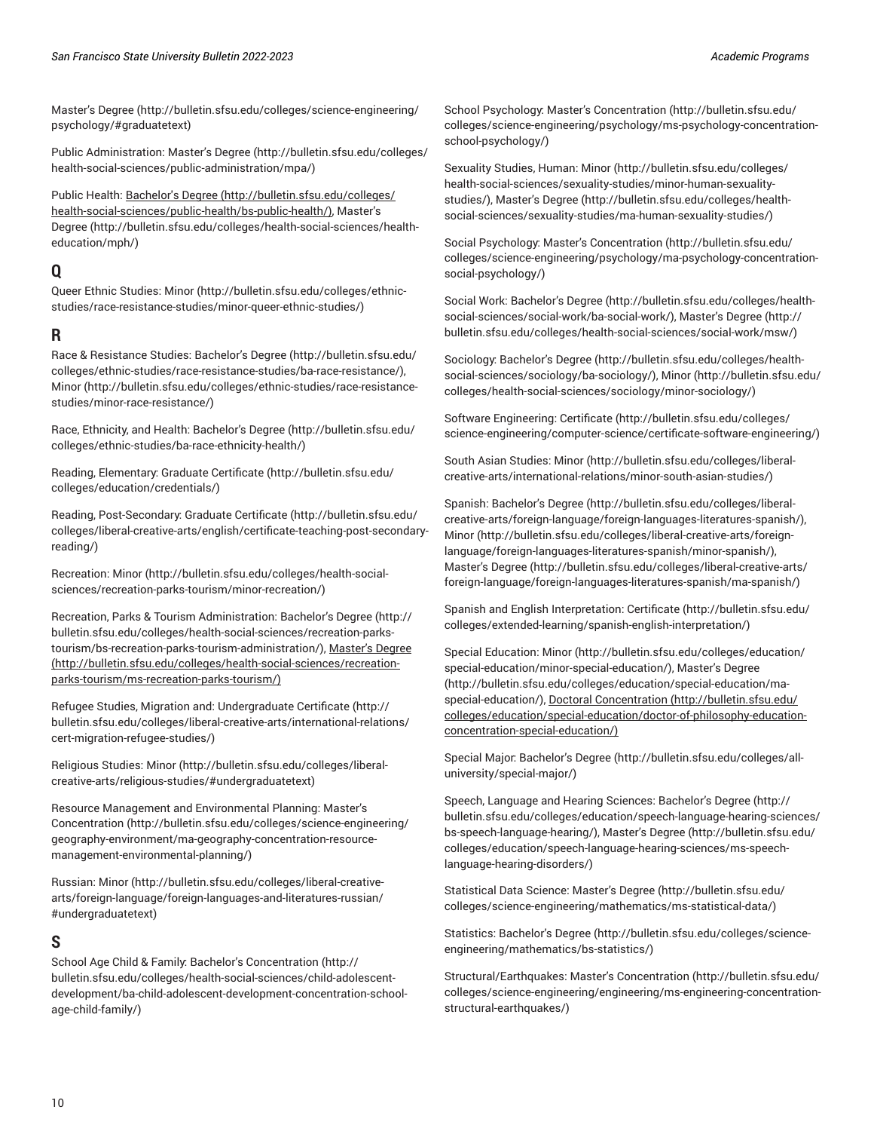[Master's](http://bulletin.sfsu.edu/colleges/science-engineering/psychology/#graduatetext) Degree ([http://bulletin.sfsu.edu/colleges/science-engineering/](http://bulletin.sfsu.edu/colleges/science-engineering/psychology/#graduatetext) [psychology/#graduatetext](http://bulletin.sfsu.edu/colleges/science-engineering/psychology/#graduatetext))

Public Administration: [Master's](http://bulletin.sfsu.edu/colleges/health-social-sciences/public-administration/mpa/) Degree [\(http://bulletin.sfsu.edu/colleges/](http://bulletin.sfsu.edu/colleges/health-social-sciences/public-administration/mpa/) [health-social-sciences/public-administration/mpa/](http://bulletin.sfsu.edu/colleges/health-social-sciences/public-administration/mpa/))

Public Health: [Bachelor's](http://bulletin.sfsu.edu/colleges/health-social-sciences/public-health/bs-public-health/) Degree [\(http://bulletin.sfsu.edu/colleges/](http://bulletin.sfsu.edu/colleges/health-social-sciences/public-health/bs-public-health/) [health-social-sciences/public-health/bs-public-health/\)](http://bulletin.sfsu.edu/colleges/health-social-sciences/public-health/bs-public-health/), [Master's](http://bulletin.sfsu.edu/colleges/health-social-sciences/health-education/mph/) [Degree](http://bulletin.sfsu.edu/colleges/health-social-sciences/health-education/mph/) ([http://bulletin.sfsu.edu/colleges/health-social-sciences/health](http://bulletin.sfsu.edu/colleges/health-social-sciences/health-education/mph/)[education/mph/\)](http://bulletin.sfsu.edu/colleges/health-social-sciences/health-education/mph/)

# <span id="page-9-0"></span>**Q**

Queer Ethnic Studies: [Minor](http://bulletin.sfsu.edu/colleges/ethnic-studies/race-resistance-studies/minor-queer-ethnic-studies/) ([http://bulletin.sfsu.edu/colleges/ethnic](http://bulletin.sfsu.edu/colleges/ethnic-studies/race-resistance-studies/minor-queer-ethnic-studies/)[studies/race-resistance-studies/minor-queer-ethnic-studies/\)](http://bulletin.sfsu.edu/colleges/ethnic-studies/race-resistance-studies/minor-queer-ethnic-studies/)

#### <span id="page-9-1"></span>**R**

Race & Resistance Studies: [Bachelor's](http://bulletin.sfsu.edu/colleges/ethnic-studies/race-resistance-studies/ba-race-resistance/) Degree [\(http://bulletin.sfsu.edu/](http://bulletin.sfsu.edu/colleges/ethnic-studies/race-resistance-studies/ba-race-resistance/) [colleges/ethnic-studies/race-resistance-studies/ba-race-resistance/](http://bulletin.sfsu.edu/colleges/ethnic-studies/race-resistance-studies/ba-race-resistance/)), [Minor \(http://bulletin.sfsu.edu/colleges/ethnic-studies/race-resistance](http://bulletin.sfsu.edu/colleges/ethnic-studies/race-resistance-studies/minor-race-resistance/)[studies/minor-race-resistance/](http://bulletin.sfsu.edu/colleges/ethnic-studies/race-resistance-studies/minor-race-resistance/))

Race, Ethnicity, and Health: [Bachelor's](http://bulletin.sfsu.edu/colleges/ethnic-studies/ba-race-ethnicity-health/) Degree [\(http://bulletin.sfsu.edu/](http://bulletin.sfsu.edu/colleges/ethnic-studies/ba-race-ethnicity-health/) [colleges/ethnic-studies/ba-race-ethnicity-health/\)](http://bulletin.sfsu.edu/colleges/ethnic-studies/ba-race-ethnicity-health/)

Reading, Elementary: Graduate [Certificate](http://bulletin.sfsu.edu/colleges/education/credentials/) ([http://bulletin.sfsu.edu/](http://bulletin.sfsu.edu/colleges/education/credentials/) [colleges/education/credentials/\)](http://bulletin.sfsu.edu/colleges/education/credentials/)

Reading, Post-Secondary: Graduate [Certificate](http://bulletin.sfsu.edu/colleges/liberal-creative-arts/english/certificate-teaching-post-secondary-reading/) [\(http://bulletin.sfsu.edu/](http://bulletin.sfsu.edu/colleges/liberal-creative-arts/english/certificate-teaching-post-secondary-reading/) [colleges/liberal-creative-arts/english/certificate-teaching-post-secondary](http://bulletin.sfsu.edu/colleges/liberal-creative-arts/english/certificate-teaching-post-secondary-reading/)[reading/](http://bulletin.sfsu.edu/colleges/liberal-creative-arts/english/certificate-teaching-post-secondary-reading/))

Recreation: [Minor \(http://bulletin.sfsu.edu/colleges/health-social](http://bulletin.sfsu.edu/colleges/health-social-sciences/recreation-parks-tourism/minor-recreation/)[sciences/recreation-parks-tourism/minor-recreation/](http://bulletin.sfsu.edu/colleges/health-social-sciences/recreation-parks-tourism/minor-recreation/))

Recreation, Parks & Tourism Administration: [Bachelor's](http://bulletin.sfsu.edu/colleges/health-social-sciences/recreation-parks-tourism/bs-recreation-parks-tourism-administration/) Degree ([http://](http://bulletin.sfsu.edu/colleges/health-social-sciences/recreation-parks-tourism/bs-recreation-parks-tourism-administration/) [bulletin.sfsu.edu/colleges/health-social-sciences/recreation-parks](http://bulletin.sfsu.edu/colleges/health-social-sciences/recreation-parks-tourism/bs-recreation-parks-tourism-administration/)[tourism/bs-recreation-parks-tourism-administration/](http://bulletin.sfsu.edu/colleges/health-social-sciences/recreation-parks-tourism/bs-recreation-parks-tourism-administration/)), [Master's](http://bulletin.sfsu.edu/colleges/health-social-sciences/recreation-parks-tourism/ms-recreation-parks-tourism/) Degree ([http://bulletin.sfsu.edu/colleges/health-social-sciences/recreation](http://bulletin.sfsu.edu/colleges/health-social-sciences/recreation-parks-tourism/ms-recreation-parks-tourism/)[parks-tourism/ms-recreation-parks-tourism/](http://bulletin.sfsu.edu/colleges/health-social-sciences/recreation-parks-tourism/ms-recreation-parks-tourism/))

Refugee Studies, Migration and: [Undergraduate](http://bulletin.sfsu.edu/colleges/liberal-creative-arts/international-relations/cert-migration-refugee-studies/) Certificate ([http://](http://bulletin.sfsu.edu/colleges/liberal-creative-arts/international-relations/cert-migration-refugee-studies/) [bulletin.sfsu.edu/colleges/liberal-creative-arts/international-relations/](http://bulletin.sfsu.edu/colleges/liberal-creative-arts/international-relations/cert-migration-refugee-studies/) [cert-migration-refugee-studies/](http://bulletin.sfsu.edu/colleges/liberal-creative-arts/international-relations/cert-migration-refugee-studies/))

Religious Studies: [Minor](http://bulletin.sfsu.edu/colleges/liberal-creative-arts/religious-studies/#undergraduatetext) [\(http://bulletin.sfsu.edu/colleges/liberal](http://bulletin.sfsu.edu/colleges/liberal-creative-arts/religious-studies/#undergraduatetext)[creative-arts/religious-studies/#undergraduatetext](http://bulletin.sfsu.edu/colleges/liberal-creative-arts/religious-studies/#undergraduatetext))

Resource Management and Environmental Planning: [Master's](http://bulletin.sfsu.edu/colleges/science-engineering/geography-environment/ma-geography-concentration-resource-management-environmental-planning/) [Concentration](http://bulletin.sfsu.edu/colleges/science-engineering/geography-environment/ma-geography-concentration-resource-management-environmental-planning/) ([http://bulletin.sfsu.edu/colleges/science-engineering/](http://bulletin.sfsu.edu/colleges/science-engineering/geography-environment/ma-geography-concentration-resource-management-environmental-planning/) [geography-environment/ma-geography-concentration-resource](http://bulletin.sfsu.edu/colleges/science-engineering/geography-environment/ma-geography-concentration-resource-management-environmental-planning/)[management-environmental-planning/\)](http://bulletin.sfsu.edu/colleges/science-engineering/geography-environment/ma-geography-concentration-resource-management-environmental-planning/)

Russian: [Minor](http://bulletin.sfsu.edu/colleges/liberal-creative-arts/foreign-language/foreign-languages-and-literatures-russian/#undergraduatetext) ([http://bulletin.sfsu.edu/colleges/liberal-creative](http://bulletin.sfsu.edu/colleges/liberal-creative-arts/foreign-language/foreign-languages-and-literatures-russian/#undergraduatetext)[arts/foreign-language/foreign-languages-and-literatures-russian/](http://bulletin.sfsu.edu/colleges/liberal-creative-arts/foreign-language/foreign-languages-and-literatures-russian/#undergraduatetext) [#undergraduatetext](http://bulletin.sfsu.edu/colleges/liberal-creative-arts/foreign-language/foreign-languages-and-literatures-russian/#undergraduatetext))

## <span id="page-9-2"></span>**S**

School Age Child & Family: Bachelor's [Concentration](http://bulletin.sfsu.edu/colleges/health-social-sciences/child-adolescent-development/ba-child-adolescent-development-concentration-school-age-child-family/) [\(http://](http://bulletin.sfsu.edu/colleges/health-social-sciences/child-adolescent-development/ba-child-adolescent-development-concentration-school-age-child-family/) [bulletin.sfsu.edu/colleges/health-social-sciences/child-adolescent](http://bulletin.sfsu.edu/colleges/health-social-sciences/child-adolescent-development/ba-child-adolescent-development-concentration-school-age-child-family/)[development/ba-child-adolescent-development-concentration-school](http://bulletin.sfsu.edu/colleges/health-social-sciences/child-adolescent-development/ba-child-adolescent-development-concentration-school-age-child-family/)[age-child-family/](http://bulletin.sfsu.edu/colleges/health-social-sciences/child-adolescent-development/ba-child-adolescent-development-concentration-school-age-child-family/))

School Psychology: Master's [Concentration](http://bulletin.sfsu.edu/colleges/science-engineering/psychology/ms-psychology-concentration-school-psychology/) ([http://bulletin.sfsu.edu/](http://bulletin.sfsu.edu/colleges/science-engineering/psychology/ms-psychology-concentration-school-psychology/) [colleges/science-engineering/psychology/ms-psychology-concentration](http://bulletin.sfsu.edu/colleges/science-engineering/psychology/ms-psychology-concentration-school-psychology/)[school-psychology/](http://bulletin.sfsu.edu/colleges/science-engineering/psychology/ms-psychology-concentration-school-psychology/))

Sexuality Studies, Human: [Minor](http://bulletin.sfsu.edu/colleges/health-social-sciences/sexuality-studies/minor-human-sexuality-studies/) ([http://bulletin.sfsu.edu/colleges/](http://bulletin.sfsu.edu/colleges/health-social-sciences/sexuality-studies/minor-human-sexuality-studies/) [health-social-sciences/sexuality-studies/minor-human-sexuality](http://bulletin.sfsu.edu/colleges/health-social-sciences/sexuality-studies/minor-human-sexuality-studies/)[studies/](http://bulletin.sfsu.edu/colleges/health-social-sciences/sexuality-studies/minor-human-sexuality-studies/)), [Master's](http://bulletin.sfsu.edu/colleges/health-social-sciences/sexuality-studies/ma-human-sexuality-studies/) Degree ([http://bulletin.sfsu.edu/colleges/health](http://bulletin.sfsu.edu/colleges/health-social-sciences/sexuality-studies/ma-human-sexuality-studies/)[social-sciences/sexuality-studies/ma-human-sexuality-studies/](http://bulletin.sfsu.edu/colleges/health-social-sciences/sexuality-studies/ma-human-sexuality-studies/))

Social Psychology: Master's [Concentration](http://bulletin.sfsu.edu/colleges/science-engineering/psychology/ma-psychology-concentration-social-psychology/) ([http://bulletin.sfsu.edu/](http://bulletin.sfsu.edu/colleges/science-engineering/psychology/ma-psychology-concentration-social-psychology/) [colleges/science-engineering/psychology/ma-psychology-concentration](http://bulletin.sfsu.edu/colleges/science-engineering/psychology/ma-psychology-concentration-social-psychology/)[social-psychology/](http://bulletin.sfsu.edu/colleges/science-engineering/psychology/ma-psychology-concentration-social-psychology/))

Social Work: [Bachelor's](http://bulletin.sfsu.edu/colleges/health-social-sciences/social-work/ba-social-work/) Degree ([http://bulletin.sfsu.edu/colleges/health](http://bulletin.sfsu.edu/colleges/health-social-sciences/social-work/ba-social-work/)[social-sciences/social-work/ba-social-work/\)](http://bulletin.sfsu.edu/colleges/health-social-sciences/social-work/ba-social-work/), [Master's](http://bulletin.sfsu.edu/colleges/health-social-sciences/social-work/msw/) Degree ([http://](http://bulletin.sfsu.edu/colleges/health-social-sciences/social-work/msw/) [bulletin.sfsu.edu/colleges/health-social-sciences/social-work/msw/](http://bulletin.sfsu.edu/colleges/health-social-sciences/social-work/msw/))

Sociology: [Bachelor's](http://bulletin.sfsu.edu/colleges/health-social-sciences/sociology/ba-sociology/) Degree [\(http://bulletin.sfsu.edu/colleges/health](http://bulletin.sfsu.edu/colleges/health-social-sciences/sociology/ba-sociology/)[social-sciences/sociology/ba-sociology/](http://bulletin.sfsu.edu/colleges/health-social-sciences/sociology/ba-sociology/)), [Minor](http://bulletin.sfsu.edu/colleges/health-social-sciences/sociology/minor-sociology/) ([http://bulletin.sfsu.edu/](http://bulletin.sfsu.edu/colleges/health-social-sciences/sociology/minor-sociology/) [colleges/health-social-sciences/sociology/minor-sociology/\)](http://bulletin.sfsu.edu/colleges/health-social-sciences/sociology/minor-sociology/)

Software Engineering: [Certificate](http://bulletin.sfsu.edu/colleges/science-engineering/computer-science/certificate-software-engineering/) ([http://bulletin.sfsu.edu/colleges/](http://bulletin.sfsu.edu/colleges/science-engineering/computer-science/certificate-software-engineering/) [science-engineering/computer-science/certificate-software-engineering/\)](http://bulletin.sfsu.edu/colleges/science-engineering/computer-science/certificate-software-engineering/)

South Asian Studies: [Minor](http://bulletin.sfsu.edu/colleges/liberal-creative-arts/international-relations/minor-south-asian-studies/) ([http://bulletin.sfsu.edu/colleges/liberal](http://bulletin.sfsu.edu/colleges/liberal-creative-arts/international-relations/minor-south-asian-studies/)[creative-arts/international-relations/minor-south-asian-studies/](http://bulletin.sfsu.edu/colleges/liberal-creative-arts/international-relations/minor-south-asian-studies/))

Spanish: [Bachelor's](http://bulletin.sfsu.edu/colleges/liberal-creative-arts/foreign-language/foreign-languages-literatures-spanish/) Degree ([http://bulletin.sfsu.edu/colleges/liberal](http://bulletin.sfsu.edu/colleges/liberal-creative-arts/foreign-language/foreign-languages-literatures-spanish/)[creative-arts/foreign-language/foreign-languages-literatures-spanish/\)](http://bulletin.sfsu.edu/colleges/liberal-creative-arts/foreign-language/foreign-languages-literatures-spanish/), [Minor](http://bulletin.sfsu.edu/colleges/liberal-creative-arts/foreign-language/foreign-languages-literatures-spanish/minor-spanish/) ([http://bulletin.sfsu.edu/colleges/liberal-creative-arts/foreign](http://bulletin.sfsu.edu/colleges/liberal-creative-arts/foreign-language/foreign-languages-literatures-spanish/minor-spanish/)[language/foreign-languages-literatures-spanish/minor-spanish/](http://bulletin.sfsu.edu/colleges/liberal-creative-arts/foreign-language/foreign-languages-literatures-spanish/minor-spanish/)), [Master's](http://bulletin.sfsu.edu/colleges/liberal-creative-arts/foreign-language/foreign-languages-literatures-spanish/ma-spanish/) Degree ([http://bulletin.sfsu.edu/colleges/liberal-creative-arts/](http://bulletin.sfsu.edu/colleges/liberal-creative-arts/foreign-language/foreign-languages-literatures-spanish/ma-spanish/) [foreign-language/foreign-languages-literatures-spanish/ma-spanish/](http://bulletin.sfsu.edu/colleges/liberal-creative-arts/foreign-language/foreign-languages-literatures-spanish/ma-spanish/))

Spanish and English Interpretation: [Certificate](http://bulletin.sfsu.edu/colleges/extended-learning/spanish-english-interpretation/) [\(http://bulletin.sfsu.edu/](http://bulletin.sfsu.edu/colleges/extended-learning/spanish-english-interpretation/) [colleges/extended-learning/spanish-english-interpretation/](http://bulletin.sfsu.edu/colleges/extended-learning/spanish-english-interpretation/))

Special Education: [Minor \(http://bulletin.sfsu.edu/colleges/education/](http://bulletin.sfsu.edu/colleges/education/special-education/minor-special-education/) [special-education/minor-special-education/](http://bulletin.sfsu.edu/colleges/education/special-education/minor-special-education/)), [Master's](http://bulletin.sfsu.edu/colleges/education/special-education/ma-special-education/) Degree [\(http://bulletin.sfsu.edu/colleges/education/special-education/ma](http://bulletin.sfsu.edu/colleges/education/special-education/ma-special-education/)[special-education/](http://bulletin.sfsu.edu/colleges/education/special-education/ma-special-education/)), [Doctoral Concentration](http://bulletin.sfsu.edu/colleges/education/special-education/doctor-of-philosophy-education-concentration-special-education/) ([http://bulletin.sfsu.edu/](http://bulletin.sfsu.edu/colleges/education/special-education/doctor-of-philosophy-education-concentration-special-education/) [colleges/education/special-education/doctor-of-philosophy-education](http://bulletin.sfsu.edu/colleges/education/special-education/doctor-of-philosophy-education-concentration-special-education/)[concentration-special-education/\)](http://bulletin.sfsu.edu/colleges/education/special-education/doctor-of-philosophy-education-concentration-special-education/)

Special Major: [Bachelor's](http://bulletin.sfsu.edu/colleges/all-university/special-major/) Degree ([http://bulletin.sfsu.edu/colleges/all](http://bulletin.sfsu.edu/colleges/all-university/special-major/)[university/special-major/\)](http://bulletin.sfsu.edu/colleges/all-university/special-major/)

Speech, Language and Hearing Sciences: [Bachelor's](http://bulletin.sfsu.edu/colleges/education/speech-language-hearing-sciences/bs-speech-language-hearing/) Degree ([http://](http://bulletin.sfsu.edu/colleges/education/speech-language-hearing-sciences/bs-speech-language-hearing/) [bulletin.sfsu.edu/colleges/education/speech-language-hearing-sciences/](http://bulletin.sfsu.edu/colleges/education/speech-language-hearing-sciences/bs-speech-language-hearing/) [bs-speech-language-hearing/](http://bulletin.sfsu.edu/colleges/education/speech-language-hearing-sciences/bs-speech-language-hearing/)), [Master's](http://bulletin.sfsu.edu/colleges/education/speech-language-hearing-sciences/ms-speech-language-hearing-disorders/) Degree ([http://bulletin.sfsu.edu/](http://bulletin.sfsu.edu/colleges/education/speech-language-hearing-sciences/ms-speech-language-hearing-disorders/) [colleges/education/speech-language-hearing-sciences/ms-speech](http://bulletin.sfsu.edu/colleges/education/speech-language-hearing-sciences/ms-speech-language-hearing-disorders/)[language-hearing-disorders/\)](http://bulletin.sfsu.edu/colleges/education/speech-language-hearing-sciences/ms-speech-language-hearing-disorders/)

Statistical Data Science: [Master's](http://bulletin.sfsu.edu/colleges/science-engineering/mathematics/ms-statistical-data/) Degree ([http://bulletin.sfsu.edu/](http://bulletin.sfsu.edu/colleges/science-engineering/mathematics/ms-statistical-data/) [colleges/science-engineering/mathematics/ms-statistical-data/](http://bulletin.sfsu.edu/colleges/science-engineering/mathematics/ms-statistical-data/))

Statistics: [Bachelor's](http://bulletin.sfsu.edu/colleges/science-engineering/mathematics/bs-statistics/) Degree ([http://bulletin.sfsu.edu/colleges/science](http://bulletin.sfsu.edu/colleges/science-engineering/mathematics/bs-statistics/)[engineering/mathematics/bs-statistics/](http://bulletin.sfsu.edu/colleges/science-engineering/mathematics/bs-statistics/))

Structural/Earthquakes: Master's [Concentration](http://bulletin.sfsu.edu/colleges/science-engineering/engineering/ms-engineering-concentration-structural-earthquakes/) ([http://bulletin.sfsu.edu/](http://bulletin.sfsu.edu/colleges/science-engineering/engineering/ms-engineering-concentration-structural-earthquakes/) [colleges/science-engineering/engineering/ms-engineering-concentration](http://bulletin.sfsu.edu/colleges/science-engineering/engineering/ms-engineering-concentration-structural-earthquakes/)[structural-earthquakes/](http://bulletin.sfsu.edu/colleges/science-engineering/engineering/ms-engineering-concentration-structural-earthquakes/))